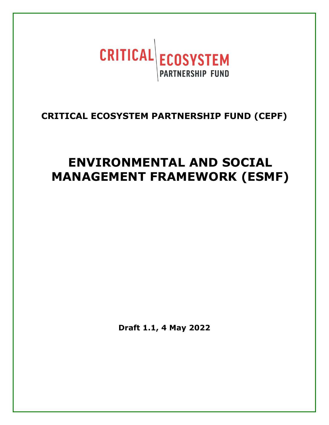

# **CRITICAL ECOSYSTEM PARTNERSHIP FUND (CEPF)**

# **ENVIRONMENTAL AND SOCIAL MANAGEMENT FRAMEWORK (ESMF)**

**Draft 1.1, 4 May 2022**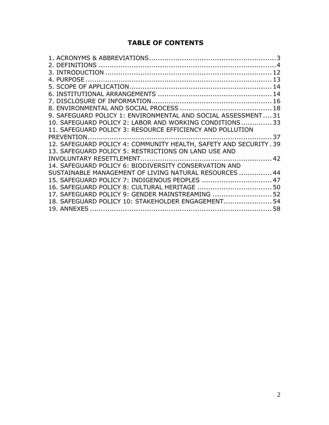# **TABLE OF CONTENTS**

| 9. SAFEGUARD POLICY 1: ENVIRONMENTAL AND SOCIAL ASSESSMENT 31      |  |
|--------------------------------------------------------------------|--|
| 10. SAFEGUARD POLICY 2: LABOR AND WORKING CONDITIONS 33            |  |
| 11. SAFEGUARD POLICY 3: RESOURCE EFFICIENCY AND POLLUTION          |  |
|                                                                    |  |
| 12. SAFEGUARD POLICY 4: COMMUNITY HEALTH, SAFETY AND SECURITY . 39 |  |
| 13. SAFEGUARD POLICY 5: RESTRICTIONS ON LAND USE AND               |  |
|                                                                    |  |
| 14. SAFEGUARD POLICY 6: BIODIVERSITY CONSERVATION AND              |  |
| SUSTAINABLE MANAGEMENT OF LIVING NATURAL RESOURCES  44             |  |
| 15. SAFEGUARD POLICY 7: INDIGENOUS PEOPLES  47                     |  |
|                                                                    |  |
| 17. SAFEGUARD POLICY 9: GENDER MAINSTREAMING  52                   |  |
| 18. SAFEGUARD POLICY 10: STAKEHOLDER ENGAGEMENT 54                 |  |
|                                                                    |  |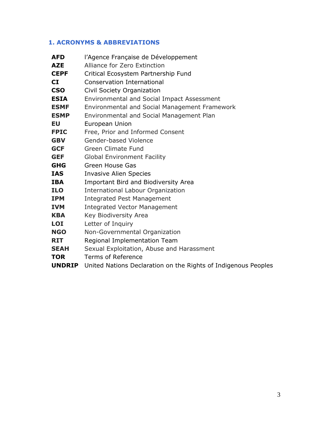## <span id="page-2-0"></span>**1. ACRONYMS & ABBREVIATIONS**

| <b>AFD</b>    | l'Agence Française de Développement                            |
|---------------|----------------------------------------------------------------|
| <b>AZE</b>    | Alliance for Zero Extinction                                   |
| <b>CEPF</b>   | Critical Ecosystem Partnership Fund                            |
| <b>CI</b>     | <b>Conservation International</b>                              |
| <b>CSO</b>    | Civil Society Organization                                     |
| <b>ESIA</b>   | Environmental and Social Impact Assessment                     |
| <b>ESMF</b>   | Environmental and Social Management Framework                  |
| <b>ESMP</b>   | Environmental and Social Management Plan                       |
| EU            | European Union                                                 |
| <b>FPIC</b>   | Free, Prior and Informed Consent                               |
| <b>GBV</b>    | Gender-based Violence                                          |
| <b>GCF</b>    | <b>Green Climate Fund</b>                                      |
| <b>GEF</b>    | <b>Global Environment Facility</b>                             |
| <b>GHG</b>    | <b>Green House Gas</b>                                         |
| IAS           | <b>Invasive Alien Species</b>                                  |
| IBA           | Important Bird and Biodiversity Area                           |
| <b>ILO</b>    | <b>International Labour Organization</b>                       |
| <b>IPM</b>    | <b>Integrated Pest Management</b>                              |
| <b>IVM</b>    | <b>Integrated Vector Management</b>                            |
| <b>KBA</b>    | Key Biodiversity Area                                          |
| <b>LOI</b>    | Letter of Inquiry                                              |
| <b>NGO</b>    | Non-Governmental Organization                                  |
| <b>RIT</b>    | Regional Implementation Team                                   |
| <b>SEAH</b>   | Sexual Exploitation, Abuse and Harassment                      |
| TOR           | Terms of Reference                                             |
| <b>UNDRIP</b> | United Nations Declaration on the Rights of Indigenous Peoples |
|               |                                                                |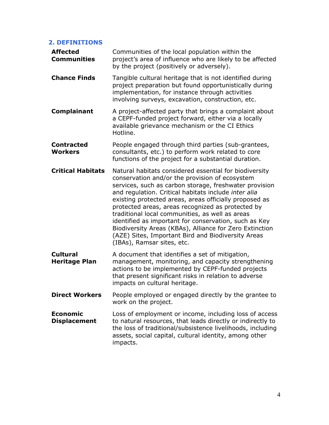#### <span id="page-3-0"></span>**2. DEFINITIONS**

| <b>Affected</b><br><b>Communities</b>   | Communities of the local population within the<br>project's area of influence who are likely to be affected<br>by the project (positively or adversely).                                                                                                                                                                                                                                                                                                                                                                                                                                             |
|-----------------------------------------|------------------------------------------------------------------------------------------------------------------------------------------------------------------------------------------------------------------------------------------------------------------------------------------------------------------------------------------------------------------------------------------------------------------------------------------------------------------------------------------------------------------------------------------------------------------------------------------------------|
| <b>Chance Finds</b>                     | Tangible cultural heritage that is not identified during<br>project preparation but found opportunistically during<br>implementation, for instance through activities<br>involving surveys, excavation, construction, etc.                                                                                                                                                                                                                                                                                                                                                                           |
| Complainant                             | A project-affected party that brings a complaint about<br>a CEPF-funded project forward, either via a locally<br>available grievance mechanism or the CI Ethics<br>Hotline.                                                                                                                                                                                                                                                                                                                                                                                                                          |
| <b>Contracted</b><br><b>Workers</b>     | People engaged through third parties (sub-grantees,<br>consultants, etc.) to perform work related to core<br>functions of the project for a substantial duration.                                                                                                                                                                                                                                                                                                                                                                                                                                    |
| <b>Critical Habitats</b>                | Natural habitats considered essential for biodiversity<br>conservation and/or the provision of ecosystem<br>services, such as carbon storage, freshwater provision<br>and regulation. Critical habitats include inter alia<br>existing protected areas, areas officially proposed as<br>protected areas, areas recognized as protected by<br>traditional local communities, as well as areas<br>identified as important for conservation, such as Key<br>Biodiversity Areas (KBAs), Alliance for Zero Extinction<br>(AZE) Sites, Important Bird and Biodiversity Areas<br>(IBAs), Ramsar sites, etc. |
| <b>Cultural</b><br><b>Heritage Plan</b> | A document that identifies a set of mitigation,<br>management, monitoring, and capacity strengthening<br>actions to be implemented by CEPF-funded projects<br>that present significant risks in relation to adverse<br>impacts on cultural heritage.                                                                                                                                                                                                                                                                                                                                                 |
| <b>Direct Workers</b>                   | People employed or engaged directly by the grantee to<br>work on the project.                                                                                                                                                                                                                                                                                                                                                                                                                                                                                                                        |
| <b>Economic</b><br><b>Displacement</b>  | Loss of employment or income, including loss of access<br>to natural resources, that leads directly or indirectly to<br>the loss of traditional/subsistence livelihoods, including<br>assets, social capital, cultural identity, among other<br>impacts.                                                                                                                                                                                                                                                                                                                                             |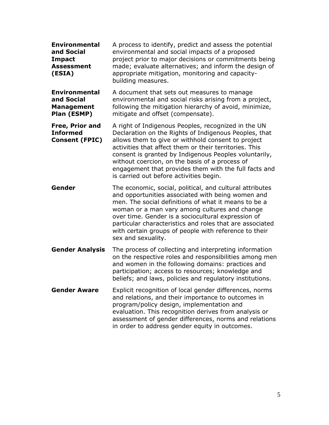| <b>Environmental</b><br>and Social<br><b>Impact</b><br><b>Assessment</b><br>(ESIA) | A process to identify, predict and assess the potential<br>environmental and social impacts of a proposed<br>project prior to major decisions or commitments being<br>made; evaluate alternatives; and inform the design of<br>appropriate mitigation, monitoring and capacity-<br>building measures.                                                                                                                                       |
|------------------------------------------------------------------------------------|---------------------------------------------------------------------------------------------------------------------------------------------------------------------------------------------------------------------------------------------------------------------------------------------------------------------------------------------------------------------------------------------------------------------------------------------|
| <b>Environmental</b><br>and Social<br><b>Management</b><br>Plan (ESMP)             | A document that sets out measures to manage<br>environmental and social risks arising from a project,<br>following the mitigation hierarchy of avoid, minimize,<br>mitigate and offset (compensate).                                                                                                                                                                                                                                        |
| Free, Prior and<br><b>Informed</b><br><b>Consent (FPIC)</b>                        | A right of Indigenous Peoples, recognized in the UN<br>Declaration on the Rights of Indigenous Peoples, that<br>allows them to give or withhold consent to project<br>activities that affect them or their territories. This<br>consent is granted by Indigenous Peoples voluntarily,<br>without coercion, on the basis of a process of<br>engagement that provides them with the full facts and<br>is carried out before activities begin. |
| Gender                                                                             | The economic, social, political, and cultural attributes<br>and opportunities associated with being women and<br>men. The social definitions of what it means to be a<br>woman or a man vary among cultures and change<br>over time. Gender is a sociocultural expression of<br>particular characteristics and roles that are associated<br>with certain groups of people with reference to their<br>sex and sexuality.                     |
| <b>Gender Analysis</b>                                                             | The process of collecting and interpreting information<br>on the respective roles and responsibilities among men<br>and women in the following domains: practices and<br>participation; access to resources; knowledge and<br>beliefs; and laws, policies and regulatory institutions.                                                                                                                                                      |
| <b>Gender Aware</b>                                                                | Explicit recognition of local gender differences, norms<br>and relations, and their importance to outcomes in<br>program/policy design, implementation and<br>evaluation. This recognition derives from analysis or<br>assessment of gender differences, norms and relations<br>in order to address gender equity in outcomes.                                                                                                              |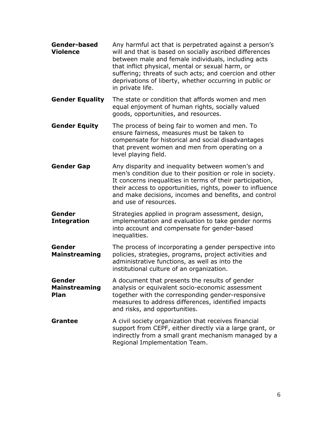**Gender-based Violence** Any harmful act that is perpetrated against a person's will and that is based on socially ascribed differences between male and female individuals, including acts that inflict physical, mental or sexual harm, or suffering; threats of such acts; and coercion and other deprivations of liberty, whether occurring in public or in private life. **Gender Equality** The state or condition that affords women and men equal enjoyment of human rights, socially valued goods, opportunities, and resources. **Gender Equity** The process of being fair to women and men. To ensure fairness, measures must be taken to compensate for historical and social disadvantages that prevent women and men from operating on a level playing field. **Gender Gap** Any disparity and inequality between women's and men's condition due to their position or role in society. It concerns inequalities in terms of their participation, their access to opportunities, rights, power to influence and make decisions, incomes and benefits, and control and use of resources. **Gender Integration** Strategies applied in program assessment, design, implementation and evaluation to take gender norms into account and compensate for gender-based inequalities. **Gender Mainstreaming** The process of incorporating a gender perspective into policies, strategies, programs, project activities and administrative functions, as well as into the institutional culture of an organization. **Gender Mainstreaming Plan** A document that presents the results of gender analysis or equivalent socio-economic assessment together with the corresponding gender-responsive measures to address differences, identified impacts and risks, and opportunities. **Grantee A** civil society organization that receives financial support from CEPF, either directly via a large grant, or indirectly from a small grant mechanism managed by a Regional Implementation Team.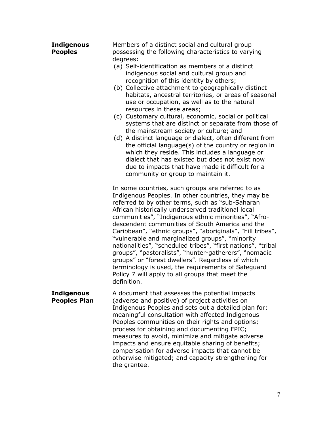| <b>Indigenous</b><br><b>Peoples</b>      | Members of a distinct social and cultural group<br>possessing the following characteristics to varying<br>degrees:<br>(a) Self-identification as members of a distinct<br>indigenous social and cultural group and<br>recognition of this identity by others;<br>(b) Collective attachment to geographically distinct<br>habitats, ancestral territories, or areas of seasonal<br>use or occupation, as well as to the natural<br>resources in these areas;<br>(c) Customary cultural, economic, social or political<br>systems that are distinct or separate from those of<br>the mainstream society or culture; and<br>(d) A distinct language or dialect, often different from<br>the official language(s) of the country or region in<br>which they reside. This includes a language or<br>dialect that has existed but does not exist now<br>due to impacts that have made it difficult for a<br>community or group to maintain it. |
|------------------------------------------|------------------------------------------------------------------------------------------------------------------------------------------------------------------------------------------------------------------------------------------------------------------------------------------------------------------------------------------------------------------------------------------------------------------------------------------------------------------------------------------------------------------------------------------------------------------------------------------------------------------------------------------------------------------------------------------------------------------------------------------------------------------------------------------------------------------------------------------------------------------------------------------------------------------------------------------|
|                                          | In some countries, such groups are referred to as<br>Indigenous Peoples. In other countries, they may be<br>referred to by other terms, such as "sub-Saharan<br>African historically underserved traditional local<br>communities", "Indigenous ethnic minorities", "Afro-<br>descendent communities of South America and the<br>Caribbean", "ethnic groups", "aboriginals", "hill tribes",<br>"vulnerable and marginalized groups", "minority"<br>nationalities", "scheduled tribes", "first nations", "tribal<br>groups", "pastoralists", "hunter-gatherers", "nomadic<br>groups" or "forest dwellers". Regardless of which<br>terminology is used, the requirements of Safeguard<br>Policy 7 will apply to all groups that meet the<br>definition.                                                                                                                                                                                    |
| <b>Indigenous</b><br><b>Peoples Plan</b> | A document that assesses the potential impacts<br>(adverse and positive) of project activities on<br>Indigenous Peoples and sets out a detailed plan for:<br>meaningful consultation with affected Indigenous<br>Peoples communities on their rights and options;<br>process for obtaining and documenting FPIC;<br>measures to avoid, minimize and mitigate adverse<br>impacts and ensure equitable sharing of benefits;<br>compensation for adverse impacts that cannot be<br>otherwise mitigated; and capacity strengthening for<br>the grantee.                                                                                                                                                                                                                                                                                                                                                                                      |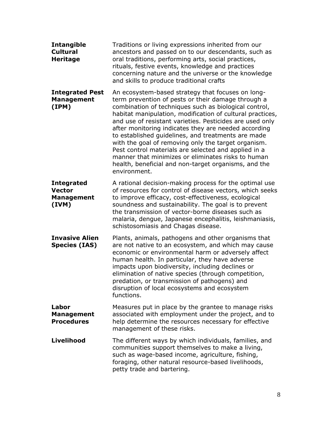| <b>Intangible</b><br><b>Cultural</b><br><b>Heritage</b>          | Traditions or living expressions inherited from our<br>ancestors and passed on to our descendants, such as<br>oral traditions, performing arts, social practices,<br>rituals, festive events, knowledge and practices<br>concerning nature and the universe or the knowledge<br>and skills to produce traditional crafts                                                                                                                                                                                                                                                                                                                             |
|------------------------------------------------------------------|------------------------------------------------------------------------------------------------------------------------------------------------------------------------------------------------------------------------------------------------------------------------------------------------------------------------------------------------------------------------------------------------------------------------------------------------------------------------------------------------------------------------------------------------------------------------------------------------------------------------------------------------------|
| <b>Integrated Pest</b><br><b>Management</b><br>(IPM)             | An ecosystem-based strategy that focuses on long-<br>term prevention of pests or their damage through a<br>combination of techniques such as biological control,<br>habitat manipulation, modification of cultural practices,<br>and use of resistant varieties. Pesticides are used only<br>after monitoring indicates they are needed according<br>to established guidelines, and treatments are made<br>with the goal of removing only the target organism.<br>Pest control materials are selected and applied in a<br>manner that minimizes or eliminates risks to human<br>health, beneficial and non-target organisms, and the<br>environment. |
| <b>Integrated</b><br><b>Vector</b><br><b>Management</b><br>(IVM) | A rational decision-making process for the optimal use<br>of resources for control of disease vectors, which seeks<br>to improve efficacy, cost-effectiveness, ecological<br>soundness and sustainability. The goal is to prevent<br>the transmission of vector-borne diseases such as<br>malaria, dengue, Japanese encephalitis, leishmaniasis,<br>schistosomiasis and Chagas disease.                                                                                                                                                                                                                                                              |
| <b>Invasive Alien</b><br><b>Species (IAS)</b>                    | Plants, animals, pathogens and other organisms that<br>are not native to an ecosystem, and which may cause<br>economic or environmental harm or adversely affect<br>human health. In particular, they have adverse<br>impacts upon biodiversity, including declines or<br>elimination of native species (through competition,<br>predation, or transmission of pathogens) and<br>disruption of local ecosystems and ecosystem<br>functions.                                                                                                                                                                                                          |
| Labor<br><b>Management</b><br><b>Procedures</b>                  | Measures put in place by the grantee to manage risks<br>associated with employment under the project, and to<br>help determine the resources necessary for effective<br>management of these risks.                                                                                                                                                                                                                                                                                                                                                                                                                                                   |
| <b>Livelihood</b>                                                | The different ways by which individuals, families, and<br>communities support themselves to make a living,<br>such as wage-based income, agriculture, fishing,<br>foraging, other natural resource-based livelihoods,<br>petty trade and bartering.                                                                                                                                                                                                                                                                                                                                                                                                  |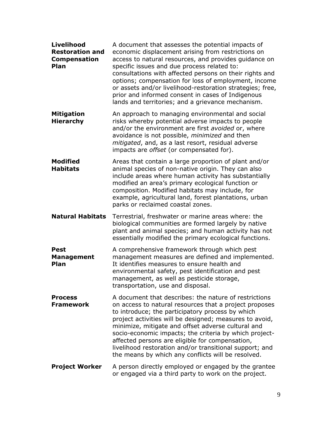| <b>Livelihood</b><br><b>Restoration and</b><br><b>Compensation</b><br>Plan | A document that assesses the potential impacts of<br>economic displacement arising from restrictions on<br>access to natural resources, and provides guidance on<br>specific issues and due process related to:<br>consultations with affected persons on their rights and<br>options; compensation for loss of employment, income<br>or assets and/or livelihood-restoration strategies; free,<br>prior and informed consent in cases of Indigenous<br>lands and territories; and a grievance mechanism.          |
|----------------------------------------------------------------------------|--------------------------------------------------------------------------------------------------------------------------------------------------------------------------------------------------------------------------------------------------------------------------------------------------------------------------------------------------------------------------------------------------------------------------------------------------------------------------------------------------------------------|
| <b>Mitigation</b><br><b>Hierarchy</b>                                      | An approach to managing environmental and social<br>risks whereby potential adverse impacts to people<br>and/or the environment are first avoided or, where<br>avoidance is not possible, minimized and then<br>mitigated, and, as a last resort, residual adverse<br>impacts are offset (or compensated for).                                                                                                                                                                                                     |
| <b>Modified</b><br><b>Habitats</b>                                         | Areas that contain a large proportion of plant and/or<br>animal species of non-native origin. They can also<br>include areas where human activity has substantially<br>modified an area's primary ecological function or<br>composition. Modified habitats may include, for<br>example, agricultural land, forest plantations, urban<br>parks or reclaimed coastal zones.                                                                                                                                          |
| <b>Natural Habitats</b>                                                    | Terrestrial, freshwater or marine areas where: the<br>biological communities are formed largely by native<br>plant and animal species; and human activity has not<br>essentially modified the primary ecological functions.                                                                                                                                                                                                                                                                                        |
| <b>Pest</b>                                                                |                                                                                                                                                                                                                                                                                                                                                                                                                                                                                                                    |
| <b>Management</b><br>Plan                                                  | A comprehensive framework through which pest<br>management measures are defined and implemented.<br>It identifies measures to ensure health and<br>environmental safety, pest identification and pest<br>management, as well as pesticide storage,<br>transportation, use and disposal.                                                                                                                                                                                                                            |
| <b>Process</b><br><b>Framework</b>                                         | A document that describes: the nature of restrictions<br>on access to natural resources that a project proposes<br>to introduce; the participatory process by which<br>project activities will be designed; measures to avoid,<br>minimize, mitigate and offset adverse cultural and<br>socio-economic impacts; the criteria by which project-<br>affected persons are eligible for compensation,<br>livelihood restoration and/or transitional support; and<br>the means by which any conflicts will be resolved. |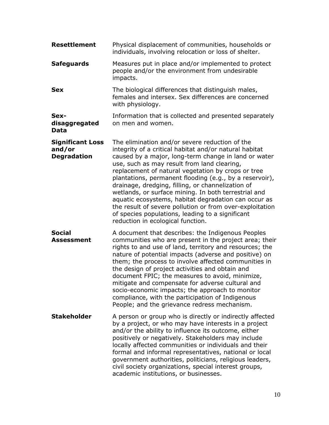| <b>Resettlement</b>                                     | Physical displacement of communities, households or<br>individuals, involving relocation or loss of shelter.                                                                                                                                                                                                                                                                                                                                                                                                                                                                                                                                               |
|---------------------------------------------------------|------------------------------------------------------------------------------------------------------------------------------------------------------------------------------------------------------------------------------------------------------------------------------------------------------------------------------------------------------------------------------------------------------------------------------------------------------------------------------------------------------------------------------------------------------------------------------------------------------------------------------------------------------------|
| <b>Safeguards</b>                                       | Measures put in place and/or implemented to protect<br>people and/or the environment from undesirable<br>impacts.                                                                                                                                                                                                                                                                                                                                                                                                                                                                                                                                          |
| <b>Sex</b>                                              | The biological differences that distinguish males,<br>females and intersex. Sex differences are concerned<br>with physiology.                                                                                                                                                                                                                                                                                                                                                                                                                                                                                                                              |
| Sex-<br>disaggregated<br>Data                           | Information that is collected and presented separately<br>on men and women.                                                                                                                                                                                                                                                                                                                                                                                                                                                                                                                                                                                |
| <b>Significant Loss</b><br>and/or<br><b>Degradation</b> | The elimination and/or severe reduction of the<br>integrity of a critical habitat and/or natural habitat<br>caused by a major, long-term change in land or water<br>use, such as may result from land clearing,<br>replacement of natural vegetation by crops or tree<br>plantations, permanent flooding (e.g., by a reservoir),<br>drainage, dredging, filling, or channelization of<br>wetlands, or surface mining. In both terrestrial and<br>aquatic ecosystems, habitat degradation can occur as<br>the result of severe pollution or from over-exploitation<br>of species populations, leading to a significant<br>reduction in ecological function. |
| <b>Social</b><br><b>Assessment</b>                      | A document that describes: the Indigenous Peoples<br>communities who are present in the project area; their<br>rights to and use of land, territory and resources; the<br>nature of potential impacts (adverse and positive) on<br>them; the process to involve affected communities in<br>the design of project activities and obtain and<br>document FPIC; the measures to avoid, minimize,<br>mitigate and compensate for adverse cultural and<br>socio-economic impacts; the approach to monitor<br>compliance, with the participation of Indigenous<br>People; and the grievance redress mechanism.                                                   |
| <b>Stakeholder</b>                                      | A person or group who is directly or indirectly affected<br>by a project, or who may have interests in a project<br>and/or the ability to influence its outcome, either<br>positively or negatively. Stakeholders may include<br>locally affected communities or individuals and their<br>formal and informal representatives, national or local<br>government authorities, politicians, religious leaders,<br>civil society organizations, special interest groups,<br>academic institutions, or businesses.                                                                                                                                              |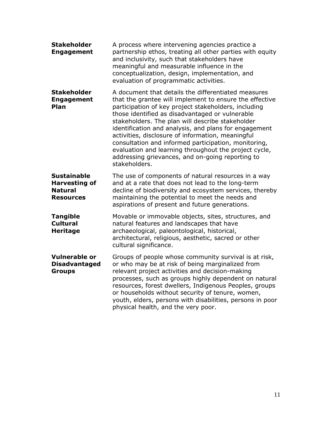| <b>Stakeholder</b><br><b>Engagement</b>                                          | A process where intervening agencies practice a<br>partnership ethos, treating all other parties with equity<br>and inclusivity, such that stakeholders have<br>meaningful and measurable influence in the<br>conceptualization, design, implementation, and<br>evaluation of programmatic activities.                                                                                                                                                                                                                                                                            |
|----------------------------------------------------------------------------------|-----------------------------------------------------------------------------------------------------------------------------------------------------------------------------------------------------------------------------------------------------------------------------------------------------------------------------------------------------------------------------------------------------------------------------------------------------------------------------------------------------------------------------------------------------------------------------------|
| <b>Stakeholder</b><br><b>Engagement</b><br>Plan                                  | A document that details the differentiated measures<br>that the grantee will implement to ensure the effective<br>participation of key project stakeholders, including<br>those identified as disadvantaged or vulnerable<br>stakeholders. The plan will describe stakeholder<br>identification and analysis, and plans for engagement<br>activities, disclosure of information, meaningful<br>consultation and informed participation, monitoring,<br>evaluation and learning throughout the project cycle,<br>addressing grievances, and on-going reporting to<br>stakeholders. |
| <b>Sustainable</b><br><b>Harvesting of</b><br><b>Natural</b><br><b>Resources</b> | The use of components of natural resources in a way<br>and at a rate that does not lead to the long-term<br>decline of biodiversity and ecosystem services, thereby<br>maintaining the potential to meet the needs and<br>aspirations of present and future generations.                                                                                                                                                                                                                                                                                                          |
| <b>Tangible</b><br><b>Cultural</b><br><b>Heritage</b>                            | Movable or immovable objects, sites, structures, and<br>natural features and landscapes that have<br>archaeological, paleontological, historical,<br>architectural, religious, aesthetic, sacred or other<br>cultural significance.                                                                                                                                                                                                                                                                                                                                               |
| <b>Vulnerable or</b><br><b>Disadvantaged</b><br><b>Groups</b>                    | Groups of people whose community survival is at risk,<br>or who may be at risk of being marginalized from<br>relevant project activities and decision-making<br>processes, such as groups highly dependent on natural<br>resources, forest dwellers, Indigenous Peoples, groups<br>or households without security of tenure, women,<br>youth, elders, persons with disabilities, persons in poor<br>physical health, and the very poor.                                                                                                                                           |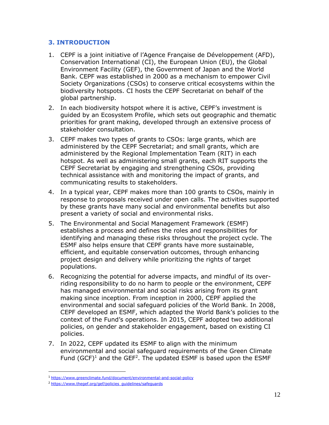### <span id="page-11-0"></span>**3. INTRODUCTION**

- 1. CEPF is a joint initiative of l'Agence Française de Développement (AFD), Conservation International (CI), the European Union (EU), the Global Environment Facility (GEF), the Government of Japan and the World Bank. CEPF was established in 2000 as a mechanism to empower Civil Society Organizations (CSOs) to conserve critical ecosystems within the biodiversity hotspots. CI hosts the CEPF Secretariat on behalf of the global partnership.
- 2. In each biodiversity hotspot where it is active, CEPF's investment is guided by an Ecosystem Profile, which sets out geographic and thematic priorities for grant making, developed through an extensive process of stakeholder consultation.
- 3. CEPF makes two types of grants to CSOs: large grants, which are administered by the CEPF Secretariat; and small grants, which are administered by the Regional Implementation Team (RIT) in each hotspot. As well as administering small grants, each RIT supports the CEPF Secretariat by engaging and strengthening CSOs, providing technical assistance with and monitoring the impact of grants, and communicating results to stakeholders.
- 4. In a typical year, CEPF makes more than 100 grants to CSOs, mainly in response to proposals received under open calls. The activities supported by these grants have many social and environmental benefits but also present a variety of social and environmental risks.
- 5. The Environmental and Social Management Framework (ESMF) establishes a process and defines the roles and responsibilities for identifying and managing these risks throughout the project cycle. The ESMF also helps ensure that CEPF grants have more sustainable, efficient, and equitable conservation outcomes, through enhancing project design and delivery while prioritizing the rights of target populations.
- 6. Recognizing the potential for adverse impacts, and mindful of its overriding responsibility to do no harm to people or the environment, CEPF has managed environmental and social risks arising from its grant making since inception. From inception in 2000, CEPF applied the environmental and social safeguard policies of the World Bank. In 2008, CEPF developed an ESMF, which adapted the World Bank's policies to the context of the Fund's operations. In 2015, CEPF adopted two additional policies, on gender and stakeholder engagement, based on existing CI policies.
- 7. In 2022, CEPF updated its ESMF to align with the minimum environmental and social safeguard requirements of the Green Climate Fund (GCF)<sup>1</sup> and the GEF<sup>2</sup>. The updated ESMF is based upon the ESMF

<sup>1</sup> <https://www.greenclimate.fund/document/environmental-and-social-policy>

<sup>&</sup>lt;sup>2</sup> https://www.thegef.org/gef/policies\_guidelines/safeguards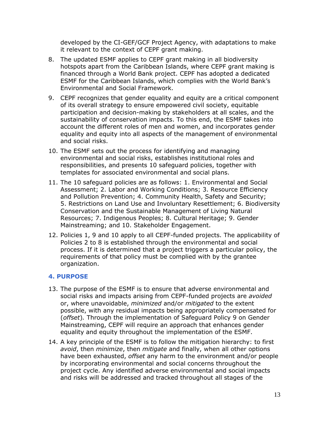developed by the CI-GEF/GCF Project Agency, with adaptations to make it relevant to the context of CEPF grant making.

- 8. The updated ESMF applies to CEPF grant making in all biodiversity hotspots apart from the Caribbean Islands, where CEPF grant making is financed through a World Bank project. CEPF has adopted a dedicated ESMF for the Caribbean Islands, which complies with the World Bank's Environmental and Social Framework.
- 9. CEPF recognizes that gender equality and equity are a critical component of its overall strategy to ensure empowered civil society, equitable participation and decision-making by stakeholders at all scales, and the sustainability of conservation impacts. To this end, the ESMF takes into account the different roles of men and women, and incorporates gender equality and equity into all aspects of the management of environmental and social risks.
- 10. The ESMF sets out the process for identifying and managing environmental and social risks, establishes institutional roles and responsibilities, and presents 10 safeguard policies, together with templates for associated environmental and social plans.
- 11. The 10 safeguard policies are as follows: 1. Environmental and Social Assessment; 2. Labor and Working Conditions; 3. Resource Efficiency and Pollution Prevention; 4. Community Health, Safety and Security; 5. Restrictions on Land Use and Involuntary Resettlement; 6. Biodiversity Conservation and the Sustainable Management of Living Natural Resources; 7. Indigenous Peoples; 8. Cultural Heritage; 9. Gender Mainstreaming; and 10. Stakeholder Engagement.
- 12. Policies 1, 9 and 10 apply to all CEPF-funded projects. The applicability of Policies 2 to 8 is established through the environmental and social process. If it is determined that a project triggers a particular policy, the requirements of that policy must be complied with by the grantee organization.

#### <span id="page-12-0"></span>**4. PURPOSE**

- 13. The purpose of the ESMF is to ensure that adverse environmental and social risks and impacts arising from CEPF-funded projects are *avoided* or, where unavoidable, *minimized* and/or *mitigated* to the extent possible, with any residual impacts being appropriately compensated for (*offset*)*.* Through the implementation of Safeguard Policy 9 on Gender Mainstreaming, CEPF will require an approach that enhances gender equality and equity throughout the implementation of the ESMF.
- 14. A key principle of the ESMF is to follow the mitigation hierarchy: to first *avoid*, then *minimize*, then *mitigate* and finally, when all other options have been exhausted, *offset* any harm to the environment and/or people by incorporating environmental and social concerns throughout the project cycle. Any identified adverse environmental and social impacts and risks will be addressed and tracked throughout all stages of the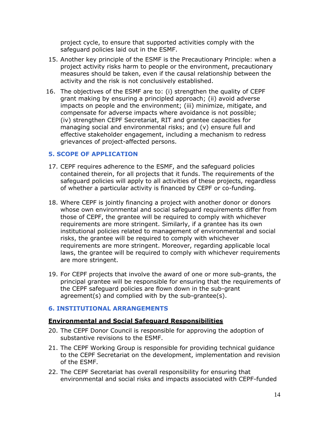project cycle, to ensure that supported activities comply with the safeguard policies laid out in the ESMF.

- 15. Another key principle of the ESMF is the Precautionary Principle: when a project activity risks harm to people or the environment, precautionary measures should be taken, even if the causal relationship between the activity and the risk is not conclusively established.
- 16. The objectives of the ESMF are to: (i) strengthen the quality of CEPF grant making by ensuring a principled approach; (ii) avoid adverse impacts on people and the environment; (iii) minimize, mitigate, and compensate for adverse impacts where avoidance is not possible; (iv) strengthen CEPF Secretariat, RIT and grantee capacities for managing social and environmental risks; and (v) ensure full and effective stakeholder engagement, including a mechanism to redress grievances of project-affected persons.

#### <span id="page-13-0"></span>**5. SCOPE OF APPLICATION**

- 17. CEPF requires adherence to the ESMF, and the safeguard policies contained therein, for all projects that it funds. The requirements of the safeguard policies will apply to all activities of these projects, regardless of whether a particular activity is financed by CEPF or co-funding.
- 18. Where CEPF is jointly financing a project with another donor or donors whose own environmental and social safeguard requirements differ from those of CEPF, the grantee will be required to comply with whichever requirements are more stringent. Similarly, if a grantee has its own institutional policies related to management of environmental and social risks, the grantee will be required to comply with whichever requirements are more stringent. Moreover, regarding applicable local laws, the grantee will be required to comply with whichever requirements are more stringent.
- 19. For CEPF projects that involve the award of one or more sub-grants, the principal grantee will be responsible for ensuring that the requirements of the CEPF safeguard policies are flown down in the sub-grant agreement(s) and complied with by the sub-grantee(s).

#### <span id="page-13-1"></span>**6. INSTITUTIONAL ARRANGEMENTS**

#### **Environmental and Social Safeguard Responsibilities**

- 20. The CEPF Donor Council is responsible for approving the adoption of substantive revisions to the ESMF.
- 21. The CEPF Working Group is responsible for providing technical guidance to the CEPF Secretariat on the development, implementation and revision of the ESMF.
- 22. The CEPF Secretariat has overall responsibility for ensuring that environmental and social risks and impacts associated with CEPF-funded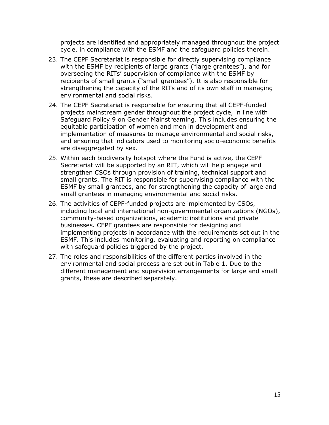projects are identified and appropriately managed throughout the project cycle, in compliance with the ESMF and the safeguard policies therein.

- 23. The CEPF Secretariat is responsible for directly supervising compliance with the ESMF by recipients of large grants ("large grantees"), and for overseeing the RITs' supervision of compliance with the ESMF by recipients of small grants ("small grantees"). It is also responsible for strengthening the capacity of the RITs and of its own staff in managing environmental and social risks.
- 24. The CEPF Secretariat is responsible for ensuring that all CEPF-funded projects mainstream gender throughout the project cycle, in line with Safeguard Policy 9 on Gender Mainstreaming. This includes ensuring the equitable participation of women and men in development and implementation of measures to manage environmental and social risks, and ensuring that indicators used to monitoring socio-economic benefits are disaggregated by sex.
- 25. Within each biodiversity hotspot where the Fund is active, the CEPF Secretariat will be supported by an RIT, which will help engage and strengthen CSOs through provision of training, technical support and small grants. The RIT is responsible for supervising compliance with the ESMF by small grantees, and for strengthening the capacity of large and small grantees in managing environmental and social risks.
- 26. The activities of CEPF-funded projects are implemented by CSOs, including local and international non-governmental organizations (NGOs), community-based organizations, academic institutions and private businesses. CEPF grantees are responsible for designing and implementing projects in accordance with the requirements set out in the ESMF. This includes monitoring, evaluating and reporting on compliance with safeguard policies triggered by the project.
- 27. The roles and responsibilities of the different parties involved in the environmental and social process are set out in Table 1. Due to the different management and supervision arrangements for large and small grants, these are described separately.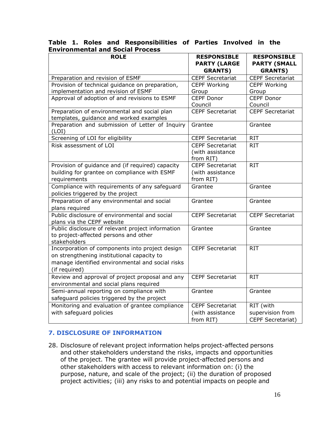| <b>ROLE</b>                                                                                                                                                        | <b>RESPONSIBLE</b><br><b>PARTY (LARGE</b>                | <b>RESPONSIBLE</b><br><b>PARTY (SMALL</b>          |
|--------------------------------------------------------------------------------------------------------------------------------------------------------------------|----------------------------------------------------------|----------------------------------------------------|
|                                                                                                                                                                    | <b>GRANTS)</b>                                           | <b>GRANTS)</b>                                     |
| Preparation and revision of ESMF                                                                                                                                   | <b>CEPF Secretariat</b>                                  | <b>CEPF Secretariat</b>                            |
| Provision of technical guidance on preparation,                                                                                                                    | <b>CEPF Working</b>                                      | <b>CEPF Working</b>                                |
| implementation and revision of ESMF                                                                                                                                | Group                                                    | Group                                              |
| Approval of adoption of and revisions to ESMF                                                                                                                      | <b>CEPF Donor</b><br>Council                             | <b>CEPF Donor</b><br>Council                       |
| Preparation of environmental and social plan<br>templates, guidance and worked examples                                                                            | <b>CEPF Secretariat</b>                                  | <b>CEPF Secretariat</b>                            |
| Preparation and submission of Letter of Inquiry<br>(LOI)                                                                                                           | Grantee                                                  | Grantee                                            |
| Screening of LOI for eligibility                                                                                                                                   | <b>CEPF Secretariat</b>                                  | <b>RIT</b>                                         |
| Risk assessment of LOI                                                                                                                                             | <b>CEPF Secretariat</b><br>(with assistance<br>from RIT) | <b>RIT</b>                                         |
| Provision of guidance and (if required) capacity<br>building for grantee on compliance with ESMF<br>requirements                                                   | <b>CEPF Secretariat</b><br>(with assistance<br>from RIT) | <b>RIT</b>                                         |
| Compliance with requirements of any safeguard<br>policies triggered by the project                                                                                 | Grantee                                                  | Grantee                                            |
| Preparation of any environmental and social<br>plans required                                                                                                      | Grantee                                                  | Grantee                                            |
| Public disclosure of environmental and social<br>plans via the CEPF website                                                                                        | <b>CEPF Secretariat</b>                                  | <b>CEPF Secretariat</b>                            |
| Public disclosure of relevant project information<br>to project-affected persons and other<br>stakeholders                                                         | Grantee                                                  | Grantee                                            |
| Incorporation of components into project design<br>on strengthening institutional capacity to<br>manage identified environmental and social risks<br>(if required) | <b>CEPF Secretariat</b>                                  | <b>RIT</b>                                         |
| Review and approval of project proposal and any<br>environmental and social plans required                                                                         | <b>CEPF Secretariat</b>                                  | <b>RIT</b>                                         |
| Semi-annual reporting on compliance with<br>safeguard policies triggered by the project                                                                            | Grantee                                                  | Grantee                                            |
| Monitoring and evaluation of grantee compliance<br>with safeguard policies                                                                                         | <b>CEPF Secretariat</b><br>(with assistance<br>from RIT) | RIT (with<br>supervision from<br>CEPF Secretariat) |

#### **Table 1. Roles and Responsibilities of Parties Involved in the Environmental and Social Process**

### <span id="page-15-0"></span>**7. DISCLOSURE OF INFORMATION**

28. Disclosure of relevant project information helps project-affected persons and other stakeholders understand the risks, impacts and opportunities of the project. The grantee will provide project-affected persons and other stakeholders with access to relevant information on: (i) the purpose, nature, and scale of the project; (ii) the duration of proposed project activities; (iii) any risks to and potential impacts on people and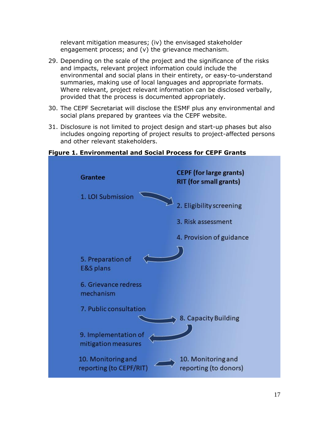relevant mitigation measures; (iv) the envisaged stakeholder engagement process; and (v) the grievance mechanism.

- 29. Depending on the scale of the project and the significance of the risks and impacts, relevant project information could include the environmental and social plans in their entirety, or easy-to-understand summaries, making use of local languages and appropriate formats. Where relevant, project relevant information can be disclosed verbally, provided that the process is documented appropriately.
- 30. The CEPF Secretariat will disclose the ESMF plus any environmental and social plans prepared by grantees via the CEPF website.
- 31. Disclosure is not limited to project design and start-up phases but also includes ongoing reporting of project results to project-affected persons and other relevant stakeholders.



**Figure 1. Environmental and Social Process for CEPF Grants**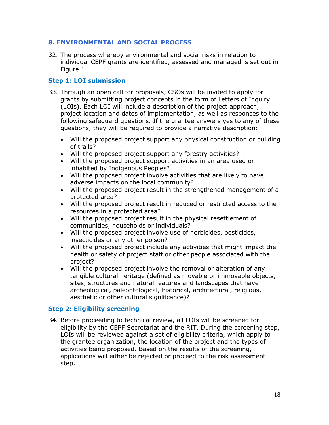#### <span id="page-17-0"></span>**8. ENVIRONMENTAL AND SOCIAL PROCESS**

32. The process whereby environmental and social risks in relation to individual CEPF grants are identified, assessed and managed is set out in Figure 1.

#### **Step 1: LOI submission**

- 33. Through an open call for proposals, CSOs will be invited to apply for grants by submitting project concepts in the form of Letters of Inquiry (LOIs). Each LOI will include a description of the project approach, project location and dates of implementation, as well as responses to the following safeguard questions. If the grantee answers yes to any of these questions, they will be required to provide a narrative description:
	- Will the proposed project support any physical construction or building of trails?
	- Will the proposed project support any forestry activities?
	- Will the proposed project support activities in an area used or inhabited by Indigenous Peoples?
	- Will the proposed project involve activities that are likely to have adverse impacts on the local community?
	- Will the proposed project result in the strengthened management of a protected area?
	- Will the proposed project result in reduced or restricted access to the resources in a protected area?
	- Will the proposed project result in the physical resettlement of communities, households or individuals?
	- Will the proposed project involve use of herbicides, pesticides, insecticides or any other poison?
	- Will the proposed project include any activities that might impact the health or safety of project staff or other people associated with the project?
	- Will the proposed project involve the removal or alteration of any tangible cultural heritage (defined as movable or immovable objects, sites, structures and natural features and landscapes that have archeological, paleontological, historical, architectural, religious, aesthetic or other cultural significance)?

#### **Step 2: Eligibility screening**

34. Before proceeding to technical review, all LOIs will be screened for eligibility by the CEPF Secretariat and the RIT. During the screening step, LOIs will be reviewed against a set of eligibility criteria, which apply to the grantee organization, the location of the project and the types of activities being proposed. Based on the results of the screening, applications will either be rejected or proceed to the risk assessment step.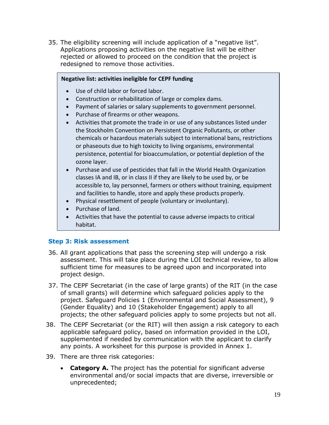35. The eligibility screening will include application of a "negative list". Applications proposing activities on the negative list will be either rejected or allowed to proceed on the condition that the project is redesigned to remove those activities.

#### **Negative list: activities ineligible for CEPF funding**

- Use of child labor or forced labor.
- Construction or rehabilitation of large or complex dams.
- Payment of salaries or salary supplements to government personnel.
- Purchase of firearms or other weapons.
- Activities that promote the trade in or use of any substances listed under the Stockholm Convention on Persistent Organic Pollutants, or other chemicals or hazardous materials subject to international bans, restrictions or phaseouts due to high toxicity to living organisms, environmental persistence, potential for bioaccumulation, or potential depletion of the ozone layer.
- Purchase and use of pesticides that fall in the World Health Organization classes IA and IB, or in class II if they are likely to be used by, or be accessible to, lay personnel, farmers or others without training, equipment and facilities to handle, store and apply these products properly.

• Activities that introduce or use potentially invasive, non-indigenous species.

- Physical resettlement of people (voluntary or involuntary).
- Purchase of land.
- Activities that have the potential to cause adverse impacts to critical habitat.

#### **Step 3: Risk assessment** and alternative cultural heritage.

- 36. All grant applications that pass the screening step will undergo a risk assessment. This will take place during the LOI technical review, to allow sufficient time for measures to be agreed upon and incorporated into project design.
- 37. The CEPF Secretariat (in the case of large grants) of the RIT (in the case of small grants) will determine which safeguard policies apply to the project. Safeguard Policies 1 (Environmental and Social Assessment), 9 (Gender Equality) and 10 (Stakeholder Engagement) apply to all projects; the other safeguard policies apply to some projects but not all.
- 38. The CEPF Secretariat (or the RIT) will then assign a risk category to each applicable safeguard policy, based on information provided in the LOI, supplemented if needed by communication with the applicant to clarify any points. A worksheet for this purpose is provided in Annex 1.
- 39. There are three risk categories:
	- **Category A.** The project has the potential for significant adverse environmental and/or social impacts that are diverse, irreversible or unprecedented;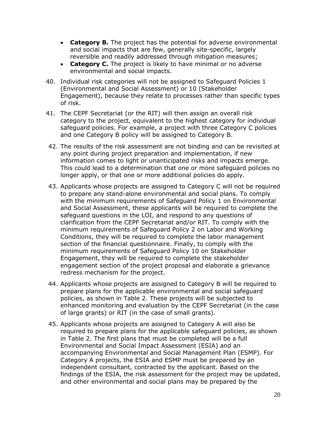- **Category B.** The project has the potential for adverse environmental and social impacts that are few, generally site-specific, largely reversible and readily addressed through mitigation measures;
- **Category C.** The project is likely to have minimal or no adverse environmental and social impacts.
- 40. Individual risk categories will not be assigned to Safeguard Policies 1 (Environmental and Social Assessment) or 10 (Stakeholder Engagement), because they relate to processes rather than specific types of risk.
- 41. The CEPF Secretariat (or the RIT) will then assign an overall risk category to the project, equivalent to the highest category for individual safeguard policies. For example, a project with three Category C policies and one Category B policy will be assigned to Category B.
- 42. The results of the risk assessment are not binding and can be revisited at any point during project preparation and implementation, if new information comes to light or unanticipated risks and impacts emerge. This could lead to a determination that one or more safeguard policies no longer apply, or that one or more additional policies do apply.
- 43. Applicants whose projects are assigned to Category C will not be required to prepare any stand-alone environmental and social plans. To comply with the minimum requirements of Safeguard Policy 1 on Environmental and Social Assessment, these applicants will be required to complete the safeguard questions in the LOI, and respond to any questions of clarification from the CEPF Secretariat and/or RIT. To comply with the minimum requirements of Safeguard Policy 2 on Labor and Working Conditions, they will be required to complete the labor management section of the financial questionnaire. Finally, to comply with the minimum requirements of Safeguard Policy 10 on Stakeholder Engagement, they will be required to complete the stakeholder engagement section of the project proposal and elaborate a grievance redress mechanism for the project.
- 44. Applicants whose projects are assigned to Category B will be required to prepare plans for the applicable environmental and social safeguard policies, as shown in Table 2. These projects will be subjected to enhanced monitoring and evaluation by the CEPF Secretariat (in the case of large grants) or RIT (in the case of small grants).
- 45. Applicants whose projects are assigned to Category A will also be required to prepare plans for the applicable safeguard policies, as shown in Table 2. The first plans that must be completed will be a full Environmental and Social Impact Assessment (ESIA) and an accompanying Environmental and Social Management Plan (ESMP). For Category A projects, the ESIA and ESMP must be prepared by an independent consultant, contracted by the applicant. Based on the findings of the ESIA, the risk assessment for the project may be updated, and other environmental and social plans may be prepared by the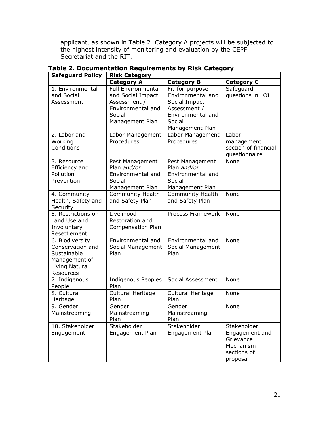applicant, as shown in Table 2. Category A projects will be subjected to the highest intensity of monitoring and evaluation by the CEPF Secretariat and the RIT.

| <b>Safeguard Policy</b>                                                                            | <b>Risk Category</b>                                                             |                                                                                  |                                                                                    |
|----------------------------------------------------------------------------------------------------|----------------------------------------------------------------------------------|----------------------------------------------------------------------------------|------------------------------------------------------------------------------------|
|                                                                                                    | <b>Category A</b>                                                                | <b>Category B</b>                                                                | <b>Category C</b>                                                                  |
| 1. Environmental<br>and Social<br>Assessment                                                       | <b>Full Environmental</b><br>and Social Impact<br>Assessment /                   | Fit-for-purpose<br>Environmental and<br>Social Impact                            | Safeguard<br>questions in LOI                                                      |
|                                                                                                    | Environmental and<br>Social<br>Management Plan                                   | Assessment /<br>Environmental and<br>Social<br>Management Plan                   |                                                                                    |
| 2. Labor and<br>Working<br>Conditions                                                              | Labor Management<br>Procedures                                                   | Labor Management<br>Procedures                                                   | Labor<br>management<br>section of financial<br>questionnaire                       |
| 3. Resource<br>Efficiency and<br>Pollution<br>Prevention                                           | Pest Management<br>Plan and/or<br>Environmental and<br>Social<br>Management Plan | Pest Management<br>Plan and/or<br>Environmental and<br>Social<br>Management Plan | None                                                                               |
| 4. Community<br>Health, Safety and<br>Security                                                     | <b>Community Health</b><br>and Safety Plan                                       | <b>Community Health</b><br>and Safety Plan                                       | None                                                                               |
| 5. Restrictions on<br>Land Use and<br>Involuntary<br>Resettlement                                  | Livelihood<br>Restoration and<br>Compensation Plan                               | Process Framework                                                                | None                                                                               |
| 6. Biodiversity<br>Conservation and<br>Sustainable<br>Management of<br>Living Natural<br>Resources | Environmental and<br>Social Management<br>Plan                                   | Environmental and<br>Social Management<br>Plan                                   | None                                                                               |
| 7. Indigenous<br>People                                                                            | Indigenous Peoples<br>Plan                                                       | Social Assessment                                                                | None                                                                               |
| 8. Cultural<br>Heritage                                                                            | Cultural Heritage<br>Plan                                                        | Cultural Heritage<br>Plan                                                        | None                                                                               |
| 9. Gender<br>Mainstreaming                                                                         | Gender<br>Mainstreaming<br>Plan                                                  | Gender<br>Mainstreaming<br>Plan                                                  | None                                                                               |
| 10. Stakeholder<br>Engagement                                                                      | Stakeholder<br>Engagement Plan                                                   | Stakeholder<br>Engagement Plan                                                   | Stakeholder<br>Engagement and<br>Grievance<br>Mechanism<br>sections of<br>proposal |

**Table 2. Documentation Requirements by Risk Category**

 $\overline{\phantom{0}}$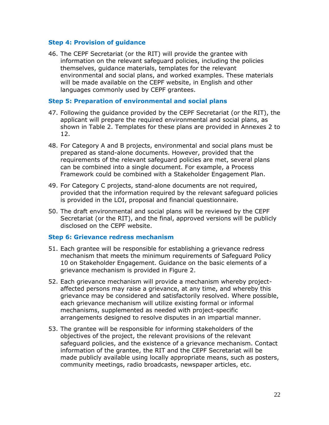#### **Step 4: Provision of guidance**

46. The CEPF Secretariat (or the RIT) will provide the grantee with information on the relevant safeguard policies, including the policies themselves, guidance materials, templates for the relevant environmental and social plans, and worked examples. These materials will be made available on the CEPF website, in English and other languages commonly used by CEPF grantees.

#### **Step 5: Preparation of environmental and social plans**

- 47. Following the guidance provided by the CEPF Secretariat (or the RIT), the applicant will prepare the required environmental and social plans, as shown in Table 2. Templates for these plans are provided in Annexes 2 to 12.
- 48. For Category A and B projects, environmental and social plans must be prepared as stand-alone documents. However, provided that the requirements of the relevant safeguard policies are met, several plans can be combined into a single document. For example, a Process Framework could be combined with a Stakeholder Engagement Plan.
- 49. For Category C projects, stand-alone documents are not required, provided that the information required by the relevant safeguard policies is provided in the LOI, proposal and financial questionnaire.
- 50. The draft environmental and social plans will be reviewed by the CEPF Secretariat (or the RIT), and the final, approved versions will be publicly disclosed on the CEPF website.

#### **Step 6: Grievance redress mechanism**

- 51. Each grantee will be responsible for establishing a grievance redress mechanism that meets the minimum requirements of Safeguard Policy 10 on Stakeholder Engagement. Guidance on the basic elements of a grievance mechanism is provided in Figure 2.
- 52. Each grievance mechanism will provide a mechanism whereby projectaffected persons may raise a grievance, at any time, and whereby this grievance may be considered and satisfactorily resolved. Where possible, each grievance mechanism will utilize existing formal or informal mechanisms, supplemented as needed with project-specific arrangements designed to resolve disputes in an impartial manner.
- 53. The grantee will be responsible for informing stakeholders of the objectives of the project, the relevant provisions of the relevant safeguard policies, and the existence of a grievance mechanism. Contact information of the grantee, the RIT and the CEPF Secretariat will be made publicly available using locally appropriate means, such as posters, community meetings, radio broadcasts, newspaper articles, etc.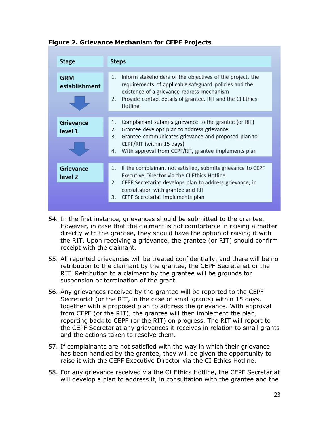| <b>Figure 2. Grievance Mechanism for CEPF Projects</b> |  |
|--------------------------------------------------------|--|
|--------------------------------------------------------|--|

| <b>Stage</b>                | <b>Steps</b>                                                                                                                                                                                                                                                            |
|-----------------------------|-------------------------------------------------------------------------------------------------------------------------------------------------------------------------------------------------------------------------------------------------------------------------|
| <b>GRM</b><br>establishment | Inform stakeholders of the objectives of the project, the<br>1.<br>requirements of applicable safeguard policies and the<br>existence of a grievance redress mechanism<br>Provide contact details of grantee, RIT and the CI Ethics<br>2.<br>Hotline                    |
| Grievance<br>level 1        | Complainant submits grievance to the grantee (or RIT)<br>1.<br>Grantee develops plan to address grievance<br>2.<br>Grantee communicates grievance and proposed plan to<br>3.<br>CEPF/RIT (within 15 days)<br>With approval from CEPF/RIT, grantee implements plan<br>4. |
| Grievance<br>level 2        | If the complainant not satisfied, submits grievance to CEPF<br>1.<br>Executive Director via the CLEthics Hotline<br>CEPF Secretariat develops plan to address grievance, in<br>2.<br>consultation with grantee and RIT<br>CEPF Secretariat implements plan<br>3.        |

- 54. In the first instance, grievances should be submitted to the grantee. However, in case that the claimant is not comfortable in raising a matter directly with the grantee, they should have the option of raising it with the RIT. Upon receiving a grievance, the grantee (or RIT) should confirm receipt with the claimant.
- 55. All reported grievances will be treated confidentially, and there will be no retribution to the claimant by the grantee, the CEPF Secretariat or the RIT. Retribution to a claimant by the grantee will be grounds for suspension or termination of the grant.
- 56. Any grievances received by the grantee will be reported to the CEPF Secretariat (or the RIT, in the case of small grants) within 15 days, together with a proposed plan to address the grievance. With approval from CEPF (or the RIT), the grantee will then implement the plan, reporting back to CEPF (or the RIT) on progress. The RIT will report to the CEPF Secretariat any grievances it receives in relation to small grants and the actions taken to resolve them.
- 57. If complainants are not satisfied with the way in which their grievance has been handled by the grantee, they will be given the opportunity to raise it with the CEPF Executive Director via the CI Ethics Hotline.
- 58. For any grievance received via the CI Ethics Hotline, the CEPF Secretariat will develop a plan to address it, in consultation with the grantee and the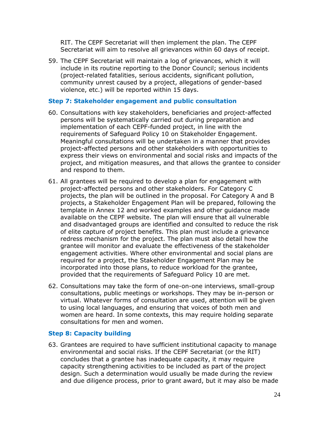RIT. The CEPF Secretariat will then implement the plan. The CEPF Secretariat will aim to resolve all grievances within 60 days of receipt.

59. The CEPF Secretariat will maintain a log of grievances, which it will include in its routine reporting to the Donor Council; serious incidents (project-related fatalities, serious accidents, significant pollution, community unrest caused by a project, allegations of gender-based violence, etc.) will be reported within 15 days.

#### **Step 7: Stakeholder engagement and public consultation**

- 60. Consultations with key stakeholders, beneficiaries and project-affected persons will be systematically carried out during preparation and implementation of each CEPF-funded project, in line with the requirements of Safeguard Policy 10 on Stakeholder Engagement. Meaningful consultations will be undertaken in a manner that provides project-affected persons and other stakeholders with opportunities to express their views on environmental and social risks and impacts of the project, and mitigation measures, and that allows the grantee to consider and respond to them.
- 61. All grantees will be required to develop a plan for engagement with project-affected persons and other stakeholders. For Category C projects, the plan will be outlined in the proposal. For Category A and B projects, a Stakeholder Engagement Plan will be prepared, following the template in Annex 12 and worked examples and other guidance made available on the CEPF website. The plan will ensure that all vulnerable and disadvantaged groups are identified and consulted to reduce the risk of elite capture of project benefits. This plan must include a grievance redress mechanism for the project. The plan must also detail how the grantee will monitor and evaluate the effectiveness of the stakeholder engagement activities. Where other environmental and social plans are required for a project, the Stakeholder Engagement Plan may be incorporated into those plans, to reduce workload for the grantee, provided that the requirements of Safeguard Policy 10 are met.
- 62. Consultations may take the form of one-on-one interviews, small-group consultations, public meetings or workshops. They may be in-person or virtual. Whatever forms of consultation are used, attention will be given to using local languages, and ensuring that voices of both men and women are heard. In some contexts, this may require holding separate consultations for men and women.

#### **Step 8: Capacity building**

63. Grantees are required to have sufficient institutional capacity to manage environmental and social risks. If the CEPF Secretariat (or the RIT) concludes that a grantee has inadequate capacity, it may require capacity strengthening activities to be included as part of the project design. Such a determination would usually be made during the review and due diligence process, prior to grant award, but it may also be made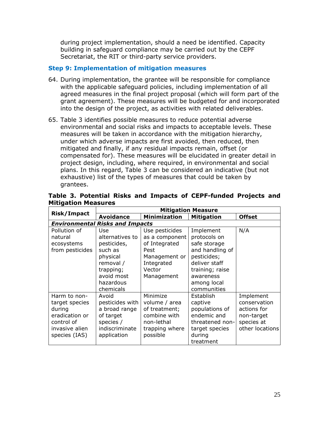during project implementation, should a need be identified. Capacity building in safeguard compliance may be carried out by the CEPF Secretariat, the RIT or third-party service providers.

#### **Step 9: Implementation of mitigation measures**

- 64. During implementation, the grantee will be responsible for compliance with the applicable safeguard policies, including implementation of all agreed measures in the final project proposal (which will form part of the grant agreement). These measures will be budgeted for and incorporated into the design of the project, as activities with related deliverables.
- 65. Table 3 identifies possible measures to reduce potential adverse environmental and social risks and impacts to acceptable levels. These measures will be taken in accordance with the mitigation hierarchy, under which adverse impacts are first avoided, then reduced, then mitigated and finally, if any residual impacts remain, offset (or compensated for). These measures will be elucidated in greater detail in project design, including, where required, in environmental and social plans. In this regard, Table 3 can be considered an indicative (but not exhaustive) list of the types of measures that could be taken by grantees.

|                    | <b>Mitigation Measure</b>              |                     |                   |                 |  |
|--------------------|----------------------------------------|---------------------|-------------------|-----------------|--|
| <b>Risk/Impact</b> | <b>Avoidance</b>                       | <b>Minimization</b> | <b>Mitigation</b> | <b>Offset</b>   |  |
|                    | <b>Environmental Risks and Impacts</b> |                     |                   |                 |  |
| Pollution of       | Use                                    | Use pesticides      | Implement         | N/A             |  |
| natural            | alternatives to                        | as a component      | protocols on      |                 |  |
| ecosystems         | pesticides,                            | of Integrated       | safe storage      |                 |  |
| from pesticides    | such as                                | Pest                | and handling of   |                 |  |
|                    | physical                               | Management or       | pesticides;       |                 |  |
|                    | removal /                              | Integrated          | deliver staff     |                 |  |
|                    | trapping;                              | Vector              | training; raise   |                 |  |
|                    | avoid most                             | Management          | awareness         |                 |  |
|                    | hazardous                              |                     | among local       |                 |  |
|                    | chemicals                              |                     | communities       |                 |  |
| Harm to non-       | Avoid                                  | Minimize            | Establish         | Implement       |  |
| target species     | pesticides with                        | volume / area       | captive           | conservation    |  |
| during             | a broad range                          | of treatment;       | populations of    | actions for     |  |
| eradication or     | of target                              | combine with        | endemic and       | non-target      |  |
| control of         | species /                              | non-lethal          | threatened non-   | species at      |  |
| invasive alien     | indiscriminate                         | trapping where      | target species    | other locations |  |
| species (IAS)      | application                            | possible            | during            |                 |  |
|                    |                                        |                     | treatment         |                 |  |

#### **Table 3. Potential Risks and Impacts of CEPF-funded Projects and Mitigation Measures**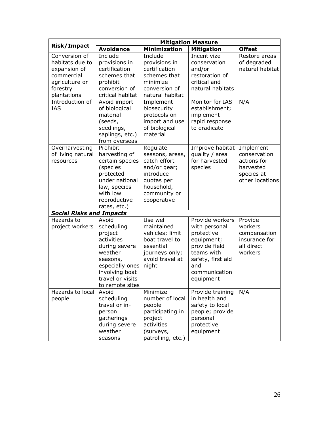| <b>Risk/Impact</b>                                                                                                             | <b>Mitigation Measure</b>                                                                                                                                        |                                                                                                                                     |                                                                                                                                                       |                                                                                        |
|--------------------------------------------------------------------------------------------------------------------------------|------------------------------------------------------------------------------------------------------------------------------------------------------------------|-------------------------------------------------------------------------------------------------------------------------------------|-------------------------------------------------------------------------------------------------------------------------------------------------------|----------------------------------------------------------------------------------------|
|                                                                                                                                | <b>Avoidance</b>                                                                                                                                                 | <b>Minimization</b>                                                                                                                 | <b>Mitigation</b>                                                                                                                                     | <b>Offset</b>                                                                          |
| Conversion of<br>habitats due to<br>expansion of<br>commercial<br>agriculture or<br>forestry<br>plantations<br>Introduction of | Include<br>provisions in<br>certification<br>schemes that<br>prohibit<br>conversion of<br>critical habitat<br>Avoid import                                       | Include<br>provisions in<br>certification<br>schemes that<br>minimize<br>conversion of<br>natural habitat<br>Implement              | Incentivize<br>conservation<br>and/or<br>restoration of<br>critical and<br>natural habitats<br>Monitor for IAS                                        | Restore areas<br>of degraded<br>natural habitat<br>N/A                                 |
| IAS                                                                                                                            | of biological<br>material<br>(seeds,<br>seedlings,<br>saplings, etc.)<br>from overseas                                                                           | biosecurity<br>protocols on<br>import and use<br>of biological<br>material                                                          | establishment;<br>implement<br>rapid response<br>to eradicate                                                                                         |                                                                                        |
| Overharvesting<br>of living natural<br>resources                                                                               | Prohibit<br>harvesting of<br>certain species<br>(species<br>protected<br>under national<br>law, species<br>with low<br>reproductive<br>rates, etc.)              | Regulate<br>seasons, areas,<br>catch effort<br>and/or gear;<br>introduce<br>quotas per<br>household,<br>community or<br>cooperative | Improve habitat<br>quality / area<br>for harvested<br>species                                                                                         | Implement<br>conservation<br>actions for<br>harvested<br>species at<br>other locations |
| <b>Social Risks and Impacts</b>                                                                                                |                                                                                                                                                                  |                                                                                                                                     |                                                                                                                                                       |                                                                                        |
| Hazards to<br>project workers                                                                                                  | Avoid<br>scheduling<br>project<br>activities<br>during severe<br>weather<br>seasons,<br>especially ones<br>involving boat<br>travel or visits<br>to remote sites | Use well<br>maintained<br>vehicles; limit<br>boat travel to<br>essential<br>journeys only;<br>avoid travel at<br>night              | Provide workers<br>with personal<br>protective<br>equipment;<br>provide field<br>teams with<br>safety, first aid<br>and<br>communication<br>equipment | Provide<br>workers<br>compensation<br>insurance for<br>all direct<br>workers           |
| Hazards to local<br>people                                                                                                     | Avoid<br>scheduling<br>travel or in-<br>person<br>gatherings<br>during severe<br>weather<br>seasons                                                              | Minimize<br>number of local<br>people<br>participating in<br>project<br>activities<br>(surveys,<br>patrolling, etc.)                | Provide training<br>in health and<br>safety to local<br>people; provide<br>personal<br>protective<br>equipment                                        | N/A                                                                                    |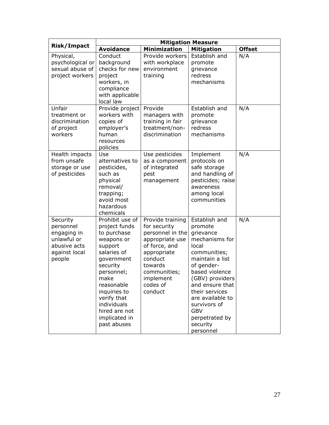| <b>Risk/Impact</b>                                                                             | <b>Mitigation Measure</b>                                                                                                                                                                                                                            |                                                                                                                                                                                   |                                                                                                                                                                                                                                                                                          |               |  |
|------------------------------------------------------------------------------------------------|------------------------------------------------------------------------------------------------------------------------------------------------------------------------------------------------------------------------------------------------------|-----------------------------------------------------------------------------------------------------------------------------------------------------------------------------------|------------------------------------------------------------------------------------------------------------------------------------------------------------------------------------------------------------------------------------------------------------------------------------------|---------------|--|
|                                                                                                | <b>Avoidance</b>                                                                                                                                                                                                                                     | <b>Minimization</b>                                                                                                                                                               | <b>Mitigation</b>                                                                                                                                                                                                                                                                        | <b>Offset</b> |  |
| Physical,<br>psychological or<br>sexual abuse of<br>project workers                            | Conduct<br>background<br>checks for new<br>project<br>workers, in<br>compliance<br>with applicable<br>local law                                                                                                                                      | Provide workers<br>with workplace<br>environment<br>training                                                                                                                      | Establish and<br>promote<br>grievance<br>redress<br>mechanisms                                                                                                                                                                                                                           | N/A           |  |
| Unfair<br>treatment or<br>discrimination<br>of project<br>workers                              | Provide project<br>workers with<br>copies of<br>employer's<br>human<br>resources<br>policies                                                                                                                                                         | Provide<br>managers with<br>training in fair<br>treatment/non-<br>discrimination                                                                                                  | Establish and<br>promote<br>grievance<br>redress<br>mechanisms                                                                                                                                                                                                                           | N/A           |  |
| Health impacts<br>from unsafe<br>storage or use<br>of pesticides                               | Use<br>alternatives to<br>pesticides,<br>such as<br>physical<br>removal/<br>trapping;<br>avoid most<br>hazardous<br>chemicals                                                                                                                        | Use pesticides<br>as a component<br>of integrated<br>pest<br>management                                                                                                           | Implement<br>protocols on<br>safe storage<br>and handling of<br>pesticides; raise<br>awareness<br>among local<br>communities                                                                                                                                                             | N/A           |  |
| Security<br>personnel<br>engaging in<br>unlawful or<br>abusive acts<br>against local<br>people | Prohibit use of<br>project funds<br>to purchase<br>weapons or<br>support<br>salaries of<br>government<br>security<br>personnel;<br>make<br>reasonable<br>inquiries to<br>verify that<br>individuals<br>hired are not<br>implicated in<br>past abuses | Provide training<br>for security<br>personnel in the<br>appropriate use<br>of force, and<br>appropriate<br>conduct<br>towards<br>communities;<br>implement<br>codes of<br>conduct | Establish and<br>promote<br>grievance<br>mechanisms for<br>local<br>communities;<br>maintain a list<br>of gender-<br>based violence<br>(GBV) providers<br>and ensure that<br>their services<br>are available to<br>survivors of<br><b>GBV</b><br>perpetrated by<br>security<br>personnel | N/A           |  |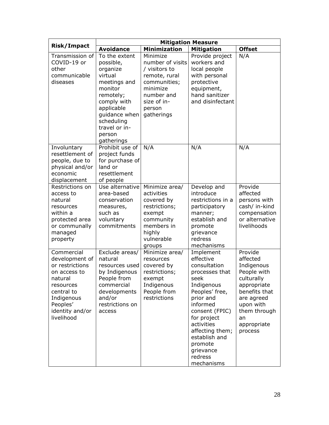|                                                                                                                                                                  | <b>Mitigation Measure</b>                                                                                                                                                                      |                                                                                                                                                 |                                                                                                                                                                                                                                                               |                                                                                                                                                                           |  |
|------------------------------------------------------------------------------------------------------------------------------------------------------------------|------------------------------------------------------------------------------------------------------------------------------------------------------------------------------------------------|-------------------------------------------------------------------------------------------------------------------------------------------------|---------------------------------------------------------------------------------------------------------------------------------------------------------------------------------------------------------------------------------------------------------------|---------------------------------------------------------------------------------------------------------------------------------------------------------------------------|--|
| <b>Risk/Impact</b>                                                                                                                                               | <b>Avoidance</b>                                                                                                                                                                               | <b>Minimization</b>                                                                                                                             | <b>Mitigation</b>                                                                                                                                                                                                                                             | <b>Offset</b>                                                                                                                                                             |  |
| Transmission of<br>COVID-19 or<br>other<br>communicable<br>diseases                                                                                              | To the extent<br>possible,<br>organize<br>virtual<br>meetings and<br>monitor<br>remotely;<br>comply with<br>applicable<br>quidance when<br>scheduling<br>travel or in-<br>person<br>gatherings | Minimize<br>number of visits<br>/ visitors to<br>remote, rural<br>communities;<br>minimize<br>number and<br>size of in-<br>person<br>gatherings | Provide project<br>workers and<br>local people<br>with personal<br>protective<br>equipment,<br>hand sanitizer<br>and disinfectant                                                                                                                             | N/A                                                                                                                                                                       |  |
| Involuntary<br>resettlement of<br>people, due to<br>physical and/or<br>economic<br>displacement                                                                  | Prohibit use of<br>project funds<br>for purchase of<br>land or<br>resettlement<br>of people                                                                                                    | N/A                                                                                                                                             | N/A                                                                                                                                                                                                                                                           | N/A                                                                                                                                                                       |  |
| Restrictions on<br>access to<br>natural<br>resources<br>within a<br>protected area<br>or communally<br>managed<br>property                                       | Use alternative<br>area-based<br>conservation<br>measures,<br>such as<br>voluntary<br>commitments                                                                                              | Minimize area/<br>activities<br>covered by<br>restrictions;<br>exempt<br>community<br>members in<br>highly<br>vulnerable<br>groups              | Develop and<br>introduce<br>restrictions in a<br>participatory<br>manner;<br>establish and<br>promote<br>grievance<br>redress<br>mechanisms                                                                                                                   | Provide<br>affected<br>persons with<br>cash/ in-kind<br>compensation<br>or alternative<br>livelihoods                                                                     |  |
| Commercial<br>development of<br>or restrictions<br>on access to<br>natural<br>resources<br>central to<br>Indigenous<br>Peoples'<br>identity and/or<br>livelihood | Exclude areas/<br>natural<br>resources used<br>by Indigenous<br>People from<br>commercial<br>developments<br>and/or<br>restrictions on<br>access                                               | Minimize area/<br>resources<br>covered by<br>restrictions;<br>exempt<br>Indigenous<br>People from<br>restrictions                               | Implement<br>effective<br>consultation<br>processes that<br>seek<br>Indigenous<br>Peoples' free,<br>prior and<br>informed<br>consent (FPIC)<br>for project<br>activities<br>affecting them;<br>establish and<br>promote<br>grievance<br>redress<br>mechanisms | Provide<br>affected<br>Indigenous<br>People with<br>culturally<br>appropriate<br>benefits that<br>are agreed<br>upon with<br>them through<br>an<br>appropriate<br>process |  |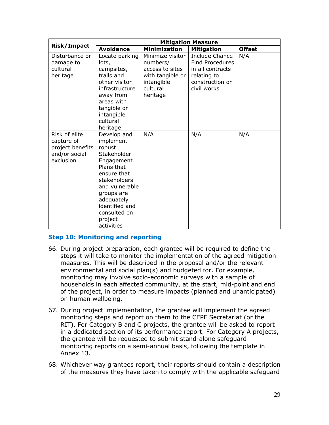| <b>Risk/Impact</b>                                                            | <b>Mitigation Measure</b>                                                                                                                                                                                             |                                                                                                           |                                                                                                                      |               |
|-------------------------------------------------------------------------------|-----------------------------------------------------------------------------------------------------------------------------------------------------------------------------------------------------------------------|-----------------------------------------------------------------------------------------------------------|----------------------------------------------------------------------------------------------------------------------|---------------|
|                                                                               | <b>Avoidance</b>                                                                                                                                                                                                      | <b>Minimization</b>                                                                                       | <b>Mitigation</b>                                                                                                    | <b>Offset</b> |
| Disturbance or<br>damage to<br>cultural<br>heritage                           | Locate parking<br>lots,<br>campsites,<br>trails and<br>other visitor<br>infrastructure<br>away from<br>areas with<br>tangible or<br>intangible<br>cultural<br>heritage                                                | Minimize visitor<br>numbers/<br>access to sites<br>with tangible or<br>intangible<br>cultural<br>heritage | <b>Include Chance</b><br><b>Find Procedures</b><br>in all contracts<br>relating to<br>construction or<br>civil works | N/A           |
| Risk of elite<br>capture of<br>project benefits<br>and/or social<br>exclusion | Develop and<br>implement<br>robust<br>Stakeholder<br>Engagement<br>Plans that<br>ensure that<br>stakeholders<br>and vulnerable<br>groups are<br>adequately<br>identified and<br>consulted on<br>project<br>activities | N/A                                                                                                       | N/A                                                                                                                  | N/A           |

#### **Step 10: Monitoring and reporting**

- 66. During project preparation, each grantee will be required to define the steps it will take to monitor the implementation of the agreed mitigation measures. This will be described in the proposal and/or the relevant environmental and social plan(s) and budgeted for. For example, monitoring may involve socio-economic surveys with a sample of households in each affected community, at the start, mid-point and end of the project, in order to measure impacts (planned and unanticipated) on human wellbeing.
- 67. During project implementation, the grantee will implement the agreed monitoring steps and report on them to the CEPF Secretariat (or the RIT). For Category B and C projects, the grantee will be asked to report in a dedicated section of its performance report. For Category A projects, the grantee will be requested to submit stand-alone safeguard monitoring reports on a semi-annual basis, following the template in Annex 13.
- 68. Whichever way grantees report, their reports should contain a description of the measures they have taken to comply with the applicable safeguard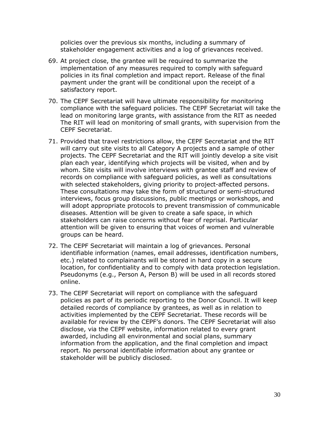policies over the previous six months, including a summary of stakeholder engagement activities and a log of grievances received.

- 69. At project close, the grantee will be required to summarize the implementation of any measures required to comply with safeguard policies in its final completion and impact report. Release of the final payment under the grant will be conditional upon the receipt of a satisfactory report.
- 70. The CEPF Secretariat will have ultimate responsibility for monitoring compliance with the safeguard policies. The CEPF Secretariat will take the lead on monitoring large grants, with assistance from the RIT as needed The RIT will lead on monitoring of small grants, with supervision from the CEPF Secretariat.
- 71. Provided that travel restrictions allow, the CEPF Secretariat and the RIT will carry out site visits to all Category A projects and a sample of other projects. The CEPF Secretariat and the RIT will jointly develop a site visit plan each year, identifying which projects will be visited, when and by whom. Site visits will involve interviews with grantee staff and review of records on compliance with safeguard policies, as well as consultations with selected stakeholders, giving priority to project-affected persons. These consultations may take the form of structured or semi-structured interviews, focus group discussions, public meetings or workshops, and will adopt appropriate protocols to prevent transmission of communicable diseases. Attention will be given to create a safe space, in which stakeholders can raise concerns without fear of reprisal. Particular attention will be given to ensuring that voices of women and vulnerable groups can be heard.
- 72. The CEPF Secretariat will maintain a log of grievances. Personal identifiable information (names, email addresses, identification numbers, etc.) related to complainants will be stored in hard copy in a secure location, for confidentiality and to comply with data protection legislation. Pseudonyms (e.g., Person A, Person B) will be used in all records stored online.
- 73. The CEPF Secretariat will report on compliance with the safeguard policies as part of its periodic reporting to the Donor Council. It will keep detailed records of compliance by grantees, as well as in relation to activities implemented by the CEPF Secretariat. These records will be available for review by the CEPF's donors. The CEPF Secretariat will also disclose, via the CEPF website, information related to every grant awarded, including all environmental and social plans, summary information from the application, and the final completion and impact report. No personal identifiable information about any grantee or stakeholder will be publicly disclosed.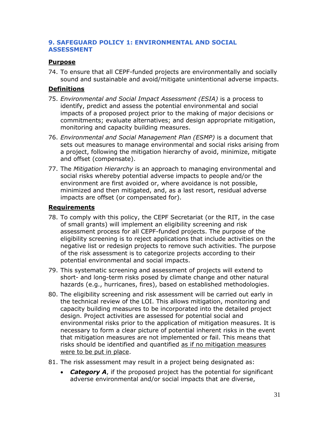#### <span id="page-30-0"></span>**9. SAFEGUARD POLICY 1: ENVIRONMENTAL AND SOCIAL ASSESSMENT**

#### **Purpose**

74. To ensure that all CEPF-funded projects are environmentally and socially sound and sustainable and avoid/mitigate unintentional adverse impacts.

#### **Definitions**

- 75. *Environmental and Social Impact Assessment (ESIA)* is a process to identify, predict and assess the potential environmental and social impacts of a proposed project prior to the making of major decisions or commitments; evaluate alternatives; and design appropriate mitigation, monitoring and capacity building measures.
- 76. *Environmental and Social Management Plan (ESMP)* is a document that sets out measures to manage environmental and social risks arising from a project, following the mitigation hierarchy of avoid, minimize, mitigate and offset (compensate).
- 77. The *Mitigation Hierarchy* is an approach to managing environmental and social risks whereby potential adverse impacts to people and/or the environment are first avoided or, where avoidance is not possible, minimized and then mitigated, and, as a last resort, residual adverse impacts are offset (or compensated for).

#### **Requirements**

- 78. To comply with this policy, the CEPF Secretariat (or the RIT, in the case of small grants) will implement an eligibility screening and risk assessment process for all CEPF-funded projects. The purpose of the eligibility screening is to reject applications that include activities on the negative list or redesign projects to remove such activities. The purpose of the risk assessment is to categorize projects according to their potential environmental and social impacts.
- 79. This systematic screening and assessment of projects will extend to short- and long-term risks posed by climate change and other natural hazards (e.g., hurricanes, fires), based on established methodologies.
- 80. The eligibility screening and risk assessment will be carried out early in the technical review of the LOI. This allows mitigation, monitoring and capacity building measures to be incorporated into the detailed project design. Project activities are assessed for potential social and environmental risks prior to the application of mitigation measures. It is necessary to form a clear picture of potential inherent risks in the event that mitigation measures are not implemented or fail. This means that risks should be identified and quantified as if no mitigation measures were to be put in place.
- 81. The risk assessment may result in a project being designated as:
	- *Category A*, if the proposed project has the potential for significant adverse environmental and/or social impacts that are diverse,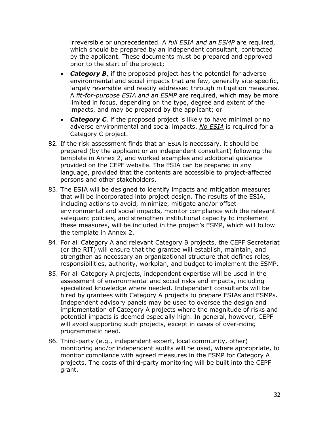irreversible or unprecedented. A *full ESIA and an ESMP* are required, which should be prepared by an independent consultant, contracted by the applicant. These documents must be prepared and approved prior to the start of the project;

- *Category B*, if the proposed project has the potential for adverse environmental and social impacts that are few, generally site-specific, largely reversible and readily addressed through mitigation measures. A *fit-for-purpose ESIA and an ESMP* are required, which may be more limited in focus, depending on the type, degree and extent of the impacts, and may be prepared by the applicant; or
- *Category C*, if the proposed project is likely to have minimal or no adverse environmental and social impacts. *No ESIA* is required for a Category C project.
- 82. If the risk assessment finds that an ESIA is necessary, it should be prepared (by the applicant or an independent consultant) following the template in Annex 2, and worked examples and additional guidance provided on the CEPF website. The ESIA can be prepared in any language, provided that the contents are accessible to project-affected persons and other stakeholders.
- 83. The ESIA will be designed to identify impacts and mitigation measures that will be incorporated into project design. The results of the ESIA, including actions to avoid, minimize, mitigate and/or offset environmental and social impacts, monitor compliance with the relevant safeguard policies, and strengthen institutional capacity to implement these measures, will be included in the project's ESMP, which will follow the template in Annex 2.
- 84. For all Category A and relevant Category B projects, the CEPF Secretariat (or the RIT) will ensure that the grantee will establish, maintain, and strengthen as necessary an organizational structure that defines roles, responsibilities, authority, workplan, and budget to implement the ESMP.
- 85. For all Category A projects, independent expertise will be used in the assessment of environmental and social risks and impacts, including specialized knowledge where needed. Independent consultants will be hired by grantees with Category A projects to prepare ESIAs and ESMPs. Independent advisory panels may be used to oversee the design and implementation of Category A projects where the magnitude of risks and potential impacts is deemed especially high. In general, however, CEPF will avoid supporting such projects, except in cases of over-riding programmatic need.
- 86. Third-party (e.g., independent expert, local community, other) monitoring and/or independent audits will be used, where appropriate, to monitor compliance with agreed measures in the ESMP for Category A projects. The costs of third-party monitoring will be built into the CEPF grant.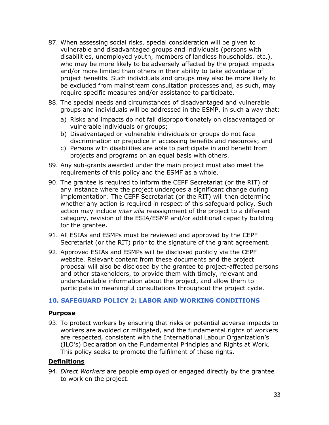- 87. When assessing social risks, special consideration will be given to vulnerable and disadvantaged groups and individuals (persons with disabilities, unemployed youth, members of landless households, etc.), who may be more likely to be adversely affected by the project impacts and/or more limited than others in their ability to take advantage of project benefits. Such individuals and groups may also be more likely to be excluded from mainstream consultation processes and, as such, may require specific measures and/or assistance to participate.
- 88. The special needs and circumstances of disadvantaged and vulnerable groups and individuals will be addressed in the ESMP, in such a way that:
	- a) Risks and impacts do not fall disproportionately on disadvantaged or vulnerable individuals or groups;
	- b) Disadvantaged or vulnerable individuals or groups do not face discrimination or prejudice in accessing benefits and resources; and
	- c) Persons with disabilities are able to participate in and benefit from projects and programs on an equal basis with others.
- 89. Any sub-grants awarded under the main project must also meet the requirements of this policy and the ESMF as a whole.
- 90. The grantee is required to inform the CEPF Secretariat (or the RIT) of any instance where the project undergoes a significant change during implementation. The CEPF Secretariat (or the RIT) will then determine whether any action is required in respect of this safeguard policy. Such action may include *inter alia* reassignment of the project to a different category, revision of the ESIA/ESMP and/or additional capacity building for the grantee.
- 91. All ESIAs and ESMPs must be reviewed and approved by the CEPF Secretariat (or the RIT) prior to the signature of the grant agreement.
- 92. Approved ESIAs and ESMPs will be disclosed publicly via the CEPF website. Relevant content from these documents and the project proposal will also be disclosed by the grantee to project-affected persons and other stakeholders, to provide them with timely, relevant and understandable information about the project, and allow them to participate in meaningful consultations throughout the project cycle.

#### <span id="page-32-0"></span>**10. SAFEGUARD POLICY 2: LABOR AND WORKING CONDITIONS**

#### **Purpose**

93. To protect workers by ensuring that risks or potential adverse impacts to workers are avoided or mitigated, and the fundamental rights of workers are respected, consistent with the International Labour Organization's (ILO's) Declaration on the Fundamental Principles and Rights at Work*.*  This policy seeks to promote the fulfilment of these rights.

#### **Definitions**

94. *Direct Workers* are people employed or engaged directly by the grantee to work on the project.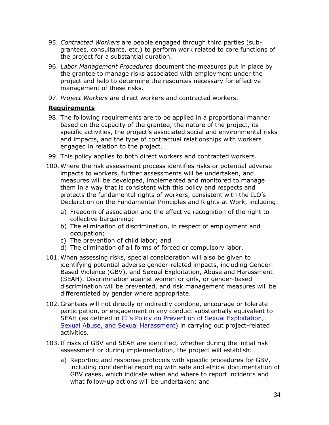- 95. *Contracted Workers* are people engaged through third parties (subgrantees, consultants, etc.) to perform work related to core functions of the project for a substantial duration.
- 96. *Labor Management Procedures* document the measures put in place by the grantee to manage risks associated with employment under the project and help to determine the resources necessary for effective management of these risks.
- 97. *Project Workers* are direct workers and contracted workers.

#### **Requirements**

- 98. The following requirements are to be applied in a proportional manner based on the capacity of the grantee, the nature of the project, its specific activities, the project's associated social and environmental risks and impacts, and the type of contractual relationships with workers engaged in relation to the project.
- 99. This policy applies to both direct workers and contracted workers.
- 100. Where the risk assessment process identifies risks or potential adverse impacts to workers, further assessments will be undertaken, and measures will be developed, implemented and monitored to manage them in a way that is consistent with this policy and respects and protects the fundamental rights of workers, consistent with the ILO's Declaration on the Fundamental Principles and Rights at Work, including:
	- a) Freedom of association and the effective recognition of the right to collective bargaining;
	- b) The elimination of discrimination, in respect of employment and occupation;
	- c) The prevention of child labor; and
	- d) The elimination of all forms of forced or compulsory labor.
- 101. When assessing risks, special consideration will also be given to identifying potential adverse gender-related impacts, including Gender-Based Violence (GBV), and Sexual Exploitation, Abuse and Harassment (SEAH). Discrimination against women or girls, or gender-based discrimination will be prevented, and risk management measures will be differentiated by gender where appropriate.
- 102. Grantees will not directly or indirectly condone, encourage or tolerate participation, or engagement in any conduct substantially equivalent to SEAH (as defined in CI's Policy on Preven[tion of Sexual Exploitation,](https://www.conservation.org/about/our-policies/prevention-of-sexual-exploitation-sexual-abuse-and-sexual-harassment)  [Sexual Abuse, and Sexual Harassment\)](https://www.conservation.org/about/our-policies/prevention-of-sexual-exploitation-sexual-abuse-and-sexual-harassment) in carrying out project-related activities.
- 103. If risks of GBV and SEAH are identified, whether during the initial risk assessment or during implementation, the project will establish:
	- a) Reporting and response protocols with specific procedures for GBV, including confidential reporting with safe and ethical documentation of GBV cases, which indicate when and where to report incidents and what follow-up actions will be undertaken; and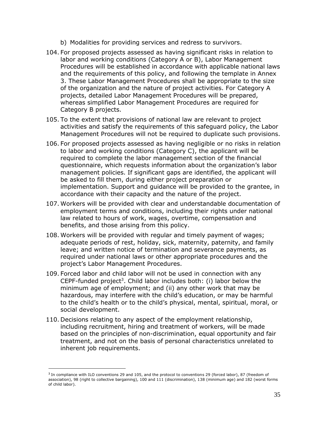- b) Modalities for providing services and redress to survivors.
- 104. For proposed projects assessed as having significant risks in relation to labor and working conditions (Category A or B), Labor Management Procedures will be established in accordance with applicable national laws and the requirements of this policy, and following the template in Annex 3. These Labor Management Procedures shall be appropriate to the size of the organization and the nature of project activities. For Category A projects, detailed Labor Management Procedures will be prepared, whereas simplified Labor Management Procedures are required for Category B projects.
- 105. To the extent that provisions of national law are relevant to project activities and satisfy the requirements of this safeguard policy, the Labor Management Procedures will not be required to duplicate such provisions.
- 106. For proposed projects assessed as having negligible or no risks in relation to labor and working conditions (Category C), the applicant will be required to complete the labor management section of the financial questionnaire, which requests information about the organization's labor management policies. If significant gaps are identified, the applicant will be asked to fill them, during either project preparation or implementation. Support and guidance will be provided to the grantee, in accordance with their capacity and the nature of the project.
- 107. Workers will be provided with clear and understandable documentation of employment terms and conditions, including their rights under national law related to hours of work, wages, overtime, compensation and benefits, and those arising from this policy.
- 108. Workers will be provided with regular and timely payment of wages; adequate periods of rest, holiday, sick, maternity, paternity, and family leave; and written notice of termination and severance payments, as required under national laws or other appropriate procedures and the project's Labor Management Procedures.
- 109. Forced labor and child labor will not be used in connection with any CEPF-funded project<sup>3</sup>. Child labor includes both: (i) labor below the minimum age of employment; and (ii) any other work that may be hazardous, may interfere with the child's education, or may be harmful to the child's health or to the child's physical, mental, spiritual, moral, or social development.
- 110. Decisions relating to any aspect of the employment relationship, including recruitment, hiring and treatment of workers, will be made based on the principles of non-discrimination, equal opportunity and fair treatment, and not on the basis of personal characteristics unrelated to inherent job requirements.

<sup>&</sup>lt;sup>3</sup> In compliance with ILO conventions 29 and 105, and the protocol to conventions 29 (forced labor), 87 (freedom of association), 98 (right to collective bargaining), 100 and 111 (discrimination), 138 (minimum age) and 182 (worst forms of child labor).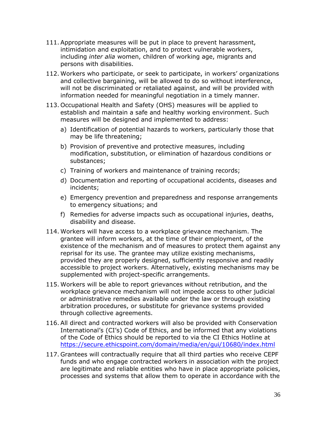- 111. Appropriate measures will be put in place to prevent harassment, intimidation and exploitation, and to protect vulnerable workers, including *inter alia* women, children of working age, migrants and persons with disabilities.
- 112. Workers who participate, or seek to participate, in workers' organizations and collective bargaining, will be allowed to do so without interference, will not be discriminated or retaliated against, and will be provided with information needed for meaningful negotiation in a timely manner.
- 113. Occupational Health and Safety (OHS) measures will be applied to establish and maintain a safe and healthy working environment. Such measures will be designed and implemented to address:
	- a) Identification of potential hazards to workers, particularly those that may be life threatening;
	- b) Provision of preventive and protective measures, including modification, substitution, or elimination of hazardous conditions or substances;
	- c) Training of workers and maintenance of training records;
	- d) Documentation and reporting of occupational accidents, diseases and incidents;
	- e) Emergency prevention and preparedness and response arrangements to emergency situations; and
	- f) Remedies for adverse impacts such as occupational injuries, deaths, disability and disease.
- 114. Workers will have access to a workplace grievance mechanism. The grantee will inform workers, at the time of their employment, of the existence of the mechanism and of measures to protect them against any reprisal for its use. The grantee may utilize existing mechanisms, provided they are properly designed, sufficiently responsive and readily accessible to project workers. Alternatively, existing mechanisms may be supplemented with project-specific arrangements.
- 115. Workers will be able to report grievances without retribution, and the workplace grievance mechanism will not impede access to other judicial or administrative remedies available under the law or through existing arbitration procedures, or substitute for grievance systems provided through collective agreements.
- 116. All direct and contracted workers will also be provided with Conservation International's (CI's) Code of Ethics, and be informed that any violations of the Code of Ethics should be reported to via the CI Ethics Hotline at <https://secure.ethicspoint.com/domain/media/en/gui/10680/index.html>
- 117. Grantees will contractually require that all third parties who receive CEPF funds and who engage contracted workers in association with the project are legitimate and reliable entities who have in place appropriate policies, processes and systems that allow them to operate in accordance with the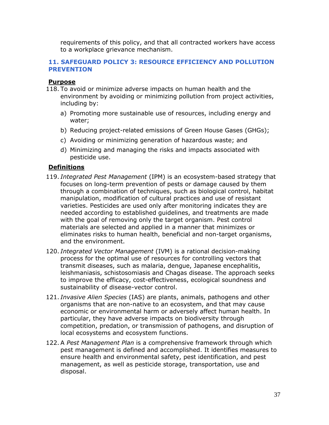requirements of this policy, and that all contracted workers have access to a workplace grievance mechanism.

#### **11. SAFEGUARD POLICY 3: RESOURCE EFFICIENCY AND POLLUTION PREVENTION**

#### **Purpose**

- 118. To avoid or minimize adverse impacts on human health and the environment by avoiding or minimizing pollution from project activities, including by:
	- a) Promoting more sustainable use of resources, including energy and water;
	- b) Reducing project-related emissions of Green House Gases (GHGs);
	- c) Avoiding or minimizing generation of hazardous waste; and
	- d) Minimizing and managing the risks and impacts associated with pesticide use.

## **Definitions**

- 119. *Integrated Pest Management* (IPM) is an ecosystem-based strategy that focuses on long-term prevention of pests or damage caused by them through a combination of techniques, such as biological control, habitat manipulation, modification of cultural practices and use of resistant varieties. Pesticides are used only after monitoring indicates they are needed according to established guidelines, and treatments are made with the goal of removing only the target organism. Pest control materials are selected and applied in a manner that minimizes or eliminates risks to human health, beneficial and non-target organisms, and the environment.
- 120. *Integrated Vector Management* (IVM) is a rational decision-making process for the optimal use of resources for controlling vectors that transmit diseases, such as malaria, dengue, Japanese encephalitis, leishmaniasis, schistosomiasis and Chagas disease. The approach seeks to improve the efficacy, cost-effectiveness, ecological soundness and sustainability of disease-vector control.
- 121. *Invasive Alien Species* (IAS) are plants, animals, pathogens and other organisms that are non-native to an ecosystem, and that may cause economic or environmental harm or adversely affect human health. In particular, they have adverse impacts on biodiversity through competition, predation, or transmission of pathogens, and disruption of local ecosystems and ecosystem functions.
- 122. A *Pest Management Plan* is a comprehensive framework through which pest management is defined and accomplished. It identifies measures to ensure health and environmental safety, pest identification, and pest management, as well as pesticide storage, transportation, use and disposal.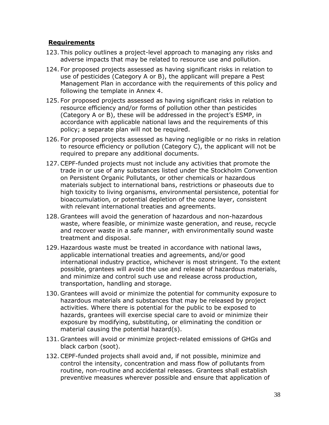- 123. This policy outlines a project-level approach to managing any risks and adverse impacts that may be related to resource use and pollution.
- 124. For proposed projects assessed as having significant risks in relation to use of pesticides (Category A or B), the applicant will prepare a Pest Management Plan in accordance with the requirements of this policy and following the template in Annex 4.
- 125. For proposed projects assessed as having significant risks in relation to resource efficiency and/or forms of pollution other than pesticides (Category A or B), these will be addressed in the project's ESMP, in accordance with applicable national laws and the requirements of this policy; a separate plan will not be required.
- 126. For proposed projects assessed as having negligible or no risks in relation to resource efficiency or pollution (Category C), the applicant will not be required to prepare any additional documents.
- 127. CEPF-funded projects must not include any activities that promote the trade in or use of any substances listed under the Stockholm Convention on Persistent Organic Pollutants, or other chemicals or hazardous materials subject to international bans, restrictions or phaseouts due to high toxicity to living organisms, environmental persistence, potential for bioaccumulation, or potential depletion of the ozone layer, consistent with relevant international treaties and agreements.
- 128. Grantees will avoid the generation of hazardous and non-hazardous waste, where feasible, or minimize waste generation, and reuse, recycle and recover waste in a safe manner, with environmentally sound waste treatment and disposal.
- 129. Hazardous waste must be treated in accordance with national laws, applicable international treaties and agreements, and/or good international industry practice, whichever is most stringent. To the extent possible, grantees will avoid the use and release of hazardous materials, and minimize and control such use and release across production, transportation, handling and storage.
- 130. Grantees will avoid or minimize the potential for community exposure to hazardous materials and substances that may be released by project activities. Where there is potential for the public to be exposed to hazards, grantees will exercise special care to avoid or minimize their exposure by modifying, substituting, or eliminating the condition or material causing the potential hazard(s).
- 131. Grantees will avoid or minimize project-related emissions of GHGs and black carbon (soot).
- 132. CEPF-funded projects shall avoid and, if not possible, minimize and control the intensity, concentration and mass flow of pollutants from routine, non-routine and accidental releases. Grantees shall establish preventive measures wherever possible and ensure that application of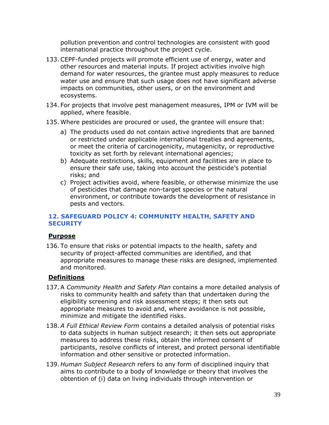pollution prevention and control technologies are consistent with good international practice throughout the project cycle.

- 133. CEPF-funded projects will promote efficient use of energy, water and other resources and material inputs. If project activities involve high demand for water resources, the grantee must apply measures to reduce water use and ensure that such usage does not have significant adverse impacts on communities, other users, or on the environment and ecosystems.
- 134. For projects that involve pest management measures, IPM or IVM will be applied, where feasible.
- 135. Where pesticides are procured or used, the grantee will ensure that:
	- a) The products used do not contain active ingredients that are banned or restricted under applicable international treaties and agreements, or meet the criteria of carcinogenicity, mutagenicity, or reproductive toxicity as set forth by relevant international agencies;
	- b) Adequate restrictions, skills, equipment and facilities are in place to ensure their safe use, taking into account the pesticide's potential risks; and
	- c) Project activities avoid, where feasible, or otherwise minimize the use of pesticides that damage non-target species or the natural environment, or contribute towards the development of resistance in pests and vectors.

## **12. SAFEGUARD POLICY 4: COMMUNITY HEALTH, SAFETY AND SECURITY**

## **Purpose**

136. To ensure that risks or potential impacts to the health, safety and security of project-affected communities are identified, and that appropriate measures to manage these risks are designed, implemented and monitored.

# **Definitions**

- 137.A *Community Health and Safety Plan* contains a more detailed analysis of risks to community health and safety than that undertaken during the eligibility screening and risk assessment steps; it then sets out appropriate measures to avoid and, where avoidance is not possible, minimize and mitigate the identified risks.
- 138.*A Full Ethical Review Form* contains a detailed analysis of potential risks to data subjects in human subject research; it then sets out appropriate measures to address these risks, obtain the informed consent of participants, resolve conflicts of interest, and protect personal identifiable information and other sensitive or protected information.
- 139. *Human Subject Research* refers to any form of disciplined inquiry that aims to contribute to a body of knowledge or theory that involves the obtention of (i) data on living individuals through intervention or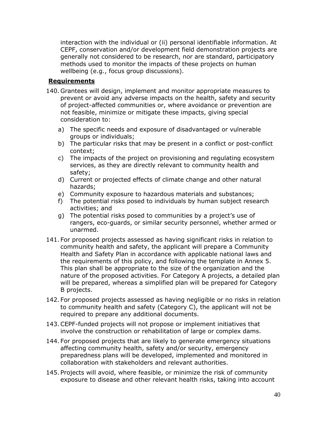interaction with the individual or (ii) personal identifiable information. At CEPF, conservation and/or development field demonstration projects are generally not considered to be research, nor are standard, participatory methods used to monitor the impacts of these projects on human wellbeing (e.g., focus group discussions).

- 140. Grantees will design, implement and monitor appropriate measures to prevent or avoid any adverse impacts on the health, safety and security of project-affected communities or, where avoidance or prevention are not feasible, minimize or mitigate these impacts, giving special consideration to:
	- a) The specific needs and exposure of disadvantaged or vulnerable groups or individuals;
	- b) The particular risks that may be present in a conflict or post-conflict context;
	- c) The impacts of the project on provisioning and regulating ecosystem services, as they are directly relevant to community health and safety;
	- d) Current or projected effects of climate change and other natural hazards;
	- e) Community exposure to hazardous materials and substances;
	- f) The potential risks posed to individuals by human subject research activities; and
	- g) The potential risks posed to communities by a project's use of rangers, eco-guards, or similar security personnel, whether armed or unarmed.
- 141. For proposed projects assessed as having significant risks in relation to community health and safety, the applicant will prepare a Community Health and Safety Plan in accordance with applicable national laws and the requirements of this policy, and following the template in Annex 5. This plan shall be appropriate to the size of the organization and the nature of the proposed activities. For Category A projects, a detailed plan will be prepared, whereas a simplified plan will be prepared for Category B projects.
- 142. For proposed projects assessed as having negligible or no risks in relation to community health and safety (Category C), the applicant will not be required to prepare any additional documents.
- 143.CEPF-funded projects will not propose or implement initiatives that involve the construction or rehabilitation of large or complex dams.
- 144. For proposed projects that are likely to generate emergency situations affecting community health, safety and/or security, emergency preparedness plans will be developed, implemented and monitored in collaboration with stakeholders and relevant authorities.
- 145. Projects will avoid, where feasible, or minimize the risk of community exposure to disease and other relevant health risks, taking into account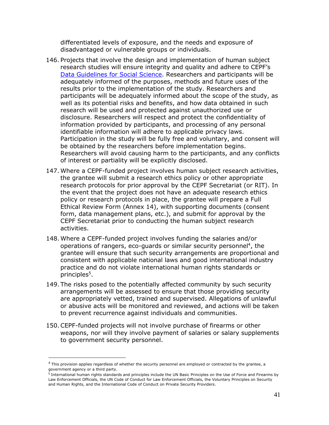differentiated levels of exposure, and the needs and exposure of disadvantaged or vulnerable groups or individuals.

- 146. Projects that involve the design and implementation of human subject research studies will ensure integrity and quality and adhere to CEPF's [Data Guidelines for Social Science.](https://www.cepf.net/sites/default/files/cepf-data-guidelines-social-science.pdf) Researchers and participants will be adequately informed of the purposes, methods and future uses of the results prior to the implementation of the study. Researchers and participants will be adequately informed about the scope of the study, as well as its potential risks and benefits, and how data obtained in such research will be used and protected against unauthorized use or disclosure. Researchers will respect and protect the confidentiality of information provided by participants, and processing of any personal identifiable information will adhere to applicable privacy laws. Participation in the study will be fully free and voluntary, and consent will be obtained by the researchers before implementation begins. Researchers will avoid causing harm to the participants, and any conflicts of interest or partiality will be explicitly disclosed.
- 147. Where a CEPF-funded project involves human subject research activities, the grantee will submit a research ethics policy or other appropriate research protocols for prior approval by the CEPF Secretariat (or RIT). In the event that the project does not have an adequate research ethics policy or research protocols in place, the grantee will prepare a Full Ethical Review Form (Annex 14), with supporting documents (consent form, data management plans, etc.), and submit for approval by the CEPF Secretariat prior to conducting the human subject research activities.
- 148. Where a CEPF-funded project involves funding the salaries and/or operations of rangers, eco-guards or similar security personnel<sup>4</sup>, the grantee will ensure that such security arrangements are proportional and consistent with applicable national laws and good international industry practice and do not violate international human rights standards or principles<sup>5</sup>.
- 149. The risks posed to the potentially affected community by such security arrangements will be assessed to ensure that those providing security are appropriately vetted, trained and supervised. Allegations of unlawful or abusive acts will be monitored and reviewed, and actions will be taken to prevent recurrence against individuals and communities.
- 150.CEPF-funded projects will not involve purchase of firearms or other weapons, nor will they involve payment of salaries or salary supplements to government security personnel.

 $^4$  This provision applies regardless of whether the security personnel are employed or contracted by the grantee, a government agency or a third party.

<sup>&</sup>lt;sup>5</sup> International human rights standards and principles include the UN Basic Principles on the Use of Force and Firearms by Law Enforcement Officials, the UN Code of Conduct for Law Enforcement Officials, the Voluntary Principles on Security and Human Rights, and the International Code of Conduct on Private Security Providers.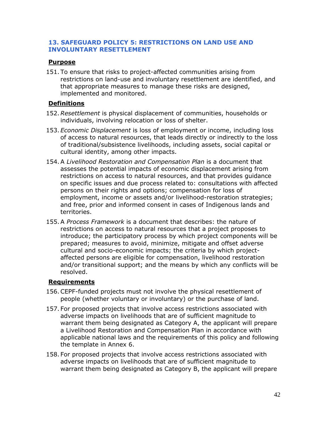## **13. SAFEGUARD POLICY 5: RESTRICTIONS ON LAND USE AND INVOLUNTARY RESETTLEMENT**

#### **Purpose**

151. To ensure that risks to project-affected communities arising from restrictions on land-use and involuntary resettlement are identified, and that appropriate measures to manage these risks are designed, implemented and monitored.

### **Definitions**

- 152.*Resettlement* is physical displacement of communities, households or individuals, involving relocation or loss of shelter.
- 153. *Economic Displacement* is loss of employment or income, including loss of access to natural resources, that leads directly or indirectly to the loss of traditional/subsistence livelihoods, including assets, social capital or cultural identity, among other impacts.
- 154.A *Livelihood Restoration and Compensation Plan* is a document that assesses the potential impacts of economic displacement arising from restrictions on access to natural resources, and that provides guidance on specific issues and due process related to: consultations with affected persons on their rights and options; compensation for loss of employment, income or assets and/or livelihood-restoration strategies; and free, prior and informed consent in cases of Indigenous lands and territories.
- 155.A *Process Framework* is a document that describes: the nature of restrictions on access to natural resources that a project proposes to introduce; the participatory process by which project components will be prepared; measures to avoid, minimize, mitigate and offset adverse cultural and socio-economic impacts; the criteria by which projectaffected persons are eligible for compensation, livelihood restoration and/or transitional support; and the means by which any conflicts will be resolved.

- 156.CEPF-funded projects must not involve the physical resettlement of people (whether voluntary or involuntary) or the purchase of land.
- 157. For proposed projects that involve access restrictions associated with adverse impacts on livelihoods that are of sufficient magnitude to warrant them being designated as Category A, the applicant will prepare a Livelihood Restoration and Compensation Plan in accordance with applicable national laws and the requirements of this policy and following the template in Annex 6.
- 158. For proposed projects that involve access restrictions associated with adverse impacts on livelihoods that are of sufficient magnitude to warrant them being designated as Category B, the applicant will prepare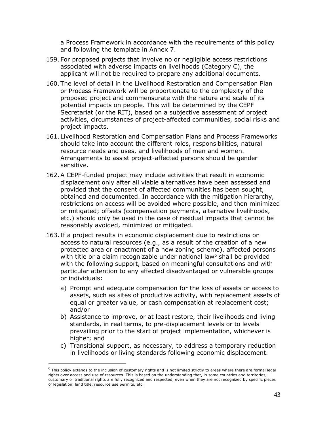a Process Framework in accordance with the requirements of this policy and following the template in Annex 7.

- 159. For proposed projects that involve no or negligible access restrictions associated with adverse impacts on livelihoods (Category C), the applicant will not be required to prepare any additional documents.
- 160. The level of detail in the Livelihood Restoration and Compensation Plan or Process Framework will be proportionate to the complexity of the proposed project and commensurate with the nature and scale of its potential impacts on people. This will be determined by the CEPF Secretariat (or the RIT), based on a subjective assessment of project activities, circumstances of project-affected communities, social risks and project impacts.
- 161. Livelihood Restoration and Compensation Plans and Process Frameworks should take into account the different roles, responsibilities, natural resource needs and uses, and livelihoods of men and women. Arrangements to assist project-affected persons should be gender sensitive.
- 162.A CEPF-funded project may include activities that result in economic displacement only after all viable alternatives have been assessed and provided that the consent of affected communities has been sought, obtained and documented. In accordance with the mitigation hierarchy, restrictions on access will be avoided where possible, and then minimized or mitigated; offsets (compensation payments, alternative livelihoods, etc.) should only be used in the case of residual impacts that cannot be reasonably avoided, minimized or mitigated.
- 163. If a project results in economic displacement due to restrictions on access to natural resources (e.g., as a result of the creation of a new protected area or enactment of a new zoning scheme), affected persons with title or a claim recognizable under national law<sup>6</sup> shall be provided with the following support, based on meaningful consultations and with particular attention to any affected disadvantaged or vulnerable groups or individuals:
	- a) Prompt and adequate compensation for the loss of assets or access to assets, such as sites of productive activity, with replacement assets of equal or greater value, or cash compensation at replacement cost; and/or
	- b) Assistance to improve, or at least restore, their livelihoods and living standards, in real terms, to pre-displacement levels or to levels prevailing prior to the start of project implementation, whichever is higher; and
	- c) Transitional support, as necessary, to address a temporary reduction in livelihoods or living standards following economic displacement.

 $^6$  This policy extends to the inclusion of customary rights and is not limited strictly to areas where there are formal legal rights over access and use of resources. This is based on the understanding that, in some countries and territories, customary or traditional rights are fully recognized and respected, even when they are not recognized by specific pieces of legislation, land title, resource use permits, etc.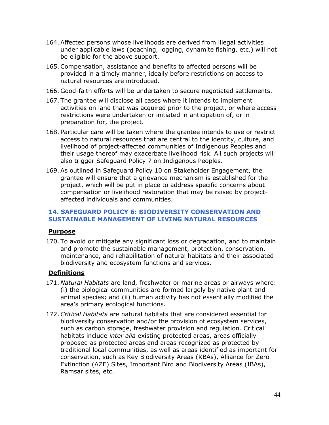- 164. Affected persons whose livelihoods are derived from illegal activities under applicable laws (poaching, logging, dynamite fishing, etc.) will not be eligible for the above support.
- 165. Compensation, assistance and benefits to affected persons will be provided in a timely manner, ideally before restrictions on access to natural resources are introduced.
- 166. Good-faith efforts will be undertaken to secure negotiated settlements.
- 167. The grantee will disclose all cases where it intends to implement activities on land that was acquired prior to the project, or where access restrictions were undertaken or initiated in anticipation of, or in preparation for, the project.
- 168. Particular care will be taken where the grantee intends to use or restrict access to natural resources that are central to the identity, culture, and livelihood of project-affected communities of Indigenous Peoples and their usage thereof may exacerbate livelihood risk. All such projects will also trigger Safeguard Policy 7 on Indigenous Peoples.
- 169. As outlined in Safeguard Policy 10 on Stakeholder Engagement, the grantee will ensure that a grievance mechanism is established for the project, which will be put in place to address specific concerns about compensation or livelihood restoration that may be raised by projectaffected individuals and communities.

#### **14. SAFEGUARD POLICY 6: BIODIVERSITY CONSERVATION AND SUSTAINABLE MANAGEMENT OF LIVING NATURAL RESOURCES**

## **Purpose**

170. To avoid or mitigate any significant loss or degradation, and to maintain and promote the sustainable management, protection, conservation, maintenance, and rehabilitation of natural habitats and their associated biodiversity and ecosystem functions and services.

## **Definitions**

- 171. *Natural Habitats* are land, freshwater or marine areas or airways where: (i) the biological communities are formed largely by native plant and animal species; and (ii) human activity has not essentially modified the area's primary ecological functions.
- 172. *Critical Habitats* are natural habitats that are considered essential for biodiversity conservation and/or the provision of ecosystem services, such as carbon storage, freshwater provision and regulation. Critical habitats include *inter alia* existing protected areas, areas officially proposed as protected areas and areas recognized as protected by traditional local communities, as well as areas identified as important for conservation, such as Key Biodiversity Areas (KBAs), Alliance for Zero Extinction (AZE) Sites, Important Bird and Biodiversity Areas (IBAs), Ramsar sites, etc.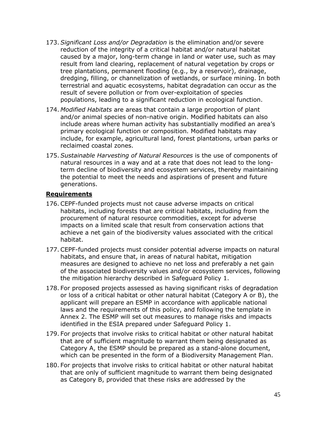- 173. *Significant Loss and/or Degradation* is the elimination and/or severe reduction of the integrity of a critical habitat and/or natural habitat caused by a major, long-term change in land or water use, such as may result from land clearing, replacement of natural vegetation by crops or tree plantations, permanent flooding (e.g., by a reservoir), drainage, dredging, filling, or channelization of wetlands, or surface mining. In both terrestrial and aquatic ecosystems, habitat degradation can occur as the result of severe pollution or from over-exploitation of species populations, leading to a significant reduction in ecological function.
- 174. *Modified Habitats* are areas that contain a large proportion of plant and/or animal species of non-native origin. Modified habitats can also include areas where human activity has substantially modified an area's primary ecological function or composition. Modified habitats may include, for example, agricultural land, forest plantations, urban parks or reclaimed coastal zones.
- 175. *Sustainable Harvesting of Natural Resources* is the use of components of natural resources in a way and at a rate that does not lead to the longterm decline of biodiversity and ecosystem services, thereby maintaining the potential to meet the needs and aspirations of present and future generations.

- 176. CEPF-funded projects must not cause adverse impacts on critical habitats, including forests that are critical habitats, including from the procurement of natural resource commodities, except for adverse impacts on a limited scale that result from conservation actions that achieve a net gain of the biodiversity values associated with the critical habitat.
- 177. CEPF-funded projects must consider potential adverse impacts on natural habitats, and ensure that, in areas of natural habitat, mitigation measures are designed to achieve no net loss and preferably a net gain of the associated biodiversity values and/or ecosystem services, following the mitigation hierarchy described in Safeguard Policy 1.
- 178. For proposed projects assessed as having significant risks of degradation or loss of a critical habitat or other natural habitat (Category A or B), the applicant will prepare an ESMP in accordance with applicable national laws and the requirements of this policy, and following the template in Annex 2. The ESMP will set out measures to manage risks and impacts identified in the ESIA prepared under Safeguard Policy 1.
- 179. For projects that involve risks to critical habitat or other natural habitat that are of sufficient magnitude to warrant them being designated as Category A, the ESMP should be prepared as a stand-alone document, which can be presented in the form of a Biodiversity Management Plan.
- 180. For projects that involve risks to critical habitat or other natural habitat that are only of sufficient magnitude to warrant them being designated as Category B, provided that these risks are addressed by the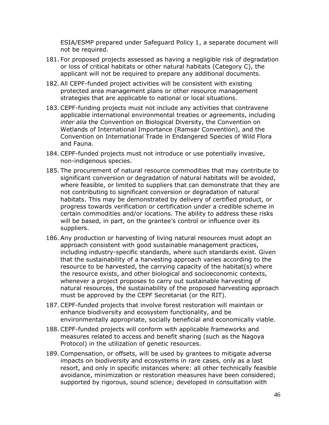ESIA/ESMP prepared under Safeguard Policy 1, a separate document will not be required.

- 181. For proposed projects assessed as having a negligible risk of degradation or loss of critical habitats or other natural habitats (Category C), the applicant will not be required to prepare any additional documents.
- 182. All CEPF-funded project activities will be consistent with existing protected area management plans or other resource management strategies that are applicable to national or local situations.
- 183. CEPF-funding projects must not include any activities that contravene applicable international environmental treaties or agreements, including *inter alia* the Convention on Biological Diversity, the Convention on Wetlands of International Importance (Ramsar Convention), and the Convention on International Trade in Endangered Species of Wild Flora and Fauna.
- 184. CEPF-funded projects must not introduce or use potentially invasive, non-indigenous species.
- 185. The procurement of natural resource commodities that may contribute to significant conversion or degradation of natural habitats will be avoided, where feasible, or limited to suppliers that can demonstrate that they are not contributing to significant conversion or degradation of natural habitats. This may be demonstrated by delivery of certified product, or progress towards verification or certification under a credible scheme in certain commodities and/or locations. The ability to address these risks will be based, in part, on the grantee's control or influence over its suppliers.
- 186. Any production or harvesting of living natural resources must adopt an approach consistent with good sustainable management practices, including industry-specific standards, where such standards exist. Given that the sustainability of a harvesting approach varies according to the resource to be harvested, the carrying capacity of the habitat(s) where the resource exists, and other biological and socioeconomic contexts, whenever a project proposes to carry out sustainable harvesting of natural resources, the sustainability of the proposed harvesting approach must be approved by the CEPF Secretariat (or the RIT).
- 187. CEPF-funded projects that involve forest restoration will maintain or enhance biodiversity and ecosystem functionality, and be environmentally appropriate, socially beneficial and economically viable.
- 188. CEPF-funded projects will conform with applicable frameworks and measures related to access and benefit sharing (such as the Nagoya Protocol) in the utilization of genetic resources.
- 189. Compensation, or offsets, will be used by grantees to mitigate adverse impacts on biodiversity and ecosystems in rare cases, only as a last resort, and only in specific instances where: all other technically feasible avoidance, minimization or restoration measures have been considered; supported by rigorous, sound science; developed in consultation with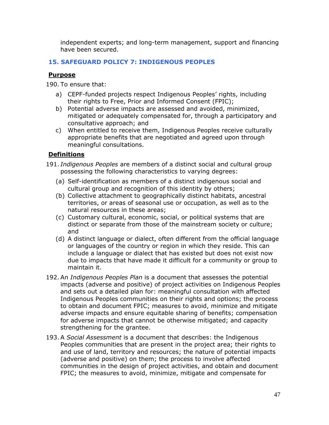independent experts; and long-term management, support and financing have been secured.

# **15. SAFEGUARD POLICY 7: INDIGENOUS PEOPLES**

## **Purpose**

190. To ensure that:

- a) CEPF-funded projects respect Indigenous Peoples' rights, including their rights to Free, Prior and Informed Consent (FPIC);
- b) Potential adverse impacts are assessed and avoided, minimized, mitigated or adequately compensated for, through a participatory and consultative approach; and
- c) When entitled to receive them, Indigenous Peoples receive culturally appropriate benefits that are negotiated and agreed upon through meaningful consultations.

# **Definitions**

- 191. *Indigenous Peoples* are members of a distinct social and cultural group possessing the following characteristics to varying degrees:
	- (a) Self-identification as members of a distinct indigenous social and cultural group and recognition of this identity by others;
	- (b) Collective attachment to geographically distinct habitats, ancestral territories, or areas of seasonal use or occupation, as well as to the natural resources in these areas;
	- (c) Customary cultural, economic, social, or political systems that are distinct or separate from those of the mainstream society or culture; and
	- (d) A distinct language or dialect, often different from the official language or languages of the country or region in which they reside. This can include a language or dialect that has existed but does not exist now due to impacts that have made it difficult for a community or group to maintain it.
- 192. An *Indigenous Peoples Plan* is a document that assesses the potential impacts (adverse and positive) of project activities on Indigenous Peoples and sets out a detailed plan for: meaningful consultation with affected Indigenous Peoples communities on their rights and options; the process to obtain and document FPIC; measures to avoid, minimize and mitigate adverse impacts and ensure equitable sharing of benefits; compensation for adverse impacts that cannot be otherwise mitigated; and capacity strengthening for the grantee.
- 193. A *Social Assessment* is a document that describes: the Indigenous Peoples communities that are present in the project area; their rights to and use of land, territory and resources; the nature of potential impacts (adverse and positive) on them; the process to involve affected communities in the design of project activities, and obtain and document FPIC; the measures to avoid, minimize, mitigate and compensate for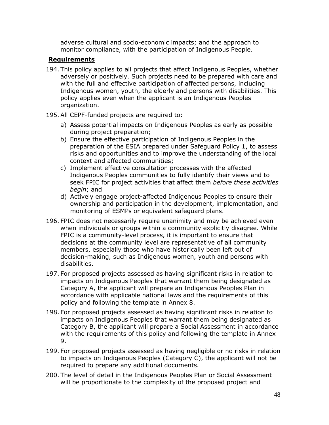adverse cultural and socio-economic impacts; and the approach to monitor compliance, with the participation of Indigenous People.

- 194. This policy applies to all projects that affect Indigenous Peoples, whether adversely or positively. Such projects need to be prepared with care and with the full and effective participation of affected persons, including Indigenous women, youth, the elderly and persons with disabilities. This policy applies even when the applicant is an Indigenous Peoples organization.
- 195. All CEPF-funded projects are required to:
	- a) Assess potential impacts on Indigenous Peoples as early as possible during project preparation;
	- b) Ensure the effective participation of Indigenous Peoples in the preparation of the ESIA prepared under Safeguard Policy 1, to assess risks and opportunities and to improve the understanding of the local context and affected communities;
	- c) Implement effective consultation processes with the affected Indigenous Peoples communities to fully identify their views and to seek FPIC for project activities that affect them *before these activities begin*; and
	- d) Actively engage project-affected Indigenous Peoples to ensure their ownership and participation in the development, implementation, and monitoring of ESMPs or equivalent safeguard plans.
- 196. FPIC does not necessarily require unanimity and may be achieved even when individuals or groups within a community explicitly disagree. While FPIC is a community-level process, it is important to ensure that decisions at the community level are representative of all community members, especially those who have historically been left out of decision-making, such as Indigenous women, youth and persons with disabilities.
- 197. For proposed projects assessed as having significant risks in relation to impacts on Indigenous Peoples that warrant them being designated as Category A, the applicant will prepare an Indigenous Peoples Plan in accordance with applicable national laws and the requirements of this policy and following the template in Annex 8.
- 198. For proposed projects assessed as having significant risks in relation to impacts on Indigenous Peoples that warrant them being designated as Category B, the applicant will prepare a Social Assessment in accordance with the requirements of this policy and following the template in Annex 9.
- 199. For proposed projects assessed as having negligible or no risks in relation to impacts on Indigenous Peoples (Category C), the applicant will not be required to prepare any additional documents.
- 200. The level of detail in the Indigenous Peoples Plan or Social Assessment will be proportionate to the complexity of the proposed project and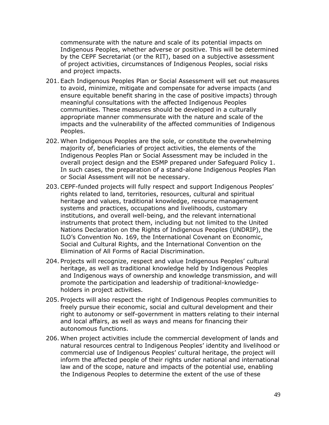commensurate with the nature and scale of its potential impacts on Indigenous Peoples, whether adverse or positive. This will be determined by the CEPF Secretariat (or the RIT), based on a subjective assessment of project activities, circumstances of Indigenous Peoples, social risks and project impacts.

- 201. Each Indigenous Peoples Plan or Social Assessment will set out measures to avoid, minimize, mitigate and compensate for adverse impacts (and ensure equitable benefit sharing in the case of positive impacts) through meaningful consultations with the affected Indigenous Peoples communities. These measures should be developed in a culturally appropriate manner commensurate with the nature and scale of the impacts and the vulnerability of the affected communities of Indigenous Peoples.
- 202. When Indigenous Peoples are the sole, or constitute the overwhelming majority of, beneficiaries of project activities, the elements of the Indigenous Peoples Plan or Social Assessment may be included in the overall project design and the ESMP prepared under Safeguard Policy 1. In such cases, the preparation of a stand-alone Indigenous Peoples Plan or Social Assessment will not be necessary.
- 203. CEPF-funded projects will fully respect and support Indigenous Peoples' rights related to land, territories, resources, cultural and spiritual heritage and values, traditional knowledge, resource management systems and practices, occupations and livelihoods, customary institutions, and overall well-being, and the relevant international instruments that protect them, including but not limited to the United Nations Declaration on the Rights of Indigenous Peoples (UNDRIP), the ILO's Convention No. 169, the International Covenant on Economic, Social and Cultural Rights, and the International Convention on the Elimination of All Forms of Racial Discrimination.
- 204. Projects will recognize, respect and value Indigenous Peoples' cultural heritage, as well as traditional knowledge held by Indigenous Peoples and Indigenous ways of ownership and knowledge transmission, and will promote the participation and leadership of traditional-knowledgeholders in project activities.
- 205. Projects will also respect the right of Indigenous Peoples communities to freely pursue their economic, social and cultural development and their right to autonomy or self-government in matters relating to their internal and local affairs, as well as ways and means for financing their autonomous functions.
- 206. When project activities include the commercial development of lands and natural resources central to Indigenous Peoples' identity and livelihood or commercial use of Indigenous Peoples' cultural heritage, the project will inform the affected people of their rights under national and international law and of the scope, nature and impacts of the potential use, enabling the Indigenous Peoples to determine the extent of the use of these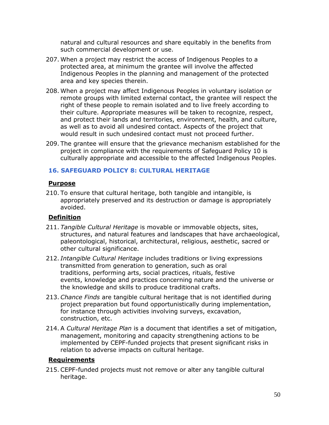natural and cultural resources and share equitably in the benefits from such commercial development or use.

- 207. When a project may restrict the access of Indigenous Peoples to a protected area, at minimum the grantee will involve the affected Indigenous Peoples in the planning and management of the protected area and key species therein.
- 208. When a project may affect Indigenous Peoples in voluntary isolation or remote groups with limited external contact, the grantee will respect the right of these people to remain isolated and to live freely according to their culture. Appropriate measures will be taken to recognize, respect, and protect their lands and territories, environment, health, and culture, as well as to avoid all undesired contact. Aspects of the project that would result in such undesired contact must not proceed further.
- 209. The grantee will ensure that the grievance mechanism established for the project in compliance with the requirements of Safeguard Policy 10 is culturally appropriate and accessible to the affected Indigenous Peoples.

#### **16. SAFEGUARD POLICY 8: CULTURAL HERITAGE**

#### **Purpose**

210. To ensure that cultural heritage, both tangible and intangible, is appropriately preserved and its destruction or damage is appropriately avoided.

## **Definition**

- 211. *Tangible Cultural Heritage* is movable or immovable objects, sites, structures, and natural features and landscapes that have archaeological, paleontological, historical, architectural, religious, aesthetic, sacred or other cultural significance.
- 212. *Intangible Cultural Heritage* includes traditions or living expressions transmitted from generation to generation, such as [oral](https://ich.unesco.org/index.php?lg=en&pg=00053)  [traditions,](https://ich.unesco.org/index.php?lg=en&pg=00053) [performing arts,](https://ich.unesco.org/index.php?lg=en&pg=00054) [social practices, rituals, festive](https://ich.unesco.org/index.php?lg=en&pg=00055)  [events,](https://ich.unesco.org/index.php?lg=en&pg=00055) [knowledge and practices concerning nature and the universe](https://ich.unesco.org/index.php?lg=en&pg=00056) or the [knowledge and skills to produce traditional crafts.](https://ich.unesco.org/index.php?lg=en&pg=00057)
- 213. *Chance Finds* are tangible cultural heritage that is not identified during project preparation but found opportunistically during implementation, for instance through activities involving surveys, excavation, construction, etc.
- 214. A *Cultural Heritage Plan* is a document that identifies a set of mitigation, management, monitoring and capacity strengthening actions to be implemented by CEPF-funded projects that present significant risks in relation to adverse impacts on cultural heritage.

#### **Requirements**

215. CEPF-funded projects must not remove or alter any tangible cultural heritage.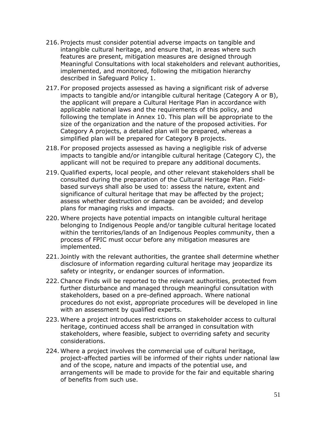- 216. Projects must consider potential adverse impacts on tangible and intangible cultural heritage, and ensure that, in areas where such features are present, mitigation measures are designed through Meaningful Consultations with local stakeholders and relevant authorities, implemented, and monitored, following the mitigation hierarchy described in Safeguard Policy 1.
- 217. For proposed projects assessed as having a significant risk of adverse impacts to tangible and/or intangible cultural heritage (Category A or B), the applicant will prepare a Cultural Heritage Plan in accordance with applicable national laws and the requirements of this policy, and following the template in Annex 10. This plan will be appropriate to the size of the organization and the nature of the proposed activities. For Category A projects, a detailed plan will be prepared, whereas a simplified plan will be prepared for Category B projects.
- 218. For proposed projects assessed as having a negligible risk of adverse impacts to tangible and/or intangible cultural heritage (Category C), the applicant will not be required to prepare any additional documents.
- 219. Qualified experts, local people, and other relevant stakeholders shall be consulted during the preparation of the Cultural Heritage Plan. Fieldbased surveys shall also be used to: assess the nature, extent and significance of cultural heritage that may be affected by the project; assess whether destruction or damage can be avoided; and develop plans for managing risks and impacts.
- 220. Where projects have potential impacts on intangible cultural heritage belonging to Indigenous People and/or tangible cultural heritage located within the territories/lands of an Indigenous Peoples community, then a process of FPIC must occur before any mitigation measures are implemented.
- 221. Jointly with the relevant authorities, the grantee shall determine whether disclosure of information regarding cultural heritage may jeopardize its safety or integrity, or endanger sources of information.
- 222. Chance Finds will be reported to the relevant authorities, protected from further disturbance and managed through meaningful consultation with stakeholders, based on a pre-defined approach. Where national procedures do not exist, appropriate procedures will be developed in line with an assessment by qualified experts.
- 223. Where a project introduces restrictions on stakeholder access to cultural heritage, continued access shall be arranged in consultation with stakeholders, where feasible, subject to overriding safety and security considerations.
- 224. Where a project involves the commercial use of cultural heritage, project-affected parties will be informed of their rights under national law and of the scope, nature and impacts of the potential use, and arrangements will be made to provide for the fair and equitable sharing of benefits from such use.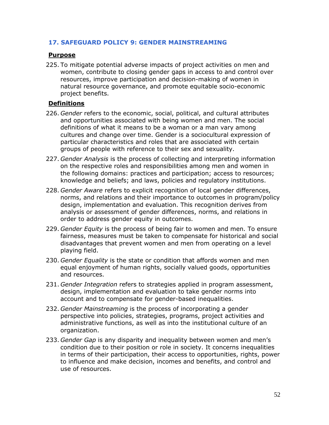## **17. SAFEGUARD POLICY 9: GENDER MAINSTREAMING**

#### **Purpose**

225. To mitigate potential adverse impacts of project activities on men and women, contribute to closing gender gaps in access to and control over resources, improve participation and decision-making of women in natural resource governance, and promote equitable socio-economic project benefits.

## **Definitions**

- 226. *Gender* refers to the economic, social, political, and cultural attributes and opportunities associated with being women and men. The social definitions of what it means to be a woman or a man vary among cultures and change over time. Gender is a sociocultural expression of particular characteristics and roles that are associated with certain groups of people with reference to their sex and sexuality.
- 227. *Gender Analysis* is the process of collecting and interpreting information on the respective roles and responsibilities among men and women in the following domains: practices and participation; access to resources; knowledge and beliefs; and laws, policies and regulatory institutions.
- 228. *Gender Aware* refers to explicit recognition of local gender differences, norms, and relations and their importance to outcomes in program/policy design, implementation and evaluation. This recognition derives from analysis or assessment of gender differences, norms, and relations in order to address gender equity in outcomes.
- 229. *Gender Equity* is the process of being fair to women and men. To ensure fairness, measures must be taken to compensate for historical and social disadvantages that prevent women and men from operating on a level playing field.
- 230. *Gender Equality* is the state or condition that affords women and men equal enjoyment of human rights, socially valued goods, opportunities and resources.
- 231. *Gender Integration* refers to strategies applied in program assessment, design, implementation and evaluation to take gender norms into account and to compensate for gender-based inequalities.
- 232. *Gender Mainstreaming* is the process of incorporating a gender perspective into policies, strategies, programs, project activities and administrative functions, as well as into the institutional culture of an organization.
- 233. *Gender Gap* is any disparity and inequality between women and men's condition due to their position or role in society. It concerns inequalities in terms of their participation, their access to opportunities, rights, power to influence and make decision, incomes and benefits, and control and use of resources.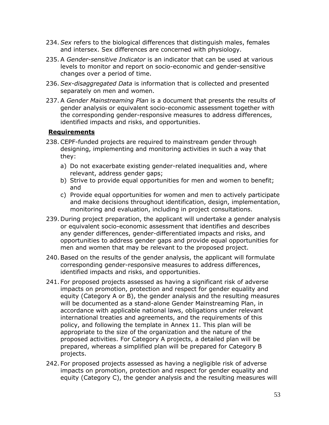- 234. *Sex* refers to the biological differences that distinguish males, females and intersex. Sex differences are concerned with physiology.
- 235. A *Gender-sensitive Indicator* is an indicator that can be used at various levels to monitor and report on socio-economic and gender-sensitive changes over a period of time.
- 236. *Sex-disaggregated Data* is information that is collected and presented separately on men and women.
- 237. A *Gender Mainstreaming Plan* is a document that presents the results of gender analysis or equivalent socio-economic assessment together with the corresponding gender-responsive measures to address differences, identified impacts and risks, and opportunities.

- 238. CEPF-funded projects are required to mainstream gender through designing, implementing and monitoring activities in such a way that they:
	- a) Do not exacerbate existing gender-related inequalities and, where relevant, address gender gaps;
	- b) Strive to provide equal opportunities for men and women to benefit; and
	- c) Provide equal opportunities for women and men to actively participate and make decisions throughout identification, design, implementation, monitoring and evaluation, including in project consultations.
- 239. During project preparation, the applicant will undertake a gender analysis or equivalent socio-economic assessment that identifies and describes any gender differences, gender-differentiated impacts and risks, and opportunities to address gender gaps and provide equal opportunities for men and women that may be relevant to the proposed project.
- 240.Based on the results of the gender analysis, the applicant will formulate corresponding gender-responsive measures to address differences, identified impacts and risks, and opportunities.
- 241. For proposed projects assessed as having a significant risk of adverse impacts on promotion, protection and respect for gender equality and equity (Category A or B), the gender analysis and the resulting measures will be documented as a stand-alone Gender Mainstreaming Plan, in accordance with applicable national laws, obligations under relevant international treaties and agreements, and the requirements of this policy, and following the template in Annex 11. This plan will be appropriate to the size of the organization and the nature of the proposed activities. For Category A projects, a detailed plan will be prepared, whereas a simplified plan will be prepared for Category B projects.
- 242. For proposed projects assessed as having a negligible risk of adverse impacts on promotion, protection and respect for gender equality and equity (Category C), the gender analysis and the resulting measures will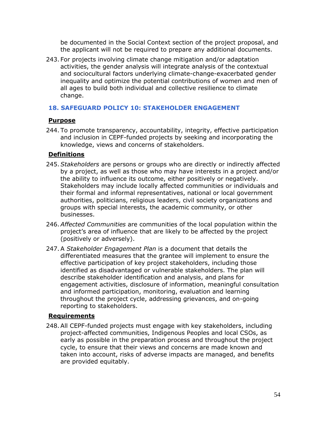be documented in the Social Context section of the project proposal, and the applicant will not be required to prepare any additional documents.

243. For projects involving climate change mitigation and/or adaptation activities, the gender analysis will integrate analysis of the contextual and sociocultural factors underlying climate-change-exacerbated gender inequality and optimize the potential contributions of women and men of all ages to build both individual and collective resilience to climate change.

## **18. SAFEGUARD POLICY 10: STAKEHOLDER ENGAGEMENT**

## **Purpose**

244. To promote transparency, accountability, integrity, effective participation and inclusion in CEPF-funded projects by seeking and incorporating the knowledge, views and concerns of stakeholders.

## **Definitions**

- 245.*Stakeholders* are persons or groups who are directly or indirectly affected by a project, as well as those who may have interests in a project and/or the ability to influence its outcome, either positively or negatively. Stakeholders may include locally affected communities or individuals and their formal and informal representatives, national or local government authorities, politicians, religious leaders, civil society organizations and groups with special interests, the academic community, or other businesses.
- 246.*Affected Communities* are communities of the local population within the project's area of influence that are likely to be affected by the project (positively or adversely).
- 247.A *Stakeholder Engagement Plan* is a document that details the differentiated measures that the grantee will implement to ensure the effective participation of key project stakeholders, including those identified as disadvantaged or vulnerable stakeholders. The plan will describe stakeholder identification and analysis, and plans for engagement activities, disclosure of information, meaningful consultation and informed participation, monitoring, evaluation and learning throughout the project cycle, addressing grievances, and on-going reporting to stakeholders.

## **Requirements**

248.All CEPF-funded projects must engage with key stakeholders, including project-affected communities, Indigenous Peoples and local CSOs, as early as possible in the preparation process and throughout the project cycle, to ensure that their views and concerns are made known and taken into account, risks of adverse impacts are managed, and benefits are provided equitably.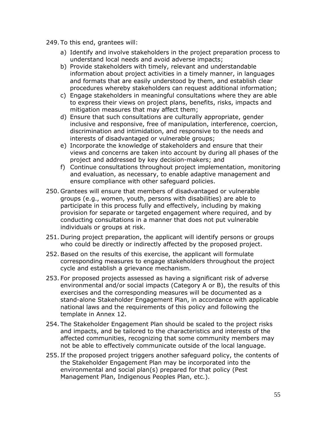- 249.To this end, grantees will:
	- a) Identify and involve stakeholders in the project preparation process to understand local needs and avoid adverse impacts;
	- b) Provide stakeholders with timely, relevant and understandable information about project activities in a timely manner, in languages and formats that are easily understood by them, and establish clear procedures whereby stakeholders can request additional information;
	- c) Engage stakeholders in meaningful consultations where they are able to express their views on project plans, benefits, risks, impacts and mitigation measures that may affect them;
	- d) Ensure that such consultations are culturally appropriate, gender inclusive and responsive, free of manipulation, interference, coercion, discrimination and intimidation, and responsive to the needs and interests of disadvantaged or vulnerable groups;
	- e) Incorporate the knowledge of stakeholders and ensure that their views and concerns are taken into account by during all phases of the project and addressed by key decision-makers; and
	- f) Continue consultations throughout project implementation, monitoring and evaluation, as necessary, to enable adaptive management and ensure compliance with other safeguard policies.
- 250. Grantees will ensure that members of disadvantaged or vulnerable groups (e.g., women, youth, persons with disabilities) are able to participate in this process fully and effectively, including by making provision for separate or targeted engagement where required, and by conducting consultations in a manner that does not put vulnerable individuals or groups at risk.
- 251. During project preparation, the applicant will identify persons or groups who could be directly or indirectly affected by the proposed project.
- 252. Based on the results of this exercise, the applicant will formulate corresponding measures to engage stakeholders throughout the project cycle and establish a grievance mechanism.
- 253. For proposed projects assessed as having a significant risk of adverse environmental and/or social impacts (Category A or B), the results of this exercises and the corresponding measures will be documented as a stand-alone Stakeholder Engagement Plan, in accordance with applicable national laws and the requirements of this policy and following the template in Annex 12.
- 254. The Stakeholder Engagement Plan should be scaled to the project risks and impacts, and be tailored to the characteristics and interests of the affected communities, recognizing that some community members may not be able to effectively communicate outside of the local language.
- 255. If the proposed project triggers another safeguard policy, the contents of the Stakeholder Engagement Plan may be incorporated into the environmental and social plan(s) prepared for that policy (Pest Management Plan, Indigenous Peoples Plan, etc.).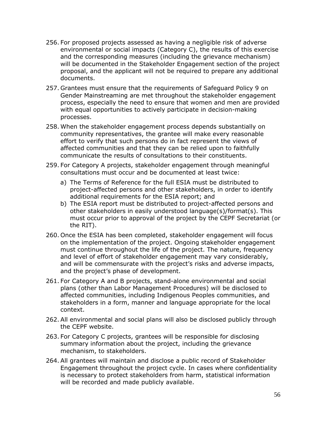- 256. For proposed projects assessed as having a negligible risk of adverse environmental or social impacts (Category C), the results of this exercise and the corresponding measures (including the grievance mechanism) will be documented in the Stakeholder Engagement section of the project proposal, and the applicant will not be required to prepare any additional documents.
- 257. Grantees must ensure that the requirements of Safeguard Policy 9 on Gender Mainstreaming are met throughout the stakeholder engagement process, especially the need to ensure that women and men are provided with equal opportunities to actively participate in decision-making processes.
- 258. When the stakeholder engagement process depends substantially on community representatives, the grantee will make every reasonable effort to verify that such persons do in fact represent the views of affected communities and that they can be relied upon to faithfully communicate the results of consultations to their constituents.
- 259. For Category A projects, stakeholder engagement through meaningful consultations must occur and be documented at least twice:
	- a) The Terms of Reference for the full ESIA must be distributed to project-affected persons and other stakeholders, in order to identify additional requirements for the ESIA report; and
	- b) The ESIA report must be distributed to project-affected persons and other stakeholders in easily understood language(s)/format(s). This must occur prior to approval of the project by the CEPF Secretariat (or the RIT).
- 260. Once the ESIA has been completed, stakeholder engagement will focus on the implementation of the project. Ongoing stakeholder engagement must continue throughout the life of the project. The nature, frequency and level of effort of stakeholder engagement may vary considerably, and will be commensurate with the project's risks and adverse impacts, and the project's phase of development.
- 261. For Category A and B projects, stand-alone environmental and social plans (other than Labor Management Procedures) will be disclosed to affected communities, including Indigenous Peoples communities, and stakeholders in a form, manner and language appropriate for the local context.
- 262. All environmental and social plans will also be disclosed publicly through the CEPF website.
- 263. For Category C projects, grantees will be responsible for disclosing summary information about the project, including the grievance mechanism, to stakeholders.
- 264. All grantees will maintain and disclose a public record of Stakeholder Engagement throughout the project cycle. In cases where confidentiality is necessary to protect stakeholders from harm, statistical information will be recorded and made publicly available.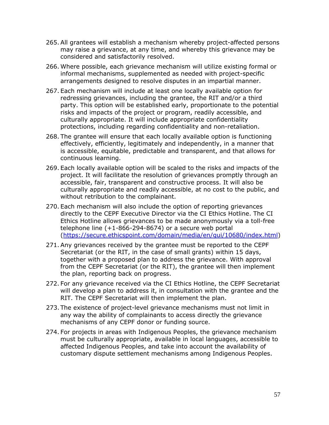- 265. All grantees will establish a mechanism whereby project-affected persons may raise a grievance, at any time, and whereby this grievance may be considered and satisfactorily resolved.
- 266. Where possible, each grievance mechanism will utilize existing formal or informal mechanisms, supplemented as needed with project-specific arrangements designed to resolve disputes in an impartial manner.
- 267. Each mechanism will include at least one locally available option for redressing grievances, including the grantee, the RIT and/or a third party. This option will be established early, proportionate to the potential risks and impacts of the project or program, readily accessible, and culturally appropriate. It will include appropriate confidentiality protections, including regarding confidentiality and non-retaliation.
- 268. The grantee will ensure that each locally available option is functioning effectively, efficiently, legitimately and independently, in a manner that is accessible, equitable, predictable and transparent, and that allows for continuous learning.
- 269. Each locally available option will be scaled to the risks and impacts of the project. It will facilitate the resolution of grievances promptly through an accessible, fair, transparent and constructive process. It will also be culturally appropriate and readily accessible, at no cost to the public, and without retribution to the complainant.
- 270. Each mechanism will also include the option of reporting grievances directly to the CEPF Executive Director via the CI Ethics Hotline. The CI Ethics Hotline allows grievances to be made anonymously via a toll-free telephone line  $(+1-866-294-8674)$  or a secure web portal [\(https://secure.ethicspoint.com/domain/media/en/gui/10680/index.html\)](https://secure.ethicspoint.com/domain/media/en/gui/10680/index.html)
- 271. Any grievances received by the grantee must be reported to the CEPF Secretariat (or the RIT, in the case of small grants) within 15 days, together with a proposed plan to address the grievance. With approval from the CEPF Secretariat (or the RIT), the grantee will then implement the plan, reporting back on progress.
- 272. For any grievance received via the CI Ethics Hotline, the CEPF Secretariat will develop a plan to address it, in consultation with the grantee and the RIT. The CEPF Secretariat will then implement the plan.
- 273.The existence of project-level grievance mechanisms must not limit in any way the ability of complainants to access directly the grievance mechanisms of any CEPF donor or funding source.
- 274. For projects in areas with Indigenous Peoples, the grievance mechanism must be culturally appropriate, available in local languages, accessible to affected Indigenous Peoples, and take into account the availability of customary dispute settlement mechanisms among Indigenous Peoples.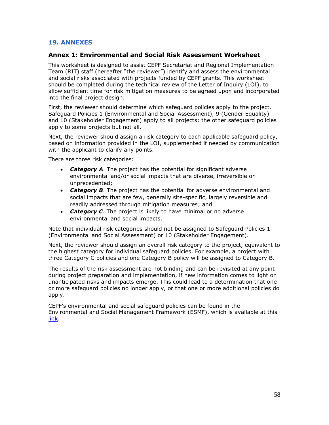## **19. ANNEXES**

#### **Annex 1: Environmental and Social Risk Assessment Worksheet**

This worksheet is designed to assist CEPF Secretariat and Regional Implementation Team (RIT) staff (hereafter "the reviewer") identify and assess the environmental and social risks associated with projects funded by CEPF grants. This worksheet should be completed during the technical review of the Letter of Inquiry (LOI), to allow sufficient time for risk mitigation measures to be agreed upon and incorporated into the final project design.

First, the reviewer should determine which safeguard policies apply to the project. Safeguard Policies 1 (Environmental and Social Assessment), 9 (Gender Equality) and 10 (Stakeholder Engagement) apply to all projects; the other safeguard policies apply to some projects but not all.

Next, the reviewer should assign a risk category to each applicable safeguard policy, based on information provided in the LOI, supplemented if needed by communication with the applicant to clarify any points.

There are three risk categories:

- *Category A*. The project has the potential for significant adverse environmental and/or social impacts that are diverse, irreversible or unprecedented;
- *Category B*. The project has the potential for adverse environmental and social impacts that are few, generally site-specific, largely reversible and readily addressed through mitigation measures; and
- *Category C*. The project is likely to have minimal or no adverse environmental and social impacts.

Note that individual risk categories should not be assigned to Safeguard Policies 1 (Environmental and Social Assessment) or 10 (Stakeholder Engagement).

Next, the reviewer should assign an overall risk category to the project, equivalent to the highest category for individual safeguard policies. For example, a project with three Category C policies and one Category B policy will be assigned to Category B.

The results of the risk assessment are not binding and can be revisited at any point during project preparation and implementation, if new information comes to light or unanticipated risks and impacts emerge. This could lead to a determination that one or more safeguard policies no longer apply, or that one or more additional policies do apply.

CEPF's environmental and social safeguard policies can be found in the Environmental and Social Management Framework (ESMF), which is available at this [link.](https://www.cepf.net/grants/before-you-apply/safeguards)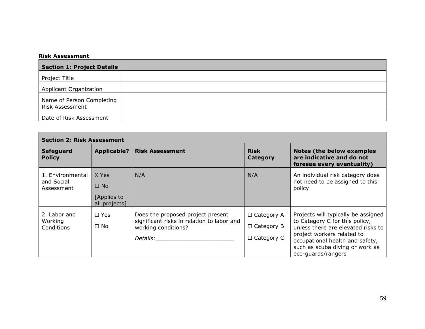#### **Risk Assessment**

| <b>Section 1: Project Details</b>                   |  |
|-----------------------------------------------------|--|
| Project Title                                       |  |
| <b>Applicant Organization</b>                       |  |
| Name of Person Completing<br><b>Risk Assessment</b> |  |
| Date of Risk Assessment                             |  |

| <b>Section 2: Risk Assessment</b>            |                                                       |                                                                                                                    |                                                             |                                                                                                                                                                                                                                       |
|----------------------------------------------|-------------------------------------------------------|--------------------------------------------------------------------------------------------------------------------|-------------------------------------------------------------|---------------------------------------------------------------------------------------------------------------------------------------------------------------------------------------------------------------------------------------|
| <b>Safeguard</b><br><b>Policy</b>            | <b>Applicable?</b>                                    | <b>Risk Assessment</b>                                                                                             | <b>Risk</b><br><b>Category</b>                              | <b>Notes (the below examples</b><br>are indicative and do not<br>foresee every eventuality)                                                                                                                                           |
| 1. Environmental<br>and Social<br>Assessment | X Yes<br>$\square$ No<br>[Applies to<br>all projects] | N/A                                                                                                                | N/A                                                         | An individual risk category does<br>not need to be assigned to this<br>policy                                                                                                                                                         |
| 2. Labor and<br>Working<br>Conditions        | $\Box$ Yes<br>$\Box$ No                               | Does the proposed project present<br>significant risks in relation to labor and<br>working conditions?<br>Details: | $\Box$ Category A<br>$\Box$ Category B<br>$\Box$ Category C | Projects will typically be assigned<br>to Category C for this policy,<br>unless there are elevated risks to<br>project workers related to<br>occupational health and safety,<br>such as scuba diving or work as<br>eco-guards/rangers |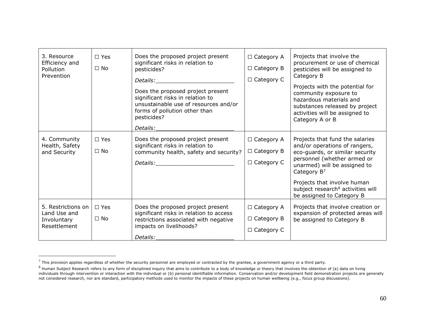| 3. Resource<br>Efficiency and<br>Pollution<br>Prevention          | $\Box$ Yes<br>$\Box$ No    | Does the proposed project present<br>significant risks in relation to<br>pesticides?<br>Details: Details:<br>Does the proposed project present<br>significant risks in relation to<br>unsustainable use of resources and/or<br>forms of pollution other than<br>pesticides?<br>Details: | $\Box$ Category A<br>$\Box$ Category B<br>$\Box$ Category C | Projects that involve the<br>procurement or use of chemical<br>pesticides will be assigned to<br>Category B<br>Projects with the potential for<br>community exposure to<br>hazardous materials and<br>substances released by project<br>activities will be assigned to<br>Category A or B         |
|-------------------------------------------------------------------|----------------------------|-----------------------------------------------------------------------------------------------------------------------------------------------------------------------------------------------------------------------------------------------------------------------------------------|-------------------------------------------------------------|---------------------------------------------------------------------------------------------------------------------------------------------------------------------------------------------------------------------------------------------------------------------------------------------------|
| 4. Community<br>Health, Safety<br>and Security                    | $\Box$ Yes<br>$\square$ No | Does the proposed project present<br>significant risks in relation to<br>community health, safety and security?<br><i>Details:</i>                                                                                                                                                      | $\Box$ Category A<br>$\Box$ Category B<br>$\Box$ Category C | Projects that fund the salaries<br>and/or operations of rangers,<br>eco-guards, or similar security<br>personnel (whether armed or<br>unarmed) will be assigned to<br>Category $B^7$<br>Projects that involve human<br>subject research <sup>8</sup> activities will<br>be assigned to Category B |
| 5. Restrictions on<br>Land Use and<br>Involuntary<br>Resettlement | $\Box$ Yes<br>$\Box$ No    | Does the proposed project present<br>significant risks in relation to access<br>restrictions associated with negative<br>impacts on livelihoods?<br>Details:                                                                                                                            | $\Box$ Category A<br>$\Box$ Category B<br>$\Box$ Category C | Projects that involve creation or<br>expansion of protected areas will<br>be assigned to Category B                                                                                                                                                                                               |

 $^7$  This provision applies regardless of whether the security personnel are employed or contracted by the grantee, a government agency or a third party.

 $8$  Human Subject Research refers to any form of disciplined inquiry that aims to contribute to a body of knowledge or theory that involves the obtention of (a) data on living individuals through intervention or interaction with the individual or (b) personal identifiable information. Conservation and/or development field demonstration projects are generally not considered research, nor are standard, participatory methods used to monitor the impacts of these projects on human wellbeing (e.g., focus group discussions).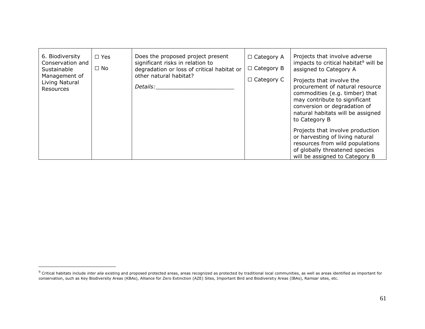| 6. Biodiversity<br>Conservation and<br>Sustainable<br>Management of<br>Living Natural<br><b>Resources</b> | $\Box$ Yes<br>$\Box$ No | Does the proposed project present<br>significant risks in relation to<br>degradation or loss of critical habitat or<br>other natural habitat?<br><i>Details:</i> | $\Box$ Category A<br>$\Box$ Category B<br>$\Box$ Category C | Projects that involve adverse<br>impacts to critical habitat <sup>9</sup> will be<br>assigned to Category A<br>Projects that involve the<br>procurement of natural resource<br>commodities (e.g. timber) that<br>may contribute to significant<br>conversion or degradation of<br>natural habitats will be assigned<br>to Category B<br>Projects that involve production<br>or harvesting of living natural<br>resources from wild populations<br>of globally threatened species<br>will be assigned to Category B |
|-----------------------------------------------------------------------------------------------------------|-------------------------|------------------------------------------------------------------------------------------------------------------------------------------------------------------|-------------------------------------------------------------|--------------------------------------------------------------------------------------------------------------------------------------------------------------------------------------------------------------------------------------------------------------------------------------------------------------------------------------------------------------------------------------------------------------------------------------------------------------------------------------------------------------------|

<sup>&</sup>lt;sup>9</sup> Critical habitats include *inter alia* existing and proposed protected areas, areas recognized as protected by traditional local communities, as well as areas identified as important for conservation, such as Key Biodiversity Areas (KBAs), Alliance for Zero Extinction (AZE) Sites, Important Bird and Biodiversity Areas (IBAs), Ramsar sites, etc.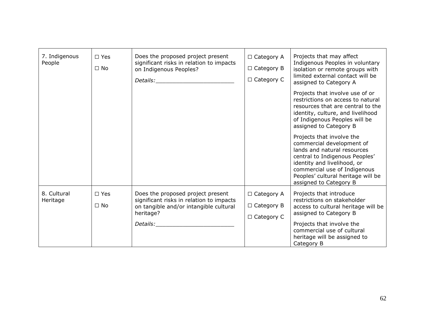| 7. Indigenous<br>People | $\square$ Yes<br>$\Box$ No | Does the proposed project present<br>significant risks in relation to impacts<br>on Indigenous Peoples?<br>Details: Details:                     | $\Box$ Category A<br>$\Box$ Category B<br>$\Box$ Category C | Projects that may affect<br>Indigenous Peoples in voluntary<br>isolation or remote groups with<br>limited external contact will be<br>assigned to Category A                                                                                           |
|-------------------------|----------------------------|--------------------------------------------------------------------------------------------------------------------------------------------------|-------------------------------------------------------------|--------------------------------------------------------------------------------------------------------------------------------------------------------------------------------------------------------------------------------------------------------|
|                         |                            |                                                                                                                                                  |                                                             | Projects that involve use of or<br>restrictions on access to natural<br>resources that are central to the<br>identity, culture, and livelihood<br>of Indigenous Peoples will be<br>assigned to Category B                                              |
|                         |                            |                                                                                                                                                  |                                                             | Projects that involve the<br>commercial development of<br>lands and natural resources<br>central to Indigenous Peoples'<br>identity and livelihood, or<br>commercial use of Indigenous<br>Peoples' cultural heritage will be<br>assigned to Category B |
| 8. Cultural<br>Heritage | $\square$ Yes<br>$\Box$ No | Does the proposed project present<br>significant risks in relation to impacts<br>on tangible and/or intangible cultural<br>heritage?<br>Details: | $\Box$ Category A<br>$\Box$ Category B<br>$\Box$ Category C | Projects that introduce<br>restrictions on stakeholder<br>access to cultural heritage will be<br>assigned to Category B<br>Projects that involve the<br>commercial use of cultural<br>heritage will be assigned to<br>Category B                       |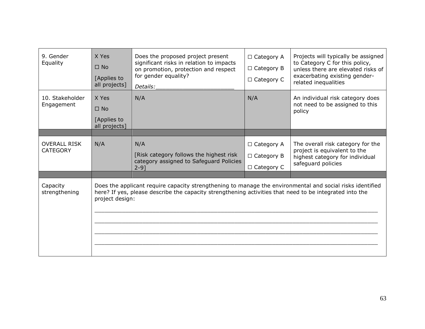| 9. Gender<br>Equality                  | X Yes<br>$\square$ No<br>[Applies to<br>all projects] | Does the proposed project present<br>significant risks in relation to impacts<br>on promotion, protection and respect<br>for gender equality?<br>Details:                                                            | □ Category A<br>$\Box$ Category B<br>$\Box$ Category C      | Projects will typically be assigned<br>to Category C for this policy,<br>unless there are elevated risks of<br>exacerbating existing gender-<br>related inequalities |
|----------------------------------------|-------------------------------------------------------|----------------------------------------------------------------------------------------------------------------------------------------------------------------------------------------------------------------------|-------------------------------------------------------------|----------------------------------------------------------------------------------------------------------------------------------------------------------------------|
| 10. Stakeholder<br>Engagement          | X Yes<br>$\square$ No<br>[Applies to<br>all projects] | N/A                                                                                                                                                                                                                  | N/A                                                         | An individual risk category does<br>not need to be assigned to this<br>policy                                                                                        |
|                                        |                                                       |                                                                                                                                                                                                                      |                                                             |                                                                                                                                                                      |
| <b>OVERALL RISK</b><br><b>CATEGORY</b> | N/A                                                   | N/A<br>[Risk category follows the highest risk]<br>category assigned to Safeguard Policies<br>$2 - 9$ ]                                                                                                              | $\Box$ Category A<br>$\Box$ Category B<br>$\Box$ Category C | The overall risk category for the<br>project is equivalent to the<br>highest category for individual<br>safeguard policies                                           |
|                                        |                                                       |                                                                                                                                                                                                                      |                                                             |                                                                                                                                                                      |
| Capacity<br>strengthening              | project design:                                       | Does the applicant require capacity strengthening to manage the environmental and social risks identified<br>here? If yes, please describe the capacity strengthening activities that need to be integrated into the |                                                             |                                                                                                                                                                      |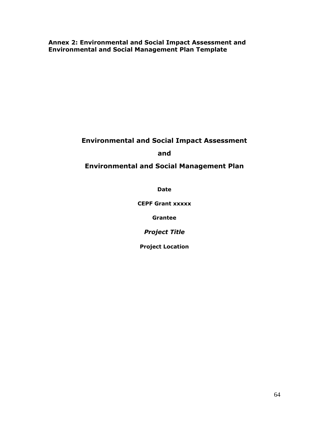**Annex 2: Environmental and Social Impact Assessment and Environmental and Social Management Plan Template**

# **Environmental and Social Impact Assessment**

**and**

# **Environmental and Social Management Plan**

**Date**

**CEPF Grant xxxxx**

**Grantee**

*Project Title*

**Project Location**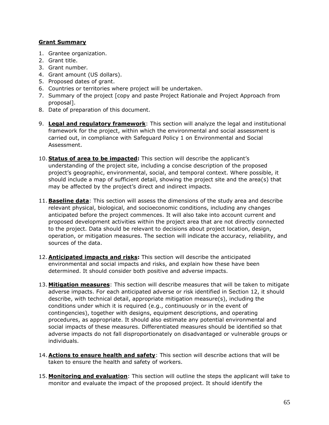#### **Grant Summary**

- 1. Grantee organization.
- 2. Grant title.
- 3. Grant number*.*
- 4. Grant amount (US dollars).
- 5. Proposed dates of grant.
- 6. Countries or territories where project will be undertaken.
- 7. Summary of the project [copy and paste Project Rationale and Project Approach from proposal].
- 8. Date of preparation of this document.
- 9. **Legal and regulatory framework**: This section will analyze the legal and institutional framework for the project, within which the environmental and social assessment is carried out, in compliance with Safeguard Policy 1 on Environmental and Social Assessment.
- 10. **Status of area to be impacted:** This section will describe the applicant's understanding of the project site, including a concise description of the proposed project's geographic, environmental, social, and temporal context. Where possible, it should include a map of sufficient detail, showing the project site and the area(s) that may be affected by the project's direct and indirect impacts.
- 11. **Baseline data**: This section will assess the dimensions of the study area and describe relevant physical, biological, and socioeconomic conditions, including any changes anticipated before the project commences. It will also take into account current and proposed development activities within the project area that are not directly connected to the project. Data should be relevant to decisions about project location, design, operation, or mitigation measures. The section will indicate the accuracy, reliability, and sources of the data.
- 12. **Anticipated impacts and risks:** This section will describe the anticipated environmental and social impacts and risks, and explain how these have been determined. It should consider both positive and adverse impacts.
- 13. **Mitigation measures**: This section will describe measures that will be taken to mitigate adverse impacts. For each anticipated adverse or risk identified in Section 12, it should describe, with technical detail, appropriate mitigation measure(s), including the conditions under which it is required (e.g., continuously or in the event of contingencies), together with designs, equipment descriptions, and operating procedures, as appropriate. It should also estimate any potential environmental and social impacts of these measures. Differentiated measures should be identified so that adverse impacts do not fall disproportionately on disadvantaged or vulnerable groups or individuals.
- 14. **Actions to ensure health and safety**: This section will describe actions that will be taken to ensure the health and safety of workers.
- 15. **Monitoring and evaluation**: This section will outline the steps the applicant will take to monitor and evaluate the impact of the proposed project. It should identify the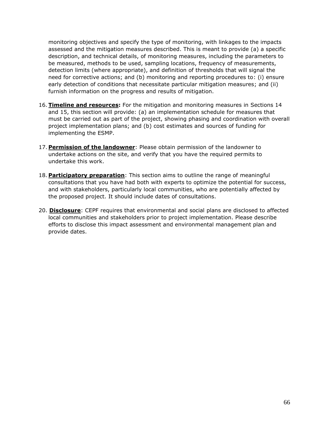monitoring objectives and specify the type of monitoring, with linkages to the impacts assessed and the mitigation measures described. This is meant to provide (a) a specific description, and technical details, of monitoring measures, including the parameters to be measured, methods to be used, sampling locations, frequency of measurements, detection limits (where appropriate), and definition of thresholds that will signal the need for corrective actions; and (b) monitoring and reporting procedures to: (i) ensure early detection of conditions that necessitate particular mitigation measures; and (ii) furnish information on the progress and results of mitigation.

- 16.**Timeline and resources:** For the mitigation and monitoring measures in Sections 14 and 15, this section will provide: (a) an implementation schedule for measures that must be carried out as part of the project, showing phasing and coordination with overall project implementation plans; and (b) cost estimates and sources of funding for implementing the ESMP.
- 17. **Permission of the landowner**: Please obtain permission of the landowner to undertake actions on the site, and verify that you have the required permits to undertake this work.
- 18. **Participatory preparation**: This section aims to outline the range of meaningful consultations that you have had both with experts to optimize the potential for success, and with stakeholders, particularly local communities, who are potentially affected by the proposed project. It should include dates of consultations.
- 20. **Disclosure**: CEPF requires that environmental and social plans are disclosed to affected local communities and stakeholders prior to project implementation. Please describe efforts to disclose this impact assessment and environmental management plan and provide dates.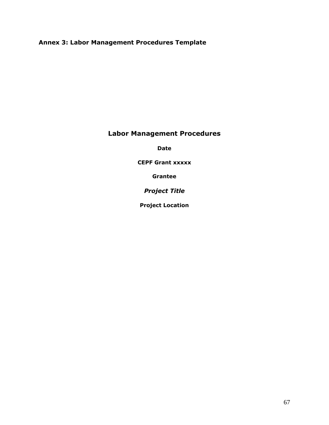# **Annex 3: Labor Management Procedures Template**

# **Labor Management Procedures**

**Date**

**CEPF Grant xxxxx**

**Grantee**

*Project Title*

**Project Location**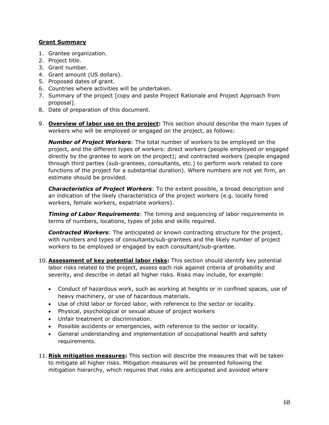#### **Grant Summary**

- 1. Grantee organization.
- 2. Project title.
- 3. Grant number*.*
- 4. Grant amount (US dollars).
- 5. Proposed dates of grant.
- 6. Countries where activities will be undertaken.
- 7. Summary of the project [copy and paste Project Rationale and Project Approach from proposal].
- 8. Date of preparation of this document.
- 9. **Overview of labor use on the project:** This section should describe the main types of workers who will be employed or engaged on the project, as follows:

*Number of Project Workers*: The total number of workers to be employed on the project, and the different types of workers: direct workers (people employed or engaged directly by the grantee to work on the project); and contracted workers (people engaged through third parties (sub-grantees, consultants, etc.) to perform work related to core functions of the project for a substantial duration). Where numbers are not yet firm, an estimate should be provided.

*Characteristics of Project Workers*: To the extent possible, a broad description and an indication of the likely characteristics of the project workers (e.g. locally hired workers, female workers, expatriate workers).

*Timing of Labor Requirements*: The timing and sequencing of labor requirements in terms of numbers, locations, types of jobs and skills required.

*Contracted Workers*: The anticipated or known contracting structure for the project, with numbers and types of consultants/sub-grantees and the likely number of project workers to be employed or engaged by each consultant/sub-grantee.

- 10. **Assessment of key potential labor risks:** This section should identify key potential labor risks related to the project, assess each risk against criteria of probability and severity, and describe in detail all higher risks. Risks may include, for example:
	- Conduct of hazardous work, such as working at heights or in confined spaces, use of heavy machinery, or use of hazardous materials.
	- Use of child labor or forced labor, with reference to the sector or locality.
	- Physical, psychological or sexual abuse of project workers
	- Unfair treatment or discrimination.
	- Possible accidents or emergencies, with reference to the sector or locality.
	- General understanding and implementation of occupational health and safety requirements.
- 11. **Risk mitigation measures:** This section will describe the measures that will be taken to mitigate all higher risks. Mitigation measures will be presented following the mitigation hierarchy, which requires that risks are anticipated and avoided where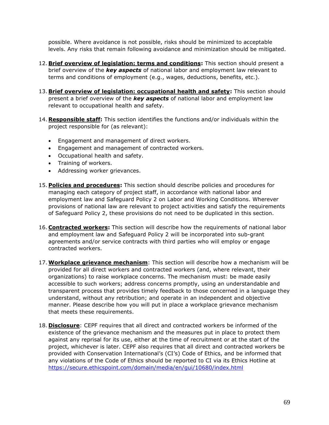possible. Where avoidance is not possible, risks should be minimized to acceptable levels. Any risks that remain following avoidance and minimization should be mitigated.

- 12. **Brief overview of legislation: terms and conditions:** This section should present a brief overview of the *key aspects* of national labor and employment law relevant to terms and conditions of employment (e.g., wages, deductions, benefits, etc.).
- 13. **Brief overview of legislation: occupational health and safety:** This section should present a brief overview of the *key aspects* of national labor and employment law relevant to occupational health and safety.
- 14. **Responsible staff:** This section identifies the functions and/or individuals within the project responsible for (as relevant):
	- Engagement and management of direct workers.
	- Engagement and management of contracted workers.
	- Occupational health and safety.
	- Training of workers.
	- Addressing worker grievances.
- 15. **Policies and procedures:** This section should describe policies and procedures for managing each category of project staff, in accordance with national labor and employment law and Safeguard Policy 2 on Labor and Working Conditions. Wherever provisions of national law are relevant to project activities and satisfy the requirements of Safeguard Policy 2, these provisions do not need to be duplicated in this section.
- 16. **Contracted workers:** This section will describe how the requirements of national labor and employment law and Safeguard Policy 2 will be incorporated into sub-grant agreements and/or service contracts with third parties who will employ or engage contracted workers.
- 17.**Workplace grievance mechanism**: This section will describe how a mechanism will be provided for all direct workers and contracted workers (and, where relevant, their organizations) to raise workplace concerns. The mechanism must: be made easily accessible to such workers; address concerns promptly, using an understandable and transparent process that provides timely feedback to those concerned in a language they understand, without any retribution; and operate in an independent and objective manner. Please describe how you will put in place a workplace grievance mechanism that meets these requirements.
- 18. **Disclosure**: CEPF requires that all direct and contracted workers be informed of the existence of the grievance mechanism and the measures put in place to protect them against any reprisal for its use, either at the time of recruitment or at the start of the project, whichever is later. CEPF also requires that all direct and contracted workers be provided with Conservation International's (CI's) Code of Ethics, and be informed that any violations of the Code of Ethics should be reported to CI via its Ethics Hotline at <https://secure.ethicspoint.com/domain/media/en/gui/10680/index.html>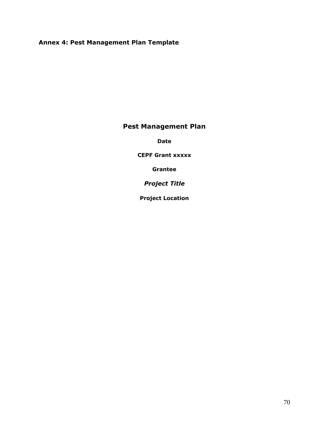# **Annex 4: Pest Management Plan Template**

# **Pest Management Plan**

**Date**

**CEPF Grant xxxxx**

**Grantee**

*Project Title*

**Project Location**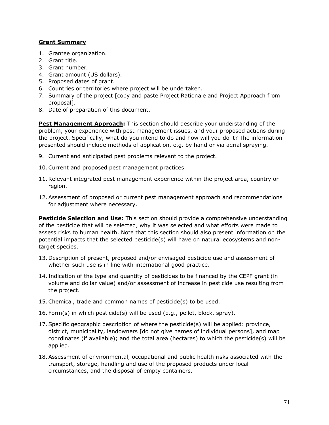#### **Grant Summary**

- 1. Grantee organization.
- 2. Grant title.
- 3. Grant number*.*
- 4. Grant amount (US dollars).
- 5. Proposed dates of grant.
- 6. Countries or territories where project will be undertaken.
- 7. Summary of the project [copy and paste Project Rationale and Project Approach from proposal].
- 8. Date of preparation of this document.

**Pest Management Approach:** This section should describe your understanding of the problem, your experience with pest management issues, and your proposed actions during the project. Specifically, what do you intend to do and how will you do it? The information presented should include methods of application, e.g. by hand or via aerial spraying.

- 9. Current and anticipated pest problems relevant to the project.
- 10.Current and proposed pest management practices.
- 11.Relevant integrated pest management experience within the project area, country or region.
- 12.Assessment of proposed or current pest management approach and recommendations for adjustment where necessary.

**Pesticide Selection and Use:** This section should provide a comprehensive understanding of the pesticide that will be selected, why it was selected and what efforts were made to assess risks to human health. Note that this section should also present information on the potential impacts that the selected pesticide(s) will have on natural ecosystems and nontarget species.

- 13. Description of present, proposed and/or envisaged pesticide use and assessment of whether such use is in line with international good practice.
- 14. Indication of the type and quantity of pesticides to be financed by the CEPF grant (in volume and dollar value) and/or assessment of increase in pesticide use resulting from the project.
- 15.Chemical, trade and common names of pesticide(s) to be used.
- 16. Form(s) in which pesticide(s) will be used (e.g., pellet, block, spray).
- 17.Specific geographic description of where the pesticide(s) will be applied: province, district, municipality, landowners [do not give names of individual persons], and map coordinates (if available); and the total area (hectares) to which the pesticide(s) will be applied.
- 18.Assessment of environmental, occupational and public health risks associated with the transport, storage, handling and use of the proposed products under local circumstances, and the disposal of empty containers.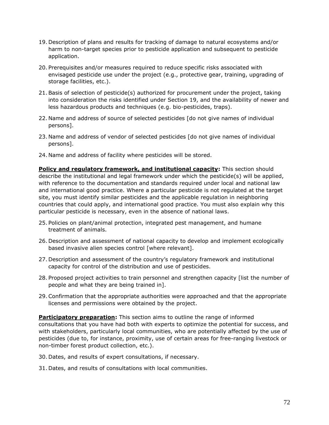- 19. Description of plans and results for tracking of damage to natural ecosystems and/or harm to non-target species prior to pesticide application and subsequent to pesticide application.
- 20. Prerequisites and/or measures required to reduce specific risks associated with envisaged pesticide use under the project (e.g., protective gear, training, upgrading of storage facilities, etc.).
- 21.Basis of selection of pesticide(s) authorized for procurement under the project, taking into consideration the risks identified under Section 19, and the availability of newer and less hazardous products and techniques (e.g. bio-pesticides, traps).
- 22. Name and address of source of selected pesticides [do not give names of individual persons].
- 23. Name and address of vendor of selected pesticides [do not give names of individual persons].
- 24. Name and address of facility where pesticides will be stored.

**Policy and regulatory framework, and institutional capacity:** This section should describe the institutional and legal framework under which the pesticide(s) will be applied, with reference to the documentation and standards required under local and national law and international good practice. Where a particular pesticide is not regulated at the target site, you must identify similar pesticides and the applicable regulation in neighboring countries that could apply, and international good practice. You must also explain why this particular pesticide is necessary, even in the absence of national laws.

- 25. Policies on plant/animal protection, integrated pest management, and humane treatment of animals.
- 26. Description and assessment of national capacity to develop and implement ecologically based invasive alien species control [where relevant].
- 27. Description and assessment of the country's regulatory framework and institutional capacity for control of the distribution and use of pesticides.
- 28. Proposed project activities to train personnel and strengthen capacity [list the number of people and what they are being trained in].
- 29.Confirmation that the appropriate authorities were approached and that the appropriate licenses and permissions were obtained by the project.

**Participatory preparation:** This section aims to outline the range of informed consultations that you have had both with experts to optimize the potential for success, and with stakeholders, particularly local communities, who are potentially affected by the use of pesticides (due to, for instance, proximity, use of certain areas for free-ranging livestock or non-timber forest product collection, etc.).

- 30. Dates, and results of expert consultations, if necessary.
- 31. Dates, and results of consultations with local communities.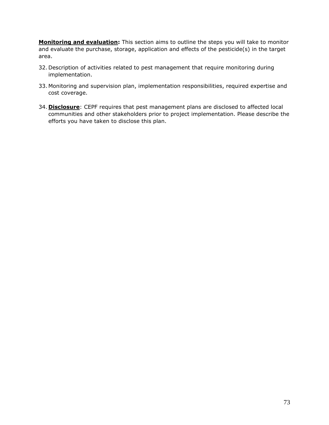**Monitoring and evaluation:** This section aims to outline the steps you will take to monitor and evaluate the purchase, storage, application and effects of the pesticide(s) in the target area.

- 32. Description of activities related to pest management that require monitoring during implementation.
- 33. Monitoring and supervision plan, implementation responsibilities, required expertise and cost coverage.
- 34. **Disclosure**: CEPF requires that pest management plans are disclosed to affected local communities and other stakeholders prior to project implementation. Please describe the efforts you have taken to disclose this plan.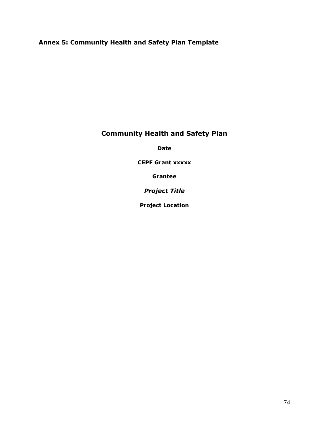### **Annex 5: Community Health and Safety Plan Template**

# **Community Health and Safety Plan**

**Date**

**CEPF Grant xxxxx**

**Grantee**

*Project Title*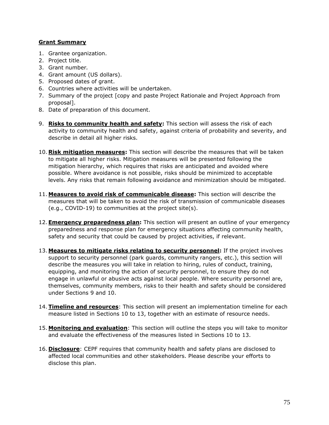- 1. Grantee organization.
- 2. Project title.
- 3. Grant number*.*
- 4. Grant amount (US dollars).
- 5. Proposed dates of grant.
- 6. Countries where activities will be undertaken.
- 7. Summary of the project [copy and paste Project Rationale and Project Approach from proposal].
- 8. Date of preparation of this document.
- 9. **Risks to community health and safety:** This section will assess the risk of each activity to community health and safety, against criteria of probability and severity, and describe in detail all higher risks.
- 10. **Risk mitigation measures:** This section will describe the measures that will be taken to mitigate all higher risks. Mitigation measures will be presented following the mitigation hierarchy, which requires that risks are anticipated and avoided where possible. Where avoidance is not possible, risks should be minimized to acceptable levels. Any risks that remain following avoidance and minimization should be mitigated.
- 11. **Measures to avoid risk of communicable disease:** This section will describe the measures that will be taken to avoid the risk of transmission of communicable diseases (e.g., COVID-19) to communities at the project site(s).
- 12.**Emergency preparedness plan:** This section will present an outline of your emergency preparedness and response plan for emergency situations affecting community health, safety and security that could be caused by project activities, if relevant.
- 13. **Measures to mitigate risks relating to security personnel:** If the project involves support to security personnel (park guards, community rangers, etc.), this section will describe the measures you will take in relation to hiring, rules of conduct, training, equipping, and monitoring the action of security personnel, to ensure they do not engage in unlawful or abusive acts against local people. Where security personnel are, themselves, community members, risks to their health and safety should be considered under Sections 9 and 10.
- 14.**Timeline and resources**: This section will present an implementation timeline for each measure listed in Sections 10 to 13, together with an estimate of resource needs.
- 15. **Monitoring and evaluation**: This section will outline the steps you will take to monitor and evaluate the effectiveness of the measures listed in Sections 10 to 13.
- 16. **Disclosure**: CEPF requires that community health and safety plans are disclosed to affected local communities and other stakeholders. Please describe your efforts to disclose this plan.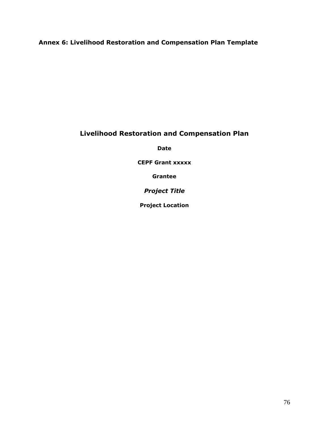**Annex 6: Livelihood Restoration and Compensation Plan Template**

# **Livelihood Restoration and Compensation Plan**

**Date**

**CEPF Grant xxxxx**

**Grantee**

*Project Title*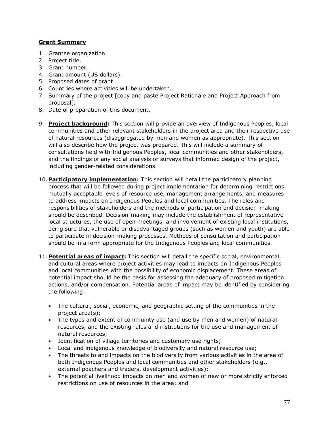- 1. Grantee organization.
- 2. Project title.
- 3. Grant number*.*
- 4. Grant amount (US dollars).
- 5. Proposed dates of grant.
- 6. Countries where activities will be undertaken.
- 7. Summary of the project [copy and paste Project Rationale and Project Approach from proposal].
- 8. Date of preparation of this document.
- 9. **Project background:** This section will provide an overview of Indigenous Peoples, local communities and other relevant stakeholders in the project area and their respective use of natural resources (disaggregated by men and women as appropriate). This section will also describe how the project was prepared. This will include a summary of consultations held with Indigenous Peoples, local communities and other stakeholders, and the findings of any social analysis or surveys that informed design of the project, including gender-related considerations.
- 10. **Participatory implementation:** This section will detail the participatory planning process that will be followed during project implementation for determining restrictions, mutually acceptable levels of resource use, management arrangements, and measures to address impacts on Indigenous Peoples and local communities. The roles and responsibilities of stakeholders and the methods of participation and decision-making should be described. Decision-making may include the establishment of representative local structures, the use of open meetings, and involvement of existing local institutions, being sure that vulnerable or disadvantaged groups (such as women and youth) are able to participate in decision-making processes. Methods of consultation and participation should be in a form appropriate for the Indigenous Peoples and local communities.
- 11. **Potential areas of impact:** This section will detail the specific social, environmental, and cultural areas where project activities may lead to impacts on Indigenous Peoples and local communities with the possibility of economic displacement. These areas of potential impact should be the basis for assessing the adequacy of proposed mitigation actions, and/or compensation. Potential areas of impact may be identified by considering the following:
	- The cultural, social, economic, and geographic setting of the communities in the project area(s);
	- The types and extent of community use (and use by men and women) of natural resources, and the existing rules and institutions for the use and management of natural resources;
	- Identification of village territories and customary use rights;
	- Local and indigenous knowledge of biodiversity and natural resource use;
	- The threats to and impacts on the biodiversity from various activities in the area of both Indigenous Peoples and local communities and other stakeholders (e.g., external poachers and traders, development activities);
	- The potential livelihood impacts on men and women of new or more strictly enforced restrictions on use of resources in the area; and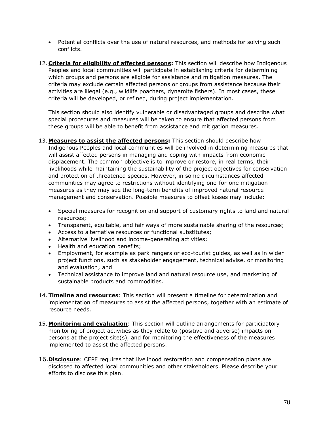- Potential conflicts over the use of natural resources, and methods for solving such conflicts.
- 12. **Criteria for eligibility of affected persons:** This section will describe how Indigenous Peoples and local communities will participate in establishing criteria for determining which groups and persons are eligible for assistance and mitigation measures. The criteria may exclude certain affected persons or groups from assistance because their activities are illegal (e.g., wildlife poachers, dynamite fishers). In most cases, these criteria will be developed, or refined, during project implementation.

This section should also identify vulnerable or disadvantaged groups and describe what special procedures and measures will be taken to ensure that affected persons from these groups will be able to benefit from assistance and mitigation measures.

- 13. **Measures to assist the affected persons:** This section should describe how Indigenous Peoples and local communities will be involved in determining measures that will assist affected persons in managing and coping with impacts from economic displacement. The common objective is to improve or restore, in real terms, their livelihoods while maintaining the sustainability of the project objectives for conservation and protection of threatened species. However, in some circumstances affected communities may agree to restrictions without identifying one-for-one mitigation measures as they may see the long-term benefits of improved natural resource management and conservation. Possible measures to offset losses may include:
	- Special measures for recognition and support of customary rights to land and natural resources;
	- Transparent, equitable, and fair ways of more sustainable sharing of the resources;
	- Access to alternative resources or functional substitutes;
	- Alternative livelihood and income-generating activities;
	- Health and education benefits;
	- Employment, for example as park rangers or eco-tourist guides, as well as in wider project functions, such as stakeholder engagement, technical advise, or monitoring and evaluation; and
	- Technical assistance to improve land and natural resource use, and marketing of sustainable products and commodities.
- 14.**Timeline and resources**: This section will present a timeline for determination and implementation of measures to assist the affected persons, together with an estimate of resource needs.
- 15. **Monitoring and evaluation**: This section will outline arrangements for participatory monitoring of project activities as they relate to (positive and adverse) impacts on persons at the project site(s), and for monitoring the effectiveness of the measures implemented to assist the affected persons.
- 16.**Disclosure**: CEPF requires that livelihood restoration and compensation plans are disclosed to affected local communities and other stakeholders. Please describe your efforts to disclose this plan.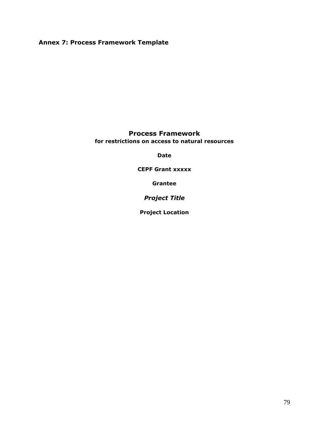**Annex 7: Process Framework Template**

### **Process Framework for restrictions on access to natural resources**

**Date**

**CEPF Grant xxxxx**

**Grantee**

*Project Title*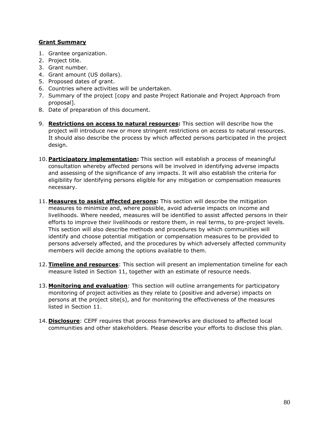- 1. Grantee organization.
- 2. Project title.
- 3. Grant number*.*
- 4. Grant amount (US dollars).
- 5. Proposed dates of grant.
- 6. Countries where activities will be undertaken.
- 7. Summary of the project [copy and paste Project Rationale and Project Approach from proposal].
- 8. Date of preparation of this document.
- 9. **Restrictions on access to natural resources:** This section will describe how the project will introduce new or more stringent restrictions on access to natural resources. It should also describe the process by which affected persons participated in the project design.
- 10. **Participatory implementation:** This section will establish a process of meaningful consultation whereby affected persons will be involved in identifying adverse impacts and assessing of the significance of any impacts. It will also establish the criteria for eligibility for identifying persons eligible for any mitigation or compensation measures necessary.
- 11. **Measures to assist affected persons:** This section will describe the mitigation measures to minimize and, where possible, avoid adverse impacts on income and livelihoods. Where needed, measures will be identified to assist affected persons in their efforts to improve their livelihoods or restore them, in real terms, to pre-project levels. This section will also describe methods and procedures by which communities will identify and choose potential mitigation or compensation measures to be provided to persons adversely affected, and the procedures by which adversely affected community members will decide among the options available to them.
- 12.**Timeline and resources**: This section will present an implementation timeline for each measure listed in Section 11, together with an estimate of resource needs.
- 13. **Monitoring and evaluation**: This section will outline arrangements for participatory monitoring of project activities as they relate to (positive and adverse) impacts on persons at the project site(s), and for monitoring the effectiveness of the measures listed in Section 11.
- 14. **Disclosure**: CEPF requires that process frameworks are disclosed to affected local communities and other stakeholders. Please describe your efforts to disclose this plan.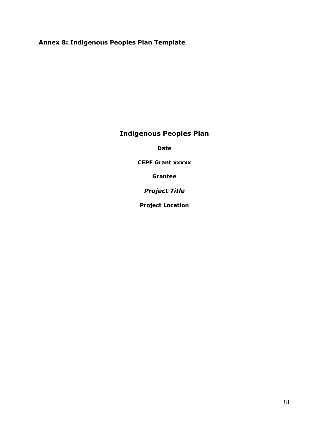# **Annex 8: Indigenous Peoples Plan Template**

# **Indigenous Peoples Plan**

**Date**

**CEPF Grant xxxxx**

**Grantee**

*Project Title*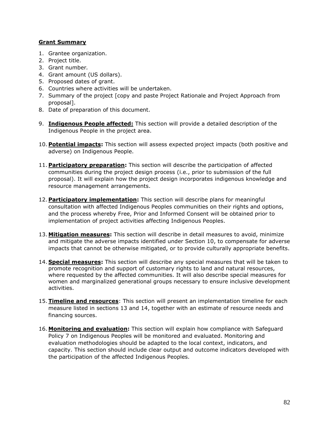- 1. Grantee organization.
- 2. Project title.
- 3. Grant number*.*
- 4. Grant amount (US dollars).
- 5. Proposed dates of grant.
- 6. Countries where activities will be undertaken.
- 7. Summary of the project [copy and paste Project Rationale and Project Approach from proposal].
- 8. Date of preparation of this document.
- 9. **Indigenous People affected:** This section will provide a detailed description of the Indigenous People in the project area.
- 10. **Potential impacts:** This section will assess expected project impacts (both positive and adverse) on Indigenous People.
- 11. **Participatory preparation:** This section will describe the participation of affected communities during the project design process (i.e., prior to submission of the full proposal). It will explain how the project design incorporates indigenous knowledge and resource management arrangements.
- 12. **Participatory implementation:** This section will describe plans for meaningful consultation with affected Indigenous Peoples communities on their rights and options, and the process whereby Free, Prior and Informed Consent will be obtained prior to implementation of project activities affecting Indigenous Peoples.
- 13. **Mitigation measures:** This section will describe in detail measures to avoid, minimize and mitigate the adverse impacts identified under Section 10, to compensate for adverse impacts that cannot be otherwise mitigated, or to provide culturally appropriate benefits.
- 14. **Special measures:** This section will describe any special measures that will be taken to promote recognition and support of customary rights to land and natural resources, where requested by the affected communities. It will also describe special measures for women and marginalized generational groups necessary to ensure inclusive development activities.
- 15.**Timeline and resources**: This section will present an implementation timeline for each measure listed in sections 13 and 14, together with an estimate of resource needs and financing sources.
- 16. **Monitoring and evaluation:** This section will explain how compliance with Safeguard Policy 7 on Indigenous Peoples will be monitored and evaluated. Monitoring and evaluation methodologies should be adapted to the local context, indicators, and capacity. This section should include clear output and outcome indicators developed with the participation of the affected Indigenous Peoples.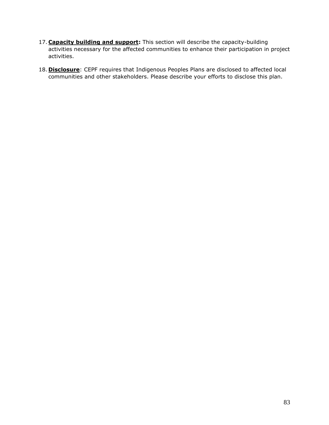- 17. **Capacity building and support:** This section will describe the capacity-building activities necessary for the affected communities to enhance their participation in project activities.
- 18. **Disclosure**: CEPF requires that Indigenous Peoples Plans are disclosed to affected local communities and other stakeholders. Please describe your efforts to disclose this plan.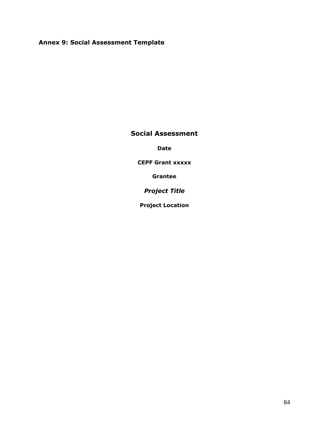### **Annex 9: Social Assessment Template**

### **Social Assessment**

**Date**

**CEPF Grant xxxxx**

**Grantee**

*Project Title*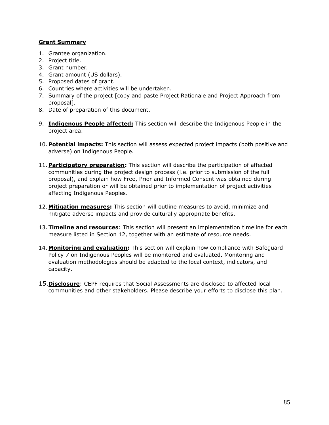- 1. Grantee organization.
- 2. Project title.
- 3. Grant number*.*
- 4. Grant amount (US dollars).
- 5. Proposed dates of grant.
- 6. Countries where activities will be undertaken.
- 7. Summary of the project [copy and paste Project Rationale and Project Approach from proposal].
- 8. Date of preparation of this document.
- 9. **Indigenous People affected:** This section will describe the Indigenous People in the project area.
- 10. **Potential impacts:** This section will assess expected project impacts (both positive and adverse) on Indigenous People.
- 11. **Participatory preparation:** This section will describe the participation of affected communities during the project design process (i.e. prior to submission of the full proposal), and explain how Free, Prior and Informed Consent was obtained during project preparation or will be obtained prior to implementation of project activities affecting Indigenous Peoples.
- 12. **Mitigation measures:** This section will outline measures to avoid, minimize and mitigate adverse impacts and provide culturally appropriate benefits.
- 13.**Timeline and resources**: This section will present an implementation timeline for each measure listed in Section 12, together with an estimate of resource needs.
- 14. **Monitoring and evaluation:** This section will explain how compliance with Safeguard Policy 7 on Indigenous Peoples will be monitored and evaluated. Monitoring and evaluation methodologies should be adapted to the local context, indicators, and capacity.
- 15.**Disclosure**: CEPF requires that Social Assessments are disclosed to affected local communities and other stakeholders. Please describe your efforts to disclose this plan.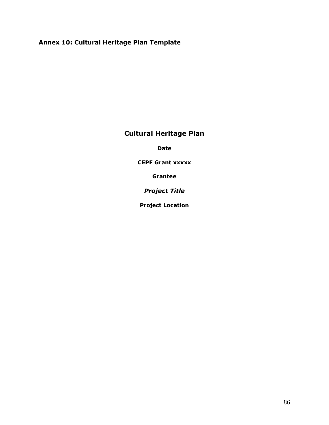# **Annex 10: Cultural Heritage Plan Template**

# **Cultural Heritage Plan**

**Date**

**CEPF Grant xxxxx**

**Grantee**

*Project Title*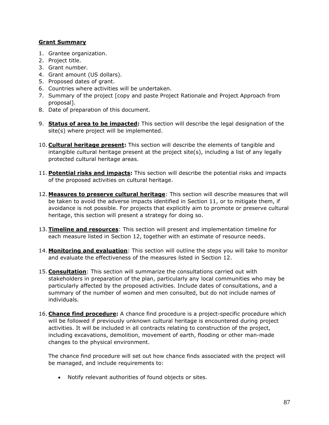- 1. Grantee organization.
- 2. Project title.
- 3. Grant number*.*
- 4. Grant amount (US dollars).
- 5. Proposed dates of grant.
- 6. Countries where activities will be undertaken.
- 7. Summary of the project [copy and paste Project Rationale and Project Approach from proposal].
- 8. Date of preparation of this document.
- 9. **Status of area to be impacted:** This section will describe the legal designation of the site(s) where project will be implemented.
- 10. **Cultural heritage present:** This section will describe the elements of tangible and intangible cultural heritage present at the project site(s), including a list of any legally protected cultural heritage areas.
- 11. **Potential risks and impacts:** This section will describe the potential risks and impacts of the proposed activities on cultural heritage.
- 12. **Measures to preserve cultural heritage**: This section will describe measures that will be taken to avoid the adverse impacts identified in Section 11, or to mitigate them, if avoidance is not possible. For projects that explicitly aim to promote or preserve cultural heritage, this section will present a strategy for doing so.
- 13.**Timeline and resources**: This section will present and implementation timeline for each measure listed in Section 12, together with an estimate of resource needs.
- 14. **Monitoring and evaluation**: This section will outline the steps you will take to monitor and evaluate the effectiveness of the measures listed in Section 12.
- 15. **Consultation**: This section will summarize the consultations carried out with stakeholders in preparation of the plan, particularly any local communities who may be particularly affected by the proposed activities. Include dates of consultations, and a summary of the number of women and men consulted, but do not include names of individuals.
- 16. **Chance find procedure:** A chance find procedure is a project-specific procedure which will be followed if previously unknown cultural heritage is encountered during project activities. It will be included in all contracts relating to construction of the project, including excavations, demolition, movement of earth, flooding or other man-made changes to the physical environment.

The chance find procedure will set out how chance finds associated with the project will be managed, and include requirements to:

• Notify relevant authorities of found objects or sites.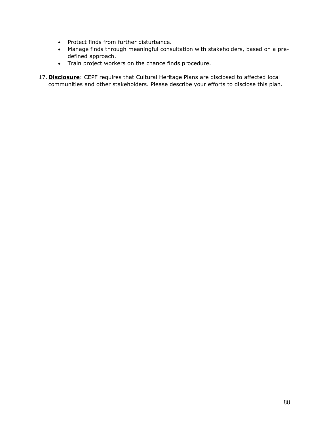- Protect finds from further disturbance.
- Manage finds through meaningful consultation with stakeholders, based on a predefined approach.
- Train project workers on the chance finds procedure.
- 17. **Disclosure**: CEPF requires that Cultural Heritage Plans are disclosed to affected local communities and other stakeholders. Please describe your efforts to disclose this plan.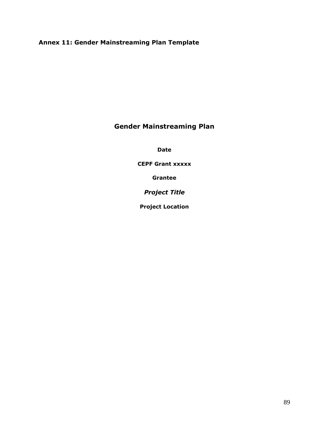# **Annex 11: Gender Mainstreaming Plan Template**

# **Gender Mainstreaming Plan**

**Date**

**CEPF Grant xxxxx**

**Grantee**

*Project Title*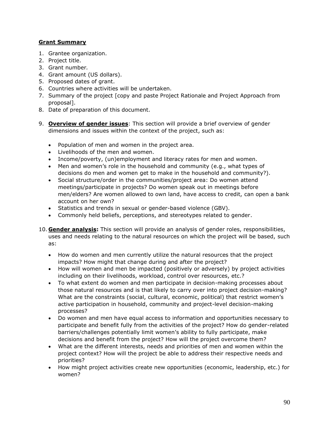- 1. Grantee organization.
- 2. Project title.
- 3. Grant number*.*
- 4. Grant amount (US dollars).
- 5. Proposed dates of grant.
- 6. Countries where activities will be undertaken.
- 7. Summary of the project [copy and paste Project Rationale and Project Approach from proposal].
- 8. Date of preparation of this document.
- 9. **Overview of gender issues**: This section will provide a brief overview of gender dimensions and issues within the context of the project, such as:
	- Population of men and women in the project area.
	- Livelihoods of the men and women.
	- Income/poverty, (un)employment and literacy rates for men and women.
	- Men and women's role in the household and community (e.g., what types of decisions do men and women get to make in the household and community?).
	- Social structure/order in the communities/project area: Do women attend meetings/participate in projects? Do women speak out in meetings before men/elders? Are women allowed to own land, have access to credit, can open a bank account on her own?
	- Statistics and trends in sexual or gender-based violence (GBV).
	- Commonly held beliefs, perceptions, and stereotypes related to gender.
- 10. **Gender analysis:** This section will provide an analysis of gender roles, responsibilities, uses and needs relating to the natural resources on which the project will be based, such as:
	- How do women and men currently utilize the natural resources that the project impacts? How might that change during and after the project?
	- How will women and men be impacted (positively or adversely) by project activities including on their livelihoods, workload, control over resources, etc.?
	- To what extent do women and men participate in decision-making processes about those natural resources and is that likely to carry over into project decision-making? What are the constraints (social, cultural, economic, political) that restrict women's active participation in household, community and project-level decision-making processes?
	- Do women and men have equal access to information and opportunities necessary to participate and benefit fully from the activities of the project? How do gender-related barriers/challenges potentially limit women's ability to fully participate, make decisions and benefit from the project? How will the project overcome them?
	- What are the different interests, needs and priorities of men and women within the project context? How will the project be able to address their respective needs and priorities?
	- How might project activities create new opportunities (economic, leadership, etc.) for women?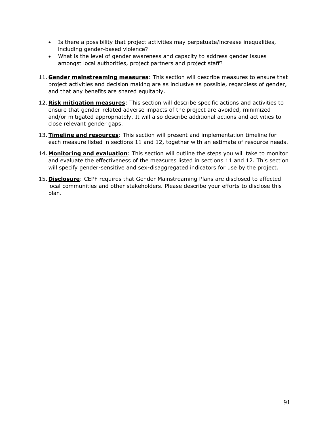- Is there a possibility that project activities may perpetuate/increase inequalities, including gender-based violence?
- What is the level of gender awareness and capacity to address gender issues amongst local authorities, project partners and project staff?
- 11. **Gender mainstreaming measures**: This section will describe measures to ensure that project activities and decision making are as inclusive as possible, regardless of gender, and that any benefits are shared equitably.
- 12. **Risk mitigation measures**: This section will describe specific actions and activities to ensure that gender-related adverse impacts of the project are avoided, minimized and/or mitigated appropriately. It will also describe additional actions and activities to close relevant gender gaps.
- 13.**Timeline and resources**: This section will present and implementation timeline for each measure listed in sections 11 and 12, together with an estimate of resource needs.
- 14. **Monitoring and evaluation**: This section will outline the steps you will take to monitor and evaluate the effectiveness of the measures listed in sections 11 and 12. This section will specify gender-sensitive and sex-disaggregated indicators for use by the project.
- 15. **Disclosure**: CEPF requires that Gender Mainstreaming Plans are disclosed to affected local communities and other stakeholders. Please describe your efforts to disclose this plan.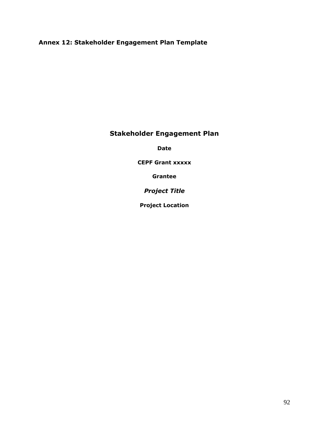### **Annex 12: Stakeholder Engagement Plan Template**

# **Stakeholder Engagement Plan**

**Date**

**CEPF Grant xxxxx**

**Grantee**

*Project Title*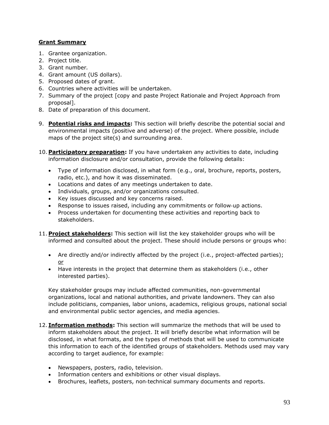- 1. Grantee organization.
- 2. Project title.
- 3. Grant number*.*
- 4. Grant amount (US dollars).
- 5. Proposed dates of grant.
- 6. Countries where activities will be undertaken.
- 7. Summary of the project [copy and paste Project Rationale and Project Approach from proposal].
- 8. Date of preparation of this document.
- 9. **Potential risks and impacts:** This section will briefly describe the potential social and environmental impacts (positive and adverse) of the project. Where possible, include maps of the project site(s) and surrounding area.
- 10. **Participatory preparation:** If you have undertaken any activities to date, including information disclosure and/or consultation, provide the following details:
	- Type of information disclosed, in what form (e.g., oral, brochure, reports, posters, radio, etc.), and how it was disseminated.
	- Locations and dates of any meetings undertaken to date.
	- Individuals, groups, and/or organizations consulted.
	- Key issues discussed and key concerns raised.
	- Response to issues raised, including any commitments or follow-up actions.
	- Process undertaken for documenting these activities and reporting back to stakeholders.
- 11. **Project stakeholders:** This section will list the key stakeholder groups who will be informed and consulted about the project. These should include persons or groups who:
	- Are directly and/or indirectly affected by the project (i.e., project-affected parties); or
	- Have interests in the project that determine them as stakeholders (i.e., other interested parties).

Key stakeholder groups may include affected communities, non-governmental organizations, local and national authorities, and private landowners. They can also include politicians, companies, labor unions, academics, religious groups, national social and environmental public sector agencies, and media agencies.

- 12. **Information methods:** This section will summarize the methods that will be used to inform stakeholders about the project. It will briefly describe what information will be disclosed, in what formats, and the types of methods that will be used to communicate this information to each of the identified groups of stakeholders. Methods used may vary according to target audience, for example:
	- Newspapers, posters, radio, television.
	- Information centers and exhibitions or other visual displays.
	- Brochures, leaflets, posters, non‐technical summary documents and reports.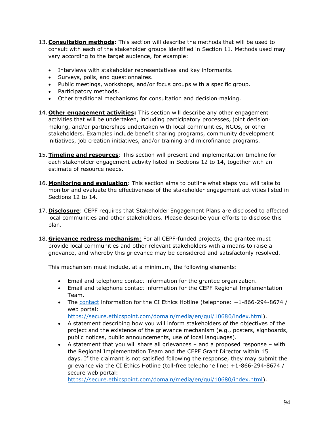- 13. **Consultation methods:** This section will describe the methods that will be used to consult with each of the stakeholder groups identified in Section 11. Methods used may vary according to the target audience, for example:
	- Interviews with stakeholder representatives and key informants.
	- Surveys, polls, and questionnaires.
	- Public meetings, workshops, and/or focus groups with a specific group.
	- Participatory methods.
	- Other traditional mechanisms for consultation and decision‐making.
- 14. **Other engagement activities:** This section will describe any other engagement activities that will be undertaken, including participatory processes, joint decision‐ making, and/or partnerships undertaken with local communities, NGOs, or other stakeholders. Examples include benefit‐sharing programs, community development initiatives, job creation initiatives, and/or training and microfinance programs.
- 15.**Timeline and resources**: This section will present and implementation timeline for each stakeholder engagement activity listed in Sections 12 to 14, together with an estimate of resource needs.
- 16. **Monitoring and evaluation**: This section aims to outline what steps you will take to monitor and evaluate the effectiveness of the stakeholder engagement activities listed in Sections 12 to 14.
- 17. **Disclosure**: CEPF requires that Stakeholder Engagement Plans are disclosed to affected local communities and other stakeholders. Please describe your efforts to disclose this plan.
- 18. **Grievance redress mechanism**: For all CEPF-funded projects, the grantee must provide local communities and other relevant stakeholders with a means to raise a grievance, and whereby this grievance may be considered and satisfactorily resolved.

This mechanism must include, at a minimum, the following elements:

- Email and telephone contact information for the grantee organization.
- Email and telephone contact information for the CEPF Regional Implementation Team.
- The [contact](mailto:contact) information for the CI Ethics Hotline (telephone: +1-866-294-8674 / web portal:

[https://secure.ethicspoint.com/domain/media/en/gui/10680/index.html\)](https://secure.ethicspoint.com/domain/media/en/gui/10680/index.html).

- A statement describing how you will inform stakeholders of the objectives of the project and the existence of the grievance mechanism (e.g., posters, signboards, public notices, public announcements, use of local languages).
- A statement that you will share all grievances and a proposed response with the Regional Implementation Team and the CEPF Grant Director within 15 days. If the claimant is not satisfied following the response, they may submit the grievance via the CI Ethics Hotline (toll-free telephone line: +1-866-294-8674 / secure web portal:

[https://secure.ethicspoint.com/domain/media/en/gui/10680/index.html\)](https://secure.ethicspoint.com/domain/media/en/gui/10680/index.html).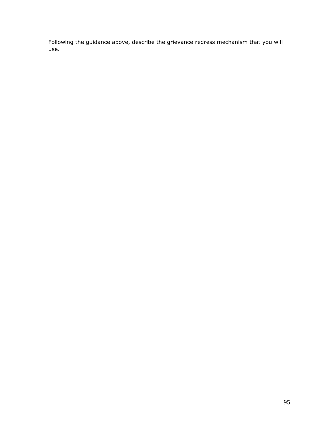Following the guidance above, describe the grievance redress mechanism that you will use.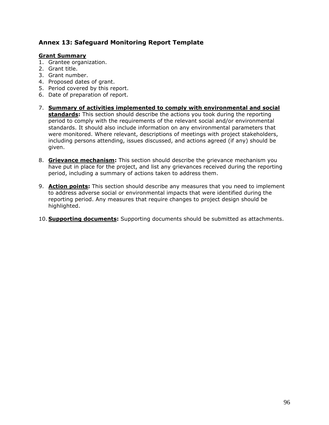### **Annex 13: Safeguard Monitoring Report Template**

- 1. Grantee organization.
- 2. Grant title.
- 3. Grant number.
- 4. Proposed dates of grant.
- 5. Period covered by this report.
- 6. Date of preparation of report.
- 7. **Summary of activities implemented to comply with environmental and social standards:** This section should describe the actions you took during the reporting period to comply with the requirements of the relevant social and/or environmental standards. It should also include information on any environmental parameters that were monitored. Where relevant, descriptions of meetings with project stakeholders, including persons attending, issues discussed, and actions agreed (if any) should be given.
- 8. **Grievance mechanism:** This section should describe the grievance mechanism you have put in place for the project, and list any grievances received during the reporting period, including a summary of actions taken to address them.
- 9. **Action points:** This section should describe any measures that you need to implement to address adverse social or environmental impacts that were identified during the reporting period. Any measures that require changes to project design should be highlighted.
- 10. **Supporting documents:** Supporting documents should be submitted as attachments.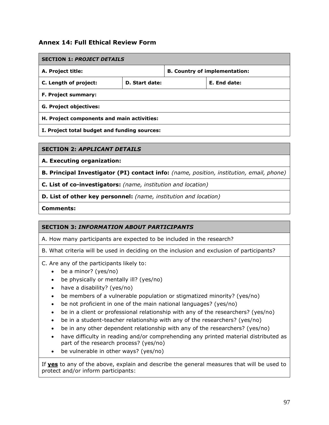### **Annex 14: Full Ethical Review Form**

| <b>SECTION 1: PROJECT DETAILS</b>            |                |                                      |              |  |  |
|----------------------------------------------|----------------|--------------------------------------|--------------|--|--|
| A. Project title:                            |                | <b>B. Country of implementation:</b> |              |  |  |
| C. Length of project:                        | D. Start date: |                                      | E. End date: |  |  |
| <b>F. Project summary:</b>                   |                |                                      |              |  |  |
| <b>G. Project objectives:</b>                |                |                                      |              |  |  |
| H. Project components and main activities:   |                |                                      |              |  |  |
| I. Project total budget and funding sources: |                |                                      |              |  |  |

### **SECTION 2:** *APPLICANT DETAILS*

**A. Executing organization:**

**B. Principal Investigator (PI) contact info:** *(name, position, institution, email, phone)*

**C. List of co-investigators:** *(name, institution and location)*

**D. List of other key personnel:** *(name, institution and location)*

**Comments:**

### **SECTION 3:** *INFORMATION ABOUT PARTICIPANTS*

A. How many participants are expected to be included in the research?

B. What criteria will be used in deciding on the inclusion and exclusion of participants?

C. Are any of the participants likely to:

- be a minor? (yes/no)
- be physically or mentally ill? (yes/no)
- have a disability? (yes/no)
- be members of a vulnerable population or stigmatized minority? (yes/no)
- be not proficient in one of the main national languages? (yes/no)
- be in a client or professional relationship with any of the researchers? (yes/no)
- be in a student-teacher relationship with any of the researchers? (yes/no)
- be in any other dependent relationship with any of the researchers? (yes/no)
- have difficulty in reading and/or comprehending any printed material distributed as part of the research process? (yes/no)
- be vulnerable in other ways? (yes/no)

If **yes** to any of the above, explain and describe the general measures that will be used to protect and/or inform participants: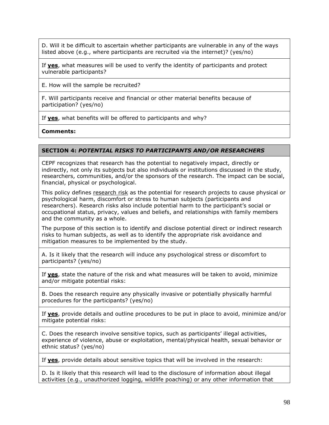D. Will it be difficult to ascertain whether participants are vulnerable in any of the ways listed above (e.g., where participants are recruited via the internet)? (yes/no)

If **yes**, what measures will be used to verify the identity of participants and protect vulnerable participants?

E. How will the sample be recruited?

F. Will participants receive and financial or other material benefits because of participation? (yes/no)

If **yes**, what benefits will be offered to participants and why?

**Comments:**

#### **SECTION 4:** *POTENTIAL RISKS TO PARTICIPANTS AND/OR RESEARCHERS*

CEPF recognizes that research has the potential to negatively impact, directly or indirectly, not only its subjects but also individuals or institutions discussed in the study, researchers, communities, and/or the sponsors of the research. The impact can be social, financial, physical or psychological.

This policy defines research risk as the potential for research projects to cause physical or psychological harm, discomfort or stress to human subjects (participants and researchers). Research risks also include potential harm to the participant's social or occupational status, privacy, values and beliefs, and relationships with family members and the community as a whole.

The purpose of this section is to identify and disclose potential direct or indirect research risks to human subjects, as well as to identify the appropriate risk avoidance and mitigation measures to be implemented by the study.

A. Is it likely that the research will induce any psychological stress or discomfort to participants? (yes/no)

If **yes**, state the nature of the risk and what measures will be taken to avoid, minimize and/or mitigate potential risks:

B. Does the research require any physically invasive or potentially physically harmful procedures for the participants? (yes/no)

If **yes**, provide details and outline procedures to be put in place to avoid, minimize and/or mitigate potential risks:

C. Does the research involve sensitive topics, such as participants' illegal activities, experience of violence, abuse or exploitation, mental/physical health, sexual behavior or ethnic status? (yes/no)

If **yes**, provide details about sensitive topics that will be involved in the research:

D. Is it likely that this research will lead to the disclosure of information about illegal activities (e.g., unauthorized logging, wildlife poaching) or any other information that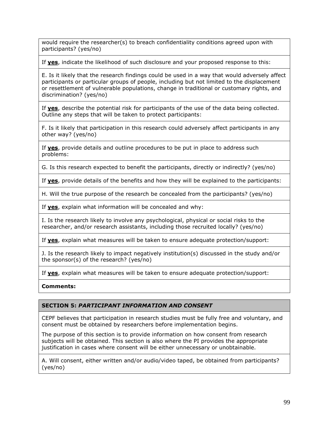would require the researcher(s) to breach confidentiality conditions agreed upon with participants? (yes/no)

If **yes**, indicate the likelihood of such disclosure and your proposed response to this:

E. Is it likely that the research findings could be used in a way that would adversely affect participants or particular groups of people, including but not limited to the displacement or resettlement of vulnerable populations, change in traditional or customary rights, and discrimination? (yes/no)

If **yes**, describe the potential risk for participants of the use of the data being collected. Outline any steps that will be taken to protect participants:

F. Is it likely that participation in this research could adversely affect participants in any other way? (yes/no)

If **yes**, provide details and outline procedures to be put in place to address such problems:

G. Is this research expected to benefit the participants, directly or indirectly? (yes/no)

If **yes**, provide details of the benefits and how they will be explained to the participants:

H. Will the true purpose of the research be concealed from the participants? (yes/no)

If **yes**, explain what information will be concealed and why:

I. Is the research likely to involve any psychological, physical or social risks to the researcher, and/or research assistants, including those recruited locally? (yes/no)

If **yes**, explain what measures will be taken to ensure adequate protection/support:

J. Is the research likely to impact negatively institution(s) discussed in the study and/or the sponsor(s) of the research? (yes/no)

If **yes**, explain what measures will be taken to ensure adequate protection/support:

### **Comments:**

#### **SECTION 5:** *PARTICIPANT INFORMATION AND CONSENT*

CEPF believes that participation in research studies must be fully free and voluntary, and consent must be obtained by researchers before implementation begins.

The purpose of this section is to provide information on how consent from research subjects will be obtained. This section is also where the PI provides the appropriate justification in cases where consent will be either unnecessary or unobtainable.

A. Will consent, either written and/or audio/video taped, be obtained from participants? (yes/no)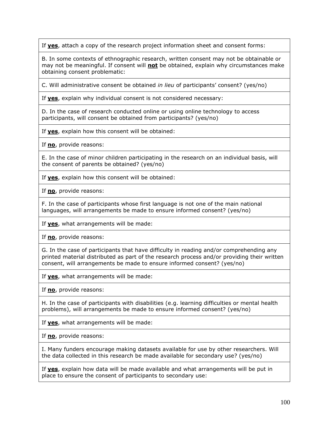If **yes**, attach a copy of the research project information sheet and consent forms:

B. In some contexts of ethnographic research, written consent may not be obtainable or may not be meaningful. If consent will **not** be obtained, explain why circumstances make obtaining consent problematic:

C. Will administrative consent be obtained *in lieu* of participants' consent? (yes/no)

If **yes**, explain why individual consent is not considered necessary:

D. In the case of research conducted online or using online technology to access participants, will consent be obtained from participants? (yes/no)

If **yes**, explain how this consent will be obtained:

If **no**, provide reasons:

E. In the case of minor children participating in the research on an individual basis, will the consent of parents be obtained? (yes/no)

If **yes**, explain how this consent will be obtained:

If **no**, provide reasons:

F. In the case of participants whose first language is not one of the main national languages, will arrangements be made to ensure informed consent? (yes/no)

If **yes**, what arrangements will be made:

If **no**, provide reasons:

G. In the case of participants that have difficulty in reading and/or comprehending any printed material distributed as part of the research process and/or providing their written consent, will arrangements be made to ensure informed consent? (yes/no)

If **yes**, what arrangements will be made:

If **no**, provide reasons:

H. In the case of participants with disabilities (e.g. learning difficulties or mental health problems), will arrangements be made to ensure informed consent? (yes/no)

If **yes**, what arrangements will be made:

If **no**, provide reasons:

I. Many funders encourage making datasets available for use by other researchers. Will the data collected in this research be made available for secondary use? (yes/no)

If **yes**, explain how data will be made available and what arrangements will be put in place to ensure the consent of participants to secondary use: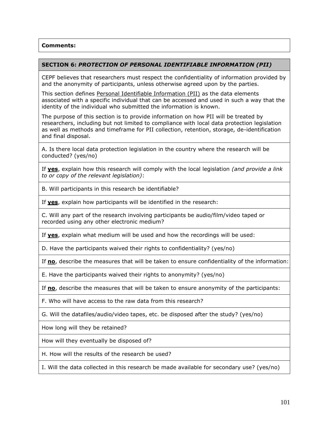### **Comments:**

### **SECTION 6:** *PROTECTION OF PERSONAL IDENTIFIABLE INFORMATION (PII)*

CEPF believes that researchers must respect the confidentiality of information provided by and the anonymity of participants, unless otherwise agreed upon by the parties.

This section defines Personal Identifiable Information (PII) as the data elements associated with a specific individual that can be accessed and used in such a way that the identity of the individual who submitted the information is known.

The purpose of this section is to provide information on how PII will be treated by researchers, including but not limited to compliance with local data protection legislation as well as methods and timeframe for PII collection, retention, storage, de-identification and final disposal.

A. Is there local data protection legislation in the country where the research will be conducted? (yes/no)

If **yes**, explain how this research will comply with the local legislation *(and provide a link to or copy of the relevant legislation)*:

B. Will participants in this research be identifiable?

If **yes**, explain how participants will be identified in the research:

C. Will any part of the research involving participants be audio/film/video taped or recorded using any other electronic medium?

If **yes**, explain what medium will be used and how the recordings will be used:

D. Have the participants waived their rights to confidentiality? (yes/no)

If **no**, describe the measures that will be taken to ensure confidentiality of the information:

E. Have the participants waived their rights to anonymity? (yes/no)

If **no**, describe the measures that will be taken to ensure anonymity of the participants:

F. Who will have access to the raw data from this research?

G. Will the datafiles/audio/video tapes, etc. be disposed after the study? (yes/no)

How long will they be retained?

How will they eventually be disposed of?

H. How will the results of the research be used?

I. Will the data collected in this research be made available for secondary use? (yes/no)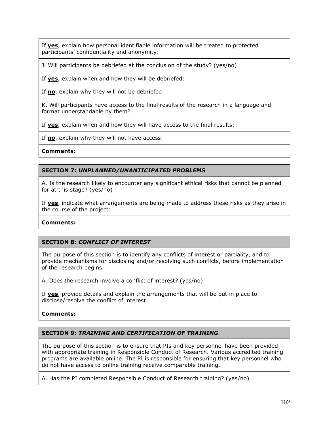If **yes**, explain how personal identifiable information will be treated to protected participants' confidentiality and anonymity:

J. Will participants be debriefed at the conclusion of the study? (yes/no)

If **yes**, explain when and how they will be debriefed:

If **no**, explain why they will not be debriefed:

K. Will participants have access to the final results of the research in a language and format understandable by them?

If **yes**, explain when and how they will have access to the final results:

If **no**, explain why they will not have access:

**Comments:**

### **SECTION 7:** *UNPLANNED/UNANTICIPATED PROBLEMS*

A. Is the research likely to encounter any significant ethical risks that cannot be planned for at this stage? (yes/no)

If **yes**, indicate what arrangements are being made to address these risks as they arise in the course of the project:

#### **Comments:**

#### **SECTION 8:** *CONFLICT OF INTEREST*

The purpose of this section is to identify any conflicts of interest or partiality, and to provide mechanisms for disclosing and/or resolving such conflicts, before implementation of the research begins.

A. Does the research involve a conflict of interest? (yes/no)

If **yes**, provide details and explain the arrangements that will be put in place to disclose/resolve the conflict of interest:

**Comments:**

### **SECTION 9:** *TRAINING AND CERTIFICATION OF TRAINING*

The purpose of this section is to ensure that PIs and key personnel have been provided with appropriate training in Responsible Conduct of Research. Various accredited training programs are available online. The PI is responsible for ensuring that key personnel who do not have access to online training receive comparable training.

A. Has the PI completed Responsible Conduct of Research training? (yes/no)